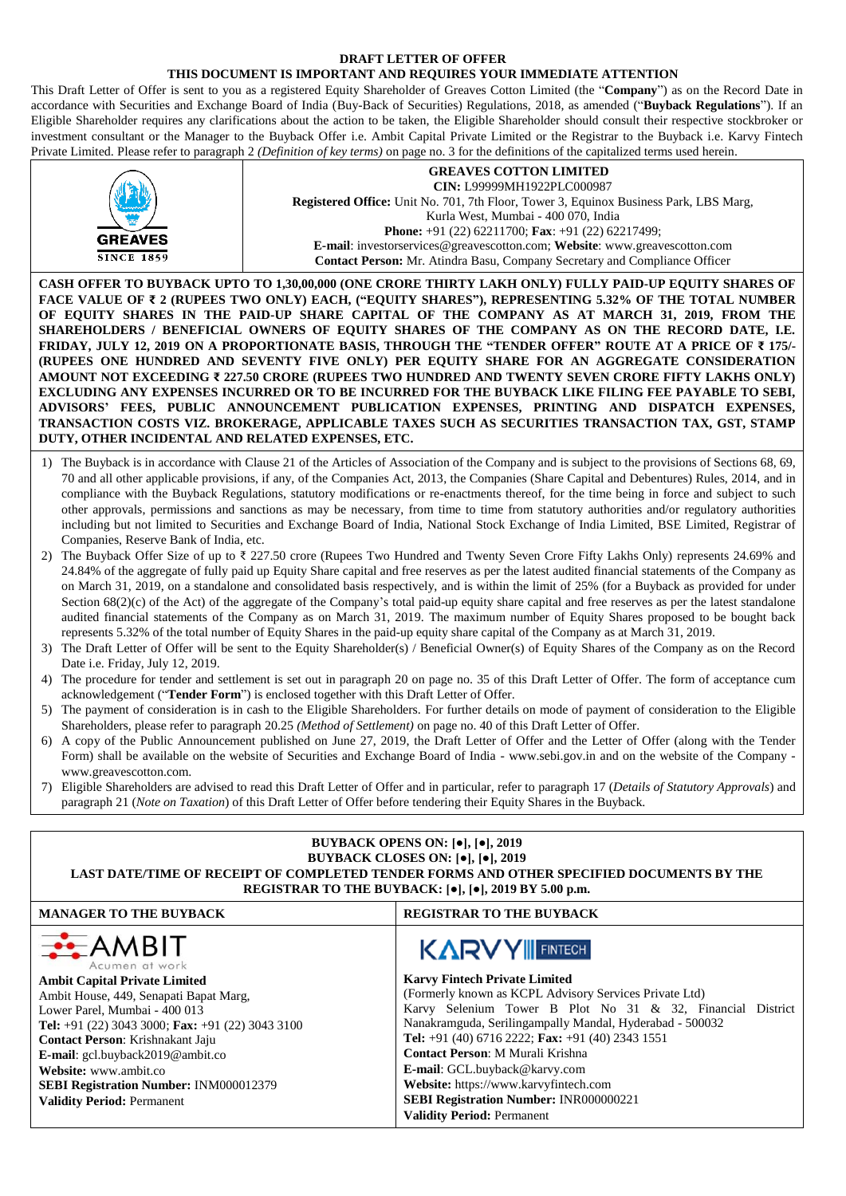#### **DRAFT LETTER OF OFFER**

### **THIS DOCUMENT IS IMPORTANT AND REQUIRES YOUR IMMEDIATE ATTENTION**

This Draft Letter of Offer is sent to you as a registered Equity Shareholder of Greaves Cotton Limited (the "**Company**") as on the Record Date in accordance with Securities and Exchange Board of India (Buy-Back of Securities) Regulations, 2018, as amended ("**Buyback Regulations**"). If an Eligible Shareholder requires any clarifications about the action to be taken, the Eligible Shareholder should consult their respective stockbroker or investment consultant or the Manager to the Buyback Offer i.e. Ambit Capital Private Limited or the Registrar to the Buyback i.e. Karvy Fintech Private Limited. Please refer to paragraph 2 *(Definition of key terms)* on page no. 3 for the definitions of the capitalized terms used herein.

| <b>GREAVES</b><br><b>SINCE 1859</b>                                                                                                                                                                                                                                                                                                                                                                                                                                                                                                                                                                                                                                                                                                                                                                                                                                                                                                                                                                                                                                                                                                                                                                                                                                                                                                                                                                                                                                                                                                                                                                                                                                                                                                                                                                                                                                                                                                                                                                                                                                                                                                                                                                                                                                                                                                                                                                                                                                                                                                                                                                                                                                                                                                                                                                                                           | <b>GREAVES COTTON LIMITED</b><br>CIN: L99999MH1922PLC000987<br>Registered Office: Unit No. 701, 7th Floor, Tower 3, Equinox Business Park, LBS Marg,<br>Kurla West, Mumbai - 400 070, India<br>Phone: +91 (22) 62211700; Fax: +91 (22) 62217499;<br>E-mail: investorservices@greavescotton.com; Website: www.greavescotton.com<br>Contact Person: Mr. Atindra Basu, Company Secretary and Compliance Officer |                      |  |  |  |
|-----------------------------------------------------------------------------------------------------------------------------------------------------------------------------------------------------------------------------------------------------------------------------------------------------------------------------------------------------------------------------------------------------------------------------------------------------------------------------------------------------------------------------------------------------------------------------------------------------------------------------------------------------------------------------------------------------------------------------------------------------------------------------------------------------------------------------------------------------------------------------------------------------------------------------------------------------------------------------------------------------------------------------------------------------------------------------------------------------------------------------------------------------------------------------------------------------------------------------------------------------------------------------------------------------------------------------------------------------------------------------------------------------------------------------------------------------------------------------------------------------------------------------------------------------------------------------------------------------------------------------------------------------------------------------------------------------------------------------------------------------------------------------------------------------------------------------------------------------------------------------------------------------------------------------------------------------------------------------------------------------------------------------------------------------------------------------------------------------------------------------------------------------------------------------------------------------------------------------------------------------------------------------------------------------------------------------------------------------------------------------------------------------------------------------------------------------------------------------------------------------------------------------------------------------------------------------------------------------------------------------------------------------------------------------------------------------------------------------------------------------------------------------------------------------------------------------------------------|--------------------------------------------------------------------------------------------------------------------------------------------------------------------------------------------------------------------------------------------------------------------------------------------------------------------------------------------------------------------------------------------------------------|----------------------|--|--|--|
| CASH OFFER TO BUYBACK UPTO TO 1,30,00,000 (ONE CRORE THIRTY LAKH ONLY) FULLY PAID-UP EQUITY SHARES OF<br>FACE VALUE OF ₹ 2 (RUPEES TWO ONLY) EACH, ("EQUITY SHARES"), REPRESENTING 5.32% OF THE TOTAL NUMBER<br>OF EQUITY SHARES IN THE PAID-UP SHARE CAPITAL OF THE COMPANY AS AT MARCH 31, 2019, FROM THE<br>SHAREHOLDERS / BENEFICIAL OWNERS OF EQUITY SHARES OF THE COMPANY AS ON THE RECORD DATE, I.E.<br>FRIDAY, JULY 12, 2019 ON A PROPORTIONATE BASIS, THROUGH THE "TENDER OFFER" ROUTE AT A PRICE OF ₹ 175/-<br>(RUPEES ONE HUNDRED AND SEVENTY FIVE ONLY) PER EQUITY SHARE FOR AN AGGREGATE CONSIDERATION<br>AMOUNT NOT EXCEEDING ₹ 227.50 CRORE (RUPEES TWO HUNDRED AND TWENTY SEVEN CRORE FIFTY LAKHS ONLY)<br>EXCLUDING ANY EXPENSES INCURRED OR TO BE INCURRED FOR THE BUYBACK LIKE FILING FEE PAYABLE TO SEBI,<br>ADVISORS' FEES, PUBLIC ANNOUNCEMENT PUBLICATION EXPENSES, PRINTING AND DISPATCH EXPENSES,<br>TRANSACTION COSTS VIZ. BROKERAGE, APPLICABLE TAXES SUCH AS SECURITIES TRANSACTION TAX, GST, STAMP<br>DUTY, OTHER INCIDENTAL AND RELATED EXPENSES, ETC.                                                                                                                                                                                                                                                                                                                                                                                                                                                                                                                                                                                                                                                                                                                                                                                                                                                                                                                                                                                                                                                                                                                                                                                                                                                                                                                                                                                                                                                                                                                                                                                                                                                                                                                                                          |                                                                                                                                                                                                                                                                                                                                                                                                              |                      |  |  |  |
| 1) The Buyback is in accordance with Clause 21 of the Articles of Association of the Company and is subject to the provisions of Sections 68, 69,<br>70 and all other applicable provisions, if any, of the Companies Act, 2013, the Companies (Share Capital and Debentures) Rules, 2014, and in<br>compliance with the Buyback Regulations, statutory modifications or re-enactments thereof, for the time being in force and subject to such<br>other approvals, permissions and sanctions as may be necessary, from time to time from statutory authorities and/or regulatory authorities<br>including but not limited to Securities and Exchange Board of India, National Stock Exchange of India Limited, BSE Limited, Registrar of<br>Companies, Reserve Bank of India, etc.<br>The Buyback Offer Size of up to ₹ 227.50 crore (Rupees Two Hundred and Twenty Seven Crore Fifty Lakhs Only) represents 24.69% and<br>24.84% of the aggregate of fully paid up Equity Share capital and free reserves as per the latest audited financial statements of the Company as<br>on March 31, 2019, on a standalone and consolidated basis respectively, and is within the limit of 25% (for a Buyback as provided for under<br>Section 68(2)(c) of the Act) of the aggregate of the Company's total paid-up equity share capital and free reserves as per the latest standalone<br>audited financial statements of the Company as on March 31, 2019. The maximum number of Equity Shares proposed to be bought back<br>represents 5.32% of the total number of Equity Shares in the paid-up equity share capital of the Company as at March 31, 2019.<br>The Draft Letter of Offer will be sent to the Equity Shareholder(s) / Beneficial Owner(s) of Equity Shares of the Company as on the Record<br>Date i.e. Friday, July 12, 2019.<br>The procedure for tender and settlement is set out in paragraph 20 on page no. 35 of this Draft Letter of Offer. The form of acceptance cum<br>4)<br>acknowledgement ("Tender Form") is enclosed together with this Draft Letter of Offer.<br>The payment of consideration is in cash to the Eligible Shareholders. For further details on mode of payment of consideration to the Eligible<br>5)<br>Shareholders, please refer to paragraph 20.25 (Method of Settlement) on page no. 40 of this Draft Letter of Offer.<br>6) A copy of the Public Announcement published on June 27, 2019, the Draft Letter of Offer and the Letter of Offer (along with the Tender<br>Form) shall be available on the website of Securities and Exchange Board of India - www.sebi.gov.in and on the website of the Company -<br>www.greavescotton.com.<br>7) Eligible Shareholders are advised to read this Draft Letter of Offer and in particular, refer to paragraph 17 (Details of Statutory Approvals) and |                                                                                                                                                                                                                                                                                                                                                                                                              |                      |  |  |  |
| <b>BUYBACK OPENS ON:</b> [ $\bullet$ ], [ $\bullet$ ], 2019<br>BUYBACK CLOSES ON: [•], [•], 2019<br>LAST DATE/TIME OF RECEIPT OF COMPLETED TENDER FORMS AND OTHER SPECIFIED DOCUMENTS BY THE<br>REGISTRAR TO THE BUYBACK: [ $\bullet$ ], [ $\bullet$ ], 2019 BY 5.00 p.m.                                                                                                                                                                                                                                                                                                                                                                                                                                                                                                                                                                                                                                                                                                                                                                                                                                                                                                                                                                                                                                                                                                                                                                                                                                                                                                                                                                                                                                                                                                                                                                                                                                                                                                                                                                                                                                                                                                                                                                                                                                                                                                                                                                                                                                                                                                                                                                                                                                                                                                                                                                     |                                                                                                                                                                                                                                                                                                                                                                                                              |                      |  |  |  |
| <b>MANAGER TO THE BUYBACK</b><br><b>REGISTRAR TO THE BUYBACK</b>                                                                                                                                                                                                                                                                                                                                                                                                                                                                                                                                                                                                                                                                                                                                                                                                                                                                                                                                                                                                                                                                                                                                                                                                                                                                                                                                                                                                                                                                                                                                                                                                                                                                                                                                                                                                                                                                                                                                                                                                                                                                                                                                                                                                                                                                                                                                                                                                                                                                                                                                                                                                                                                                                                                                                                              |                                                                                                                                                                                                                                                                                                                                                                                                              |                      |  |  |  |
| ١B<br>Acumen at work                                                                                                                                                                                                                                                                                                                                                                                                                                                                                                                                                                                                                                                                                                                                                                                                                                                                                                                                                                                                                                                                                                                                                                                                                                                                                                                                                                                                                                                                                                                                                                                                                                                                                                                                                                                                                                                                                                                                                                                                                                                                                                                                                                                                                                                                                                                                                                                                                                                                                                                                                                                                                                                                                                                                                                                                                          |                                                                                                                                                                                                                                                                                                                                                                                                              | <b>KARVY FINTECH</b> |  |  |  |
| <b>Karvy Fintech Private Limited</b><br><b>Ambit Capital Private Limited</b><br>(Formerly known as KCPL Advisory Services Private Ltd)<br>Ambit House, 449, Senapati Bapat Marg,<br>Karvy Selenium Tower B Plot No 31 & 32, Financial District<br>Lower Parel, Mumbai - 400 013<br>Nanakramguda, Serilingampally Mandal, Hyderabad - 500032<br>Tel: +91 (22) 3043 3000; Fax: +91 (22) 3043 3100<br>Tel: +91 (40) 6716 2222; Fax: +91 (40) 2343 1551<br>Contact Person: Krishnakant Jaju<br>Contact Person: M Murali Krishna<br>E-mail: gcl.buyback2019@ambit.co<br>E-mail: GCL.buyback@karvy.com<br>Website: www.ambit.co<br>Website: https://www.karvyfintech.com<br>SEBI Registration Number: INM000012379<br>SEBI Registration Number: INR000000221<br><b>Validity Period: Permanent</b><br><b>Validity Period: Permanent</b>                                                                                                                                                                                                                                                                                                                                                                                                                                                                                                                                                                                                                                                                                                                                                                                                                                                                                                                                                                                                                                                                                                                                                                                                                                                                                                                                                                                                                                                                                                                                                                                                                                                                                                                                                                                                                                                                                                                                                                                                              |                                                                                                                                                                                                                                                                                                                                                                                                              |                      |  |  |  |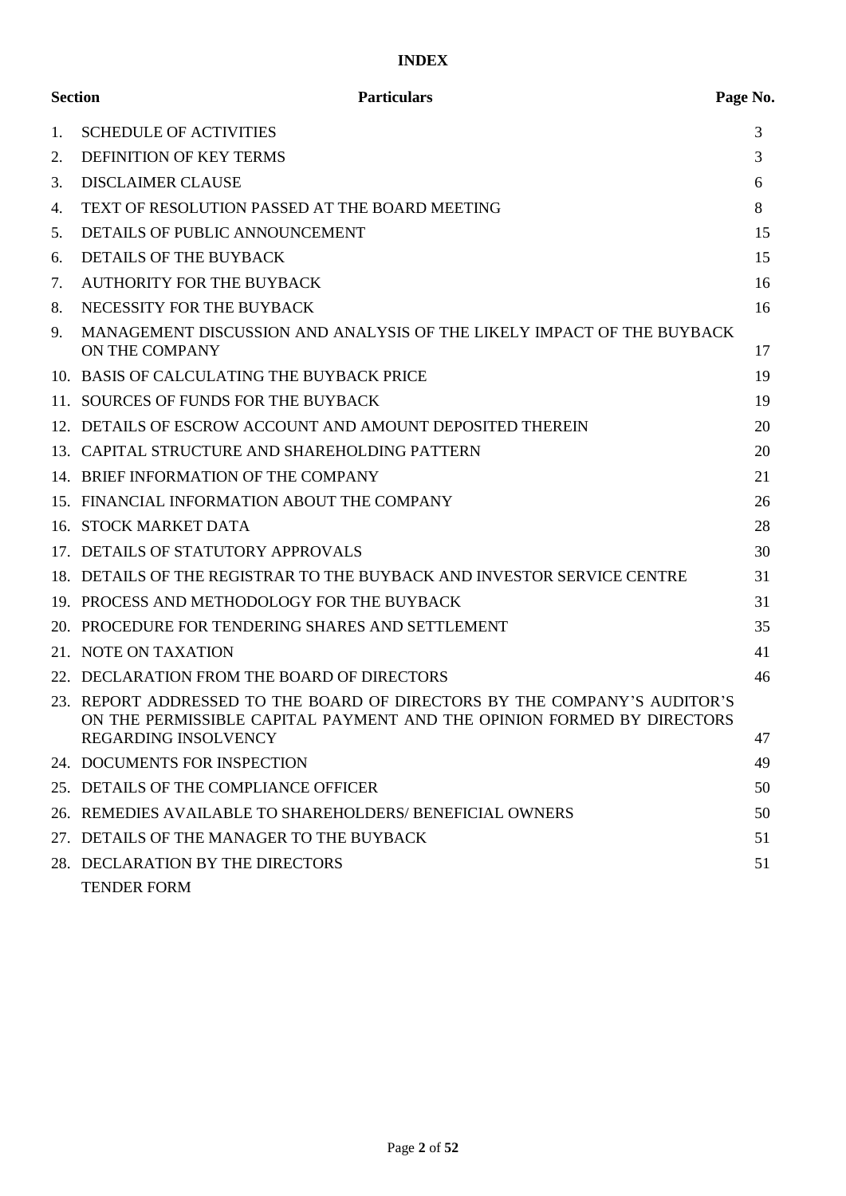# **INDEX**

|    | <b>Section</b><br><b>Particulars</b>                                                                                                                                        | Page No. |
|----|-----------------------------------------------------------------------------------------------------------------------------------------------------------------------------|----------|
| 1. | <b>SCHEDULE OF ACTIVITIES</b>                                                                                                                                               | 3        |
| 2. | <b>DEFINITION OF KEY TERMS</b>                                                                                                                                              | 3        |
| 3. | <b>DISCLAIMER CLAUSE</b>                                                                                                                                                    | 6        |
| 4. | TEXT OF RESOLUTION PASSED AT THE BOARD MEETING                                                                                                                              | 8        |
| 5. | DETAILS OF PUBLIC ANNOUNCEMENT                                                                                                                                              | 15       |
| 6. | <b>DETAILS OF THE BUYBACK</b>                                                                                                                                               | 15       |
| 7. | <b>AUTHORITY FOR THE BUYBACK</b>                                                                                                                                            | 16       |
| 8. | NECESSITY FOR THE BUYBACK                                                                                                                                                   | 16       |
| 9. | MANAGEMENT DISCUSSION AND ANALYSIS OF THE LIKELY IMPACT OF THE BUYBACK<br>ON THE COMPANY                                                                                    | 17       |
|    | 10. BASIS OF CALCULATING THE BUYBACK PRICE                                                                                                                                  | 19       |
|    | 11. SOURCES OF FUNDS FOR THE BUYBACK                                                                                                                                        | 19       |
|    | 12. DETAILS OF ESCROW ACCOUNT AND AMOUNT DEPOSITED THEREIN                                                                                                                  | 20       |
|    | 13. CAPITAL STRUCTURE AND SHAREHOLDING PATTERN                                                                                                                              | 20       |
|    | 14. BRIEF INFORMATION OF THE COMPANY                                                                                                                                        | 21       |
|    | 15. FINANCIAL INFORMATION ABOUT THE COMPANY                                                                                                                                 | 26       |
|    | 16. STOCK MARKET DATA                                                                                                                                                       | 28       |
|    | 17. DETAILS OF STATUTORY APPROVALS                                                                                                                                          | 30       |
|    | 18. DETAILS OF THE REGISTRAR TO THE BUYBACK AND INVESTOR SERVICE CENTRE                                                                                                     | 31       |
|    | 19. PROCESS AND METHODOLOGY FOR THE BUYBACK                                                                                                                                 | 31       |
|    | 20. PROCEDURE FOR TENDERING SHARES AND SETTLEMENT                                                                                                                           | 35       |
|    | 21. NOTE ON TAXATION                                                                                                                                                        | 41       |
|    | 22. DECLARATION FROM THE BOARD OF DIRECTORS                                                                                                                                 | 46       |
|    | 23. REPORT ADDRESSED TO THE BOARD OF DIRECTORS BY THE COMPANY'S AUDITOR'S<br>ON THE PERMISSIBLE CAPITAL PAYMENT AND THE OPINION FORMED BY DIRECTORS<br>REGARDING INSOLVENCY | 47       |
|    | 24. DOCUMENTS FOR INSPECTION                                                                                                                                                | 49       |
|    | 25. DETAILS OF THE COMPLIANCE OFFICER                                                                                                                                       | 50       |
|    | 26. REMEDIES AVAILABLE TO SHAREHOLDERS/ BENEFICIAL OWNERS                                                                                                                   | 50       |
|    | 27. DETAILS OF THE MANAGER TO THE BUYBACK                                                                                                                                   | 51       |
|    | 28. DECLARATION BY THE DIRECTORS                                                                                                                                            | 51       |
|    | <b>TENDER FORM</b>                                                                                                                                                          |          |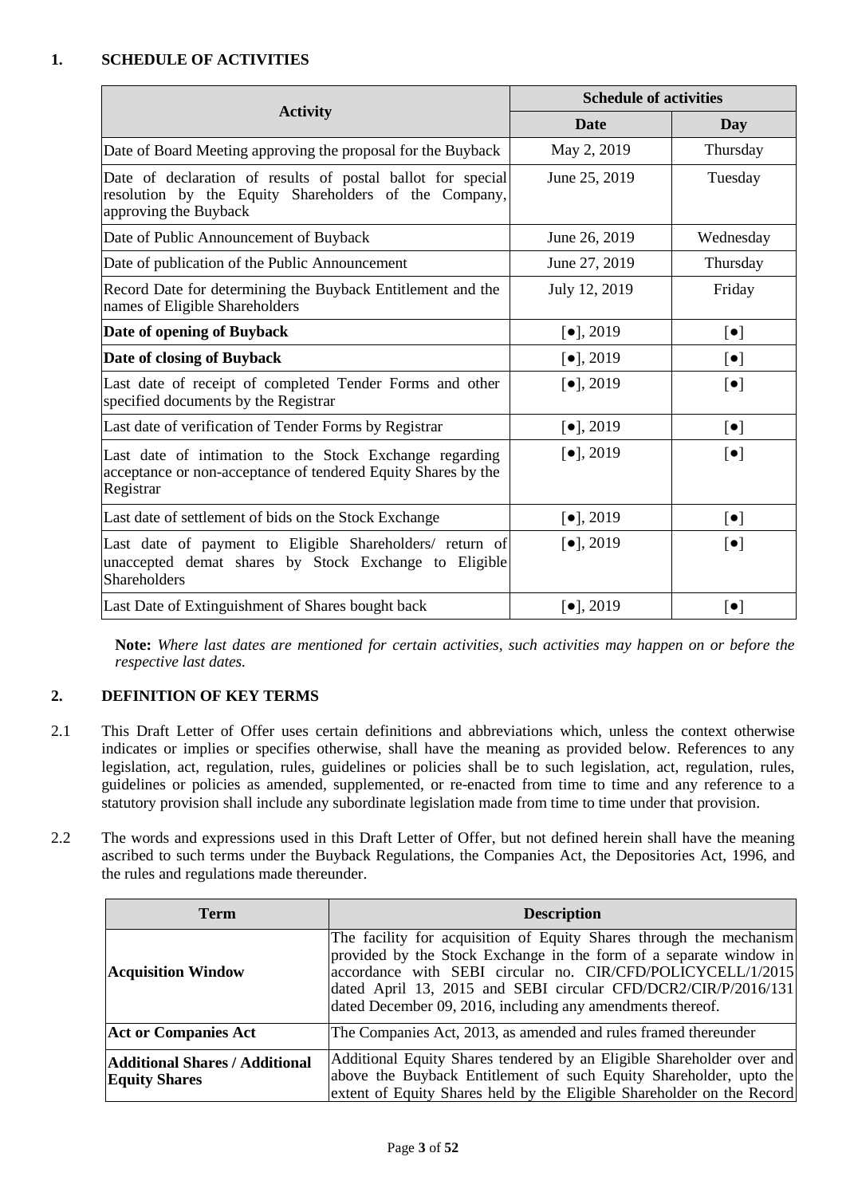### <span id="page-2-0"></span>**1. SCHEDULE OF ACTIVITIES**

|                                                                                                                                               | <b>Schedule of activities</b>   |             |  |
|-----------------------------------------------------------------------------------------------------------------------------------------------|---------------------------------|-------------|--|
| <b>Activity</b>                                                                                                                               | <b>Date</b>                     | Day         |  |
| Date of Board Meeting approving the proposal for the Buyback                                                                                  | May 2, 2019                     | Thursday    |  |
| Date of declaration of results of postal ballot for special<br>resolution by the Equity Shareholders of the Company,<br>approving the Buyback | June 25, 2019                   | Tuesday     |  |
| Date of Public Announcement of Buyback                                                                                                        | June 26, 2019                   | Wednesday   |  |
| Date of publication of the Public Announcement                                                                                                | June 27, 2019                   | Thursday    |  |
| Record Date for determining the Buyback Entitlement and the<br>names of Eligible Shareholders                                                 | July 12, 2019                   | Friday      |  |
| Date of opening of Buyback                                                                                                                    | $[•]$ , 2019                    | $[\bullet]$ |  |
| Date of closing of Buyback                                                                                                                    | $[•]$ , 2019                    | $[\bullet]$ |  |
| Last date of receipt of completed Tender Forms and other<br>specified documents by the Registrar                                              | $[•]$ , 2019                    | $[\bullet]$ |  |
| Last date of verification of Tender Forms by Registrar                                                                                        | $\left[ \bullet \right]$ , 2019 | $[\bullet]$ |  |
| Last date of intimation to the Stock Exchange regarding<br>acceptance or non-acceptance of tendered Equity Shares by the<br>Registrar         | $\left[ \bullet \right]$ , 2019 | $[\bullet]$ |  |
| Last date of settlement of bids on the Stock Exchange                                                                                         | $\left[ \bullet \right]$ , 2019 | $[\bullet]$ |  |
| Last date of payment to Eligible Shareholders/ return of<br>unaccepted demat shares by Stock Exchange to Eligible<br>Shareholders             | $[•]$ , 2019                    | $[\bullet]$ |  |
| Last Date of Extinguishment of Shares bought back                                                                                             | $\left[ \bullet \right]$ , 2019 | $[\bullet]$ |  |

**Note:** *Where last dates are mentioned for certain activities, such activities may happen on or before the respective last dates.*

### <span id="page-2-1"></span>**2. DEFINITION OF KEY TERMS**

- 2.1 This Draft Letter of Offer uses certain definitions and abbreviations which, unless the context otherwise indicates or implies or specifies otherwise, shall have the meaning as provided below. References to any legislation, act, regulation, rules, guidelines or policies shall be to such legislation, act, regulation, rules, guidelines or policies as amended, supplemented, or re-enacted from time to time and any reference to a statutory provision shall include any subordinate legislation made from time to time under that provision.
- 2.2 The words and expressions used in this Draft Letter of Offer, but not defined herein shall have the meaning ascribed to such terms under the Buyback Regulations, the Companies Act, the Depositories Act, 1996, and the rules and regulations made thereunder.

| <b>Term</b>                                                   | <b>Description</b>                                                                                                                                                                                                                                                                                                                       |
|---------------------------------------------------------------|------------------------------------------------------------------------------------------------------------------------------------------------------------------------------------------------------------------------------------------------------------------------------------------------------------------------------------------|
| <b>Acquisition Window</b>                                     | The facility for acquisition of Equity Shares through the mechanism<br>provided by the Stock Exchange in the form of a separate window in<br>accordance with SEBI circular no. CIR/CFD/POLICYCELL/1/2015<br>dated April 13, 2015 and SEBI circular CFD/DCR2/CIR/P/2016/131<br>dated December 09, 2016, including any amendments thereof. |
| <b>Act or Companies Act</b>                                   | The Companies Act, 2013, as amended and rules framed thereunder                                                                                                                                                                                                                                                                          |
| <b>Additional Shares / Additional</b><br><b>Equity Shares</b> | Additional Equity Shares tendered by an Eligible Shareholder over and<br>above the Buyback Entitlement of such Equity Shareholder, upto the<br>extent of Equity Shares held by the Eligible Shareholder on the Record                                                                                                                    |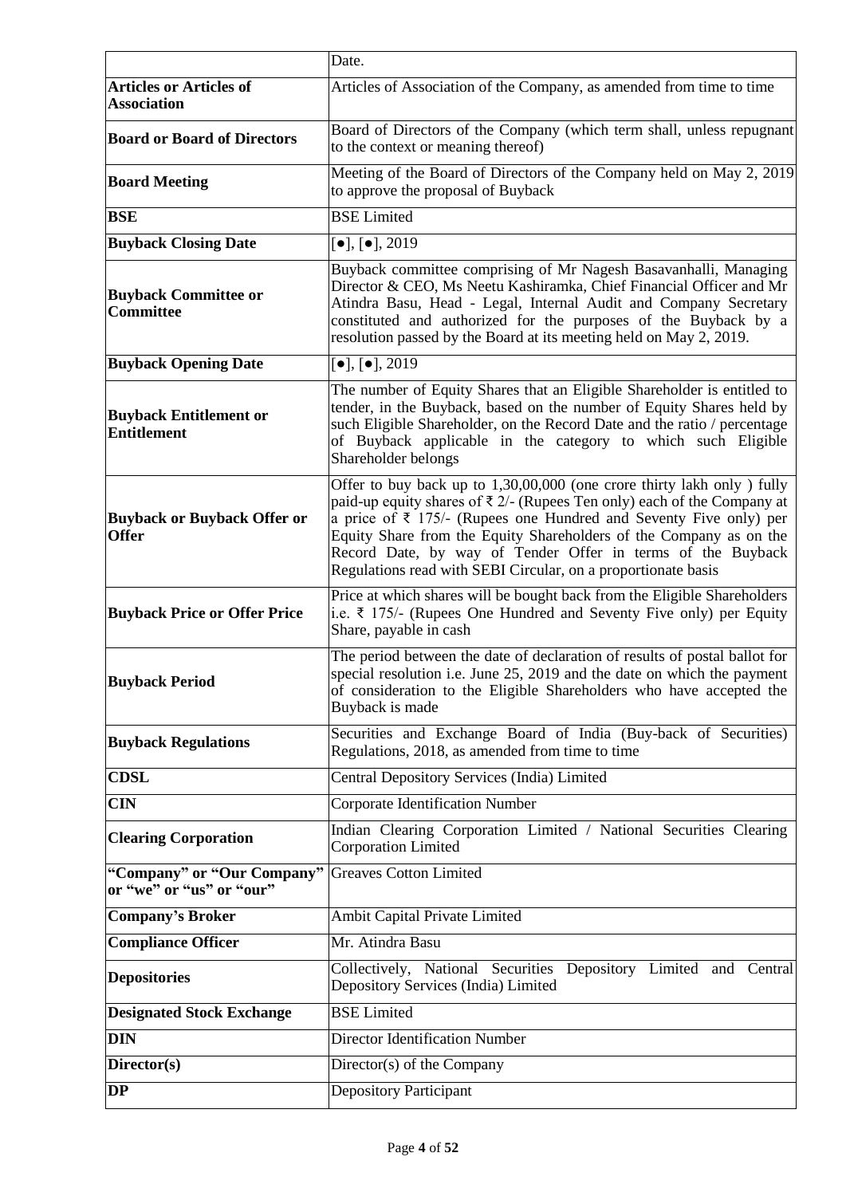|                                                        | Date.                                                                                                                                                                                                                                                                                                                                                                                                                                              |  |  |
|--------------------------------------------------------|----------------------------------------------------------------------------------------------------------------------------------------------------------------------------------------------------------------------------------------------------------------------------------------------------------------------------------------------------------------------------------------------------------------------------------------------------|--|--|
| <b>Articles or Articles of</b><br><b>Association</b>   | Articles of Association of the Company, as amended from time to time                                                                                                                                                                                                                                                                                                                                                                               |  |  |
| <b>Board or Board of Directors</b>                     | Board of Directors of the Company (which term shall, unless repugnant<br>to the context or meaning thereof)                                                                                                                                                                                                                                                                                                                                        |  |  |
| <b>Board Meeting</b>                                   | Meeting of the Board of Directors of the Company held on May 2, 2019<br>to approve the proposal of Buyback                                                                                                                                                                                                                                                                                                                                         |  |  |
| <b>BSE</b>                                             | <b>BSE</b> Limited                                                                                                                                                                                                                                                                                                                                                                                                                                 |  |  |
| <b>Buyback Closing Date</b>                            | $\left[\bullet\right], \left[\bullet\right], 2019$                                                                                                                                                                                                                                                                                                                                                                                                 |  |  |
| <b>Buyback Committee or</b><br><b>Committee</b>        | Buyback committee comprising of Mr Nagesh Basavanhalli, Managing<br>Director & CEO, Ms Neetu Kashiramka, Chief Financial Officer and Mr<br>Atindra Basu, Head - Legal, Internal Audit and Company Secretary<br>constituted and authorized for the purposes of the Buyback by a<br>resolution passed by the Board at its meeting held on May 2, 2019.                                                                                               |  |  |
| <b>Buyback Opening Date</b>                            | $\boxed{\bullet}$ , $\boxed{\bullet}$ , 2019                                                                                                                                                                                                                                                                                                                                                                                                       |  |  |
| <b>Buyback Entitlement or</b><br><b>Entitlement</b>    | The number of Equity Shares that an Eligible Shareholder is entitled to<br>tender, in the Buyback, based on the number of Equity Shares held by<br>such Eligible Shareholder, on the Record Date and the ratio / percentage<br>of Buyback applicable in the category to which such Eligible<br>Shareholder belongs                                                                                                                                 |  |  |
| <b>Buyback or Buyback Offer or</b><br><b>Offer</b>     | Offer to buy back up to 1,30,00,000 (one crore thirty lakh only) fully<br>paid-up equity shares of $\bar{\tau}$ 2/- (Rupees Ten only) each of the Company at<br>a price of $\bar{\tau}$ 175/- (Rupees one Hundred and Seventy Five only) per<br>Equity Share from the Equity Shareholders of the Company as on the<br>Record Date, by way of Tender Offer in terms of the Buyback<br>Regulations read with SEBI Circular, on a proportionate basis |  |  |
| <b>Buyback Price or Offer Price</b>                    | Price at which shares will be bought back from the Eligible Shareholders<br>i.e. $\bar{\xi}$ 175/- (Rupees One Hundred and Seventy Five only) per Equity<br>Share, payable in cash                                                                                                                                                                                                                                                                 |  |  |
| <b>Buyback Period</b>                                  | The period between the date of declaration of results of postal ballot for<br>special resolution i.e. June 25, 2019 and the date on which the payment<br>of consideration to the Eligible Shareholders who have accepted the<br>Buyback is made                                                                                                                                                                                                    |  |  |
| <b>Buyback Regulations</b>                             | Securities and Exchange Board of India (Buy-back of Securities)<br>Regulations, 2018, as amended from time to time                                                                                                                                                                                                                                                                                                                                 |  |  |
| CDSL                                                   | Central Depository Services (India) Limited                                                                                                                                                                                                                                                                                                                                                                                                        |  |  |
| <b>CIN</b>                                             | <b>Corporate Identification Number</b>                                                                                                                                                                                                                                                                                                                                                                                                             |  |  |
| <b>Clearing Corporation</b>                            | Indian Clearing Corporation Limited / National Securities Clearing<br><b>Corporation Limited</b>                                                                                                                                                                                                                                                                                                                                                   |  |  |
| "Company" or "Our Company"<br>or "we" or "us" or "our" | <b>Greaves Cotton Limited</b>                                                                                                                                                                                                                                                                                                                                                                                                                      |  |  |
| <b>Company's Broker</b>                                | Ambit Capital Private Limited                                                                                                                                                                                                                                                                                                                                                                                                                      |  |  |
| <b>Compliance Officer</b>                              | Mr. Atindra Basu                                                                                                                                                                                                                                                                                                                                                                                                                                   |  |  |
| <b>Depositories</b>                                    | Collectively, National Securities Depository Limited and Central<br>Depository Services (India) Limited                                                                                                                                                                                                                                                                                                                                            |  |  |
| <b>Designated Stock Exchange</b>                       | <b>BSE</b> Limited                                                                                                                                                                                                                                                                                                                                                                                                                                 |  |  |
| <b>DIN</b>                                             | <b>Director Identification Number</b>                                                                                                                                                                                                                                                                                                                                                                                                              |  |  |
| Director(s)                                            | Director(s) of the Company                                                                                                                                                                                                                                                                                                                                                                                                                         |  |  |
| <b>DP</b>                                              | <b>Depository Participant</b>                                                                                                                                                                                                                                                                                                                                                                                                                      |  |  |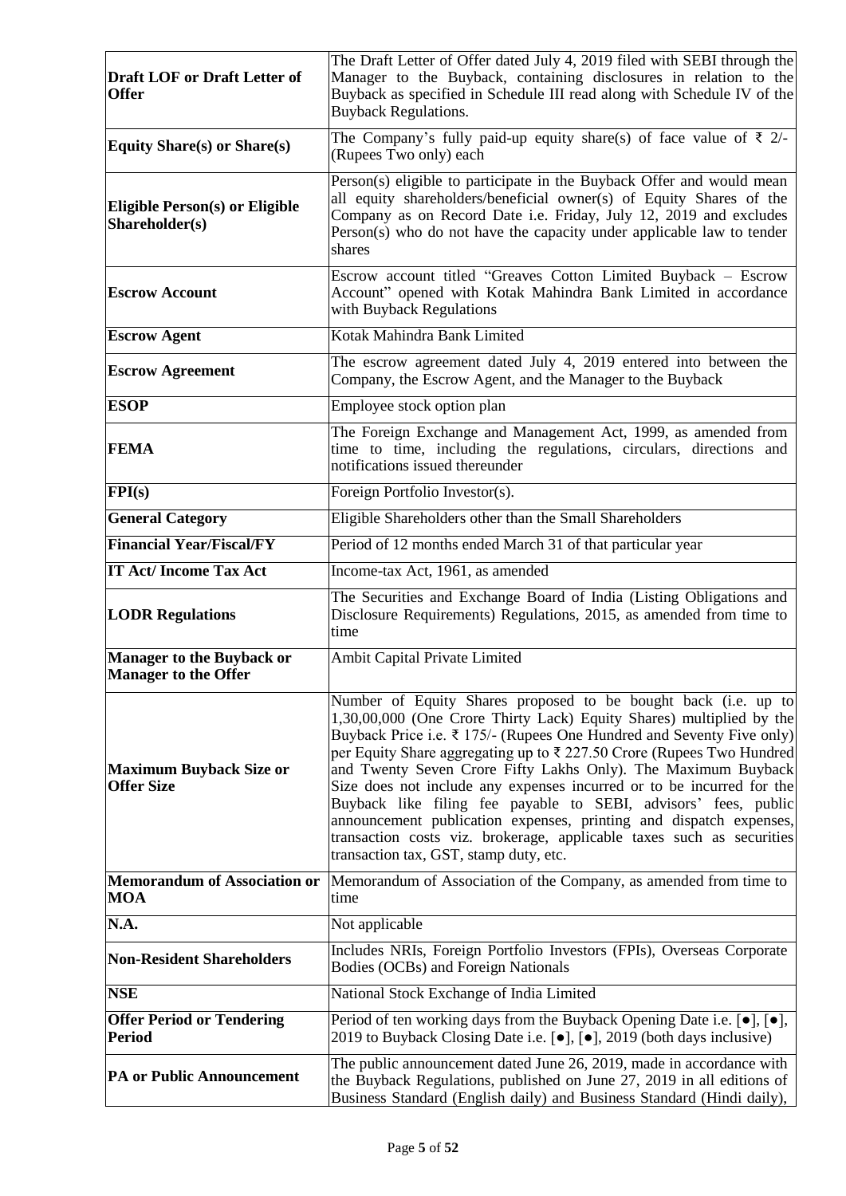| <b>Draft LOF or Draft Letter of</b><br><b>Offer</b>             | The Draft Letter of Offer dated July 4, 2019 filed with SEBI through the<br>Manager to the Buyback, containing disclosures in relation to the<br>Buyback as specified in Schedule III read along with Schedule IV of the<br><b>Buyback Regulations.</b>                                                                                                                                                                                                                                                                                                                                                                                                                                                   |
|-----------------------------------------------------------------|-----------------------------------------------------------------------------------------------------------------------------------------------------------------------------------------------------------------------------------------------------------------------------------------------------------------------------------------------------------------------------------------------------------------------------------------------------------------------------------------------------------------------------------------------------------------------------------------------------------------------------------------------------------------------------------------------------------|
| <b>Equity Share(s) or Share(s)</b>                              | The Company's fully paid-up equity share(s) of face value of $\bar{\xi}$ 2/-<br>(Rupees Two only) each                                                                                                                                                                                                                                                                                                                                                                                                                                                                                                                                                                                                    |
| Eligible Person(s) or Eligible<br>Shareholder(s)                | Person(s) eligible to participate in the Buyback Offer and would mean<br>all equity shareholders/beneficial owner(s) of Equity Shares of the<br>Company as on Record Date i.e. Friday, July 12, 2019 and excludes<br>Person(s) who do not have the capacity under applicable law to tender<br>shares                                                                                                                                                                                                                                                                                                                                                                                                      |
| <b>Escrow Account</b>                                           | Escrow account titled "Greaves Cotton Limited Buyback - Escrow<br>Account" opened with Kotak Mahindra Bank Limited in accordance<br>with Buyback Regulations                                                                                                                                                                                                                                                                                                                                                                                                                                                                                                                                              |
| <b>Escrow Agent</b>                                             | Kotak Mahindra Bank Limited                                                                                                                                                                                                                                                                                                                                                                                                                                                                                                                                                                                                                                                                               |
| <b>Escrow Agreement</b>                                         | The escrow agreement dated July 4, 2019 entered into between the<br>Company, the Escrow Agent, and the Manager to the Buyback                                                                                                                                                                                                                                                                                                                                                                                                                                                                                                                                                                             |
| <b>ESOP</b>                                                     | Employee stock option plan                                                                                                                                                                                                                                                                                                                                                                                                                                                                                                                                                                                                                                                                                |
| <b>FEMA</b>                                                     | The Foreign Exchange and Management Act, 1999, as amended from<br>time to time, including the regulations, circulars, directions and<br>notifications issued thereunder                                                                                                                                                                                                                                                                                                                                                                                                                                                                                                                                   |
| FPI(s)                                                          | Foreign Portfolio Investor(s).                                                                                                                                                                                                                                                                                                                                                                                                                                                                                                                                                                                                                                                                            |
| <b>General Category</b>                                         | Eligible Shareholders other than the Small Shareholders                                                                                                                                                                                                                                                                                                                                                                                                                                                                                                                                                                                                                                                   |
| <b>Financial Year/Fiscal/FY</b>                                 | Period of 12 months ended March 31 of that particular year                                                                                                                                                                                                                                                                                                                                                                                                                                                                                                                                                                                                                                                |
| <b>IT Act/Income Tax Act</b>                                    | Income-tax Act, 1961, as amended                                                                                                                                                                                                                                                                                                                                                                                                                                                                                                                                                                                                                                                                          |
| <b>LODR Regulations</b>                                         | The Securities and Exchange Board of India (Listing Obligations and<br>Disclosure Requirements) Regulations, 2015, as amended from time to<br>time                                                                                                                                                                                                                                                                                                                                                                                                                                                                                                                                                        |
| <b>Manager to the Buyback or</b><br><b>Manager to the Offer</b> | Ambit Capital Private Limited                                                                                                                                                                                                                                                                                                                                                                                                                                                                                                                                                                                                                                                                             |
| <b>Maximum Buyback Size or</b><br><b>Offer Size</b>             | Number of Equity Shares proposed to be bought back (i.e. up to<br>1,30,00,000 (One Crore Thirty Lack) Equity Shares) multiplied by the<br>Buyback Price i.e. $\bar{\tau}$ 175/- (Rupees One Hundred and Seventy Five only)<br>per Equity Share aggregating up to ₹ 227.50 Crore (Rupees Two Hundred<br>and Twenty Seven Crore Fifty Lakhs Only). The Maximum Buyback<br>Size does not include any expenses incurred or to be incurred for the<br>Buyback like filing fee payable to SEBI, advisors' fees, public<br>announcement publication expenses, printing and dispatch expenses,<br>transaction costs viz. brokerage, applicable taxes such as securities<br>transaction tax, GST, stamp duty, etc. |
| <b>Memorandum of Association or</b><br><b>MOA</b>               | Memorandum of Association of the Company, as amended from time to<br>time                                                                                                                                                                                                                                                                                                                                                                                                                                                                                                                                                                                                                                 |
| N.A.                                                            | Not applicable                                                                                                                                                                                                                                                                                                                                                                                                                                                                                                                                                                                                                                                                                            |
| <b>Non-Resident Shareholders</b>                                | Includes NRIs, Foreign Portfolio Investors (FPIs), Overseas Corporate<br>Bodies (OCBs) and Foreign Nationals                                                                                                                                                                                                                                                                                                                                                                                                                                                                                                                                                                                              |
| <b>NSE</b>                                                      | National Stock Exchange of India Limited                                                                                                                                                                                                                                                                                                                                                                                                                                                                                                                                                                                                                                                                  |
| <b>Offer Period or Tendering</b><br><b>Period</b>               | Period of ten working days from the Buyback Opening Date i.e. $[\bullet]$ , $[\bullet]$ ,<br>2019 to Buyback Closing Date i.e. [•], [•], 2019 (both days inclusive)                                                                                                                                                                                                                                                                                                                                                                                                                                                                                                                                       |
| <b>PA or Public Announcement</b>                                | The public announcement dated June 26, 2019, made in accordance with<br>the Buyback Regulations, published on June 27, 2019 in all editions of<br>Business Standard (English daily) and Business Standard (Hindi daily),                                                                                                                                                                                                                                                                                                                                                                                                                                                                                  |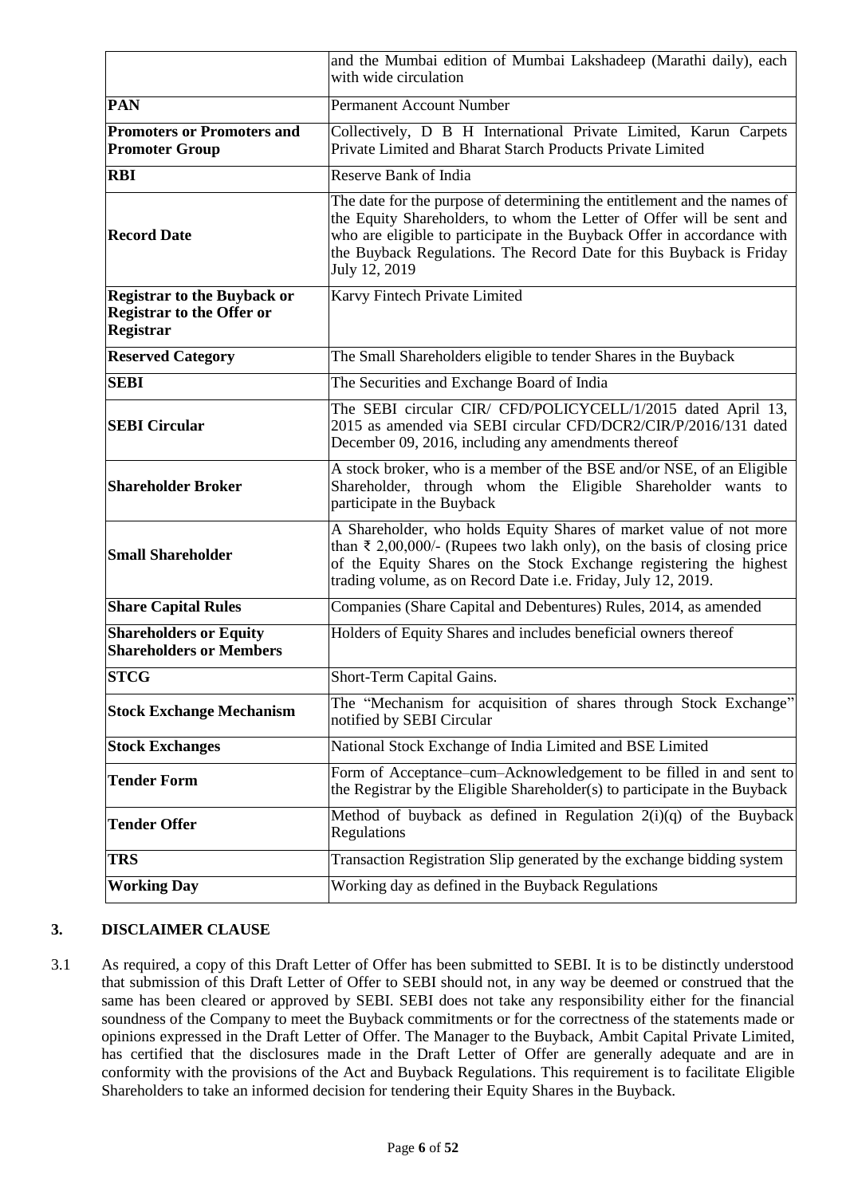|                                                                                            | and the Mumbai edition of Mumbai Lakshadeep (Marathi daily), each<br>with wide circulation                                                                                                                                                                                                                           |  |  |
|--------------------------------------------------------------------------------------------|----------------------------------------------------------------------------------------------------------------------------------------------------------------------------------------------------------------------------------------------------------------------------------------------------------------------|--|--|
| <b>PAN</b>                                                                                 | <b>Permanent Account Number</b>                                                                                                                                                                                                                                                                                      |  |  |
| <b>Promoters or Promoters and</b><br><b>Promoter Group</b>                                 | Collectively, D B H International Private Limited, Karun Carpets<br>Private Limited and Bharat Starch Products Private Limited                                                                                                                                                                                       |  |  |
| <b>RBI</b>                                                                                 | Reserve Bank of India                                                                                                                                                                                                                                                                                                |  |  |
| <b>Record Date</b>                                                                         | The date for the purpose of determining the entitlement and the names of<br>the Equity Shareholders, to whom the Letter of Offer will be sent and<br>who are eligible to participate in the Buyback Offer in accordance with<br>the Buyback Regulations. The Record Date for this Buyback is Friday<br>July 12, 2019 |  |  |
| <b>Registrar to the Buyback or</b><br><b>Registrar to the Offer or</b><br><b>Registrar</b> | Karvy Fintech Private Limited                                                                                                                                                                                                                                                                                        |  |  |
| <b>Reserved Category</b>                                                                   | The Small Shareholders eligible to tender Shares in the Buyback                                                                                                                                                                                                                                                      |  |  |
| <b>SEBI</b>                                                                                | The Securities and Exchange Board of India                                                                                                                                                                                                                                                                           |  |  |
| <b>SEBI Circular</b>                                                                       | The SEBI circular CIR/ CFD/POLICYCELL/1/2015 dated April 13,<br>2015 as amended via SEBI circular CFD/DCR2/CIR/P/2016/131 dated<br>December 09, 2016, including any amendments thereof                                                                                                                               |  |  |
| <b>Shareholder Broker</b>                                                                  | A stock broker, who is a member of the BSE and/or NSE, of an Eligible<br>Shareholder, through whom the Eligible Shareholder wants to<br>participate in the Buyback                                                                                                                                                   |  |  |
| <b>Small Shareholder</b>                                                                   | A Shareholder, who holds Equity Shares of market value of not more<br>than $\bar{\xi}$ 2,00,000/- (Rupees two lakh only), on the basis of closing price<br>of the Equity Shares on the Stock Exchange registering the highest<br>trading volume, as on Record Date i.e. Friday, July 12, 2019.                       |  |  |
| <b>Share Capital Rules</b>                                                                 | Companies (Share Capital and Debentures) Rules, 2014, as amended                                                                                                                                                                                                                                                     |  |  |
| <b>Shareholders or Equity</b><br><b>Shareholders or Members</b>                            | Holders of Equity Shares and includes beneficial owners thereof                                                                                                                                                                                                                                                      |  |  |
| <b>STCG</b>                                                                                | Short-Term Capital Gains.                                                                                                                                                                                                                                                                                            |  |  |
| <b>Stock Exchange Mechanism</b>                                                            | The "Mechanism for acquisition of shares through Stock Exchange"<br>notified by SEBI Circular                                                                                                                                                                                                                        |  |  |
| <b>Stock Exchanges</b>                                                                     | National Stock Exchange of India Limited and BSE Limited                                                                                                                                                                                                                                                             |  |  |
| <b>Tender Form</b>                                                                         | Form of Acceptance-cum-Acknowledgement to be filled in and sent to<br>the Registrar by the Eligible Shareholder(s) to participate in the Buyback                                                                                                                                                                     |  |  |
| <b>Tender Offer</b>                                                                        | Method of buyback as defined in Regulation $2(i)(q)$ of the Buyback<br>Regulations                                                                                                                                                                                                                                   |  |  |
| <b>TRS</b>                                                                                 | Transaction Registration Slip generated by the exchange bidding system                                                                                                                                                                                                                                               |  |  |
| <b>Working Day</b>                                                                         | Working day as defined in the Buyback Regulations                                                                                                                                                                                                                                                                    |  |  |

### <span id="page-5-0"></span>**3. DISCLAIMER CLAUSE**

3.1 As required, a copy of this Draft Letter of Offer has been submitted to SEBI. It is to be distinctly understood that submission of this Draft Letter of Offer to SEBI should not, in any way be deemed or construed that the same has been cleared or approved by SEBI. SEBI does not take any responsibility either for the financial soundness of the Company to meet the Buyback commitments or for the correctness of the statements made or opinions expressed in the Draft Letter of Offer. The Manager to the Buyback, Ambit Capital Private Limited, has certified that the disclosures made in the Draft Letter of Offer are generally adequate and are in conformity with the provisions of the Act and Buyback Regulations. This requirement is to facilitate Eligible Shareholders to take an informed decision for tendering their Equity Shares in the Buyback.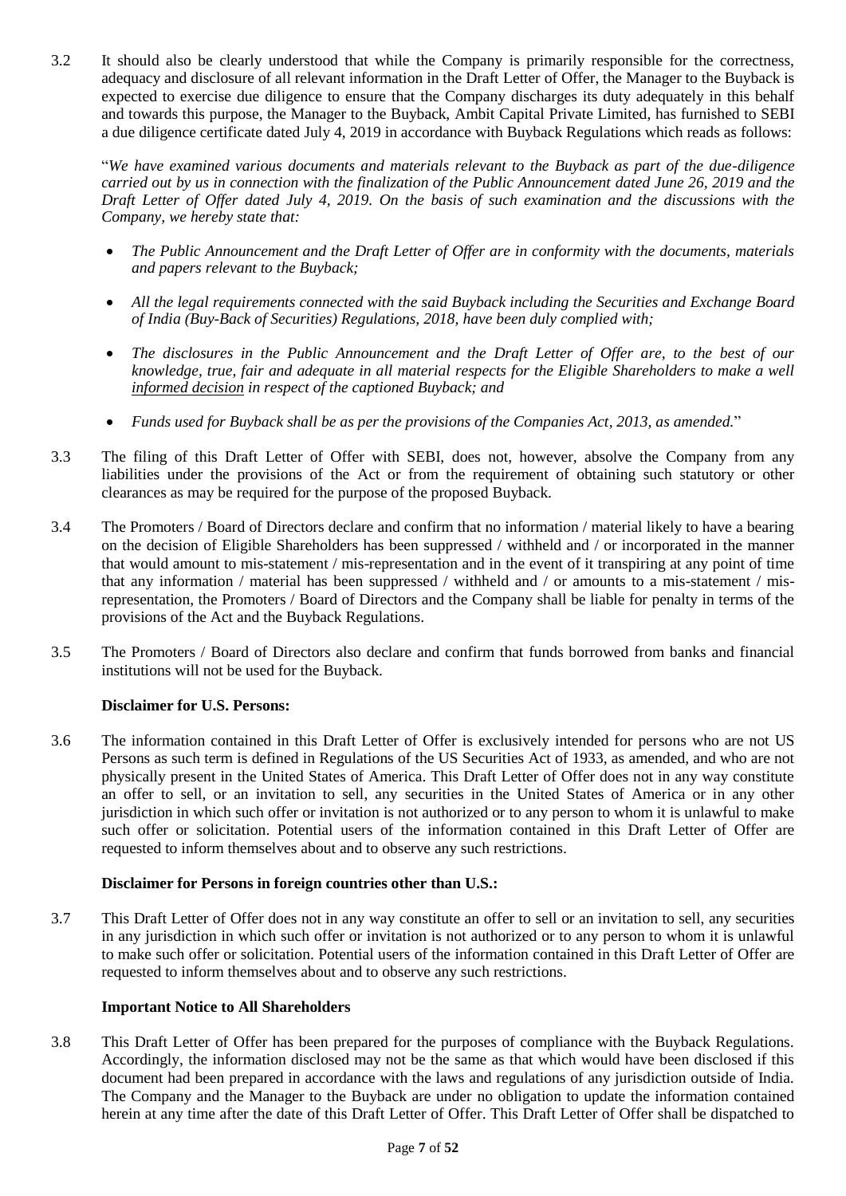3.2 It should also be clearly understood that while the Company is primarily responsible for the correctness, adequacy and disclosure of all relevant information in the Draft Letter of Offer, the Manager to the Buyback is expected to exercise due diligence to ensure that the Company discharges its duty adequately in this behalf and towards this purpose, the Manager to the Buyback, Ambit Capital Private Limited, has furnished to SEBI a due diligence certificate dated July 4, 2019 in accordance with Buyback Regulations which reads as follows:

"*We have examined various documents and materials relevant to the Buyback as part of the due-diligence carried out by us in connection with the finalization of the Public Announcement dated June 26, 2019 and the Draft Letter of Offer dated July 4, 2019. On the basis of such examination and the discussions with the Company, we hereby state that:* 

- *The Public Announcement and the Draft Letter of Offer are in conformity with the documents, materials and papers relevant to the Buyback;*
- *All the legal requirements connected with the said Buyback including the Securities and Exchange Board of India (Buy-Back of Securities) Regulations, 2018, have been duly complied with;*
- *The disclosures in the Public Announcement and the Draft Letter of Offer are, to the best of our knowledge, true, fair and adequate in all material respects for the Eligible Shareholders to make a well informed decision in respect of the captioned Buyback; and*
- *Funds used for Buyback shall be as per the provisions of the Companies Act, 2013, as amended.*"
- 3.3 The filing of this Draft Letter of Offer with SEBI, does not, however, absolve the Company from any liabilities under the provisions of the Act or from the requirement of obtaining such statutory or other clearances as may be required for the purpose of the proposed Buyback.
- 3.4 The Promoters / Board of Directors declare and confirm that no information / material likely to have a bearing on the decision of Eligible Shareholders has been suppressed / withheld and / or incorporated in the manner that would amount to mis-statement / mis-representation and in the event of it transpiring at any point of time that any information / material has been suppressed / withheld and / or amounts to a mis-statement / misrepresentation, the Promoters / Board of Directors and the Company shall be liable for penalty in terms of the provisions of the Act and the Buyback Regulations.
- 3.5 The Promoters / Board of Directors also declare and confirm that funds borrowed from banks and financial institutions will not be used for the Buyback.

### **Disclaimer for U.S. Persons:**

3.6 The information contained in this Draft Letter of Offer is exclusively intended for persons who are not US Persons as such term is defined in Regulations of the US Securities Act of 1933, as amended, and who are not physically present in the United States of America. This Draft Letter of Offer does not in any way constitute an offer to sell, or an invitation to sell, any securities in the United States of America or in any other jurisdiction in which such offer or invitation is not authorized or to any person to whom it is unlawful to make such offer or solicitation. Potential users of the information contained in this Draft Letter of Offer are requested to inform themselves about and to observe any such restrictions.

#### **Disclaimer for Persons in foreign countries other than U.S.:**

3.7 This Draft Letter of Offer does not in any way constitute an offer to sell or an invitation to sell, any securities in any jurisdiction in which such offer or invitation is not authorized or to any person to whom it is unlawful to make such offer or solicitation. Potential users of the information contained in this Draft Letter of Offer are requested to inform themselves about and to observe any such restrictions.

#### **Important Notice to All Shareholders**

3.8 This Draft Letter of Offer has been prepared for the purposes of compliance with the Buyback Regulations. Accordingly, the information disclosed may not be the same as that which would have been disclosed if this document had been prepared in accordance with the laws and regulations of any jurisdiction outside of India. The Company and the Manager to the Buyback are under no obligation to update the information contained herein at any time after the date of this Draft Letter of Offer. This Draft Letter of Offer shall be dispatched to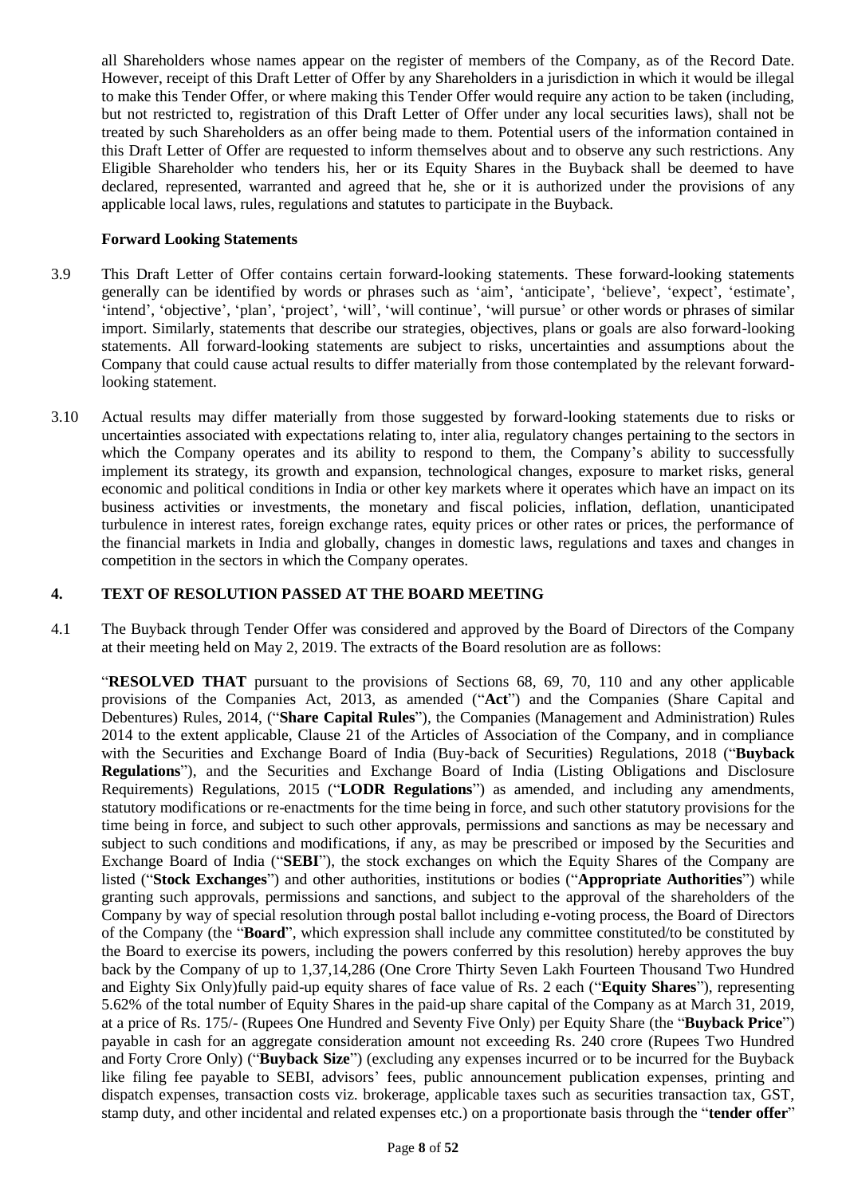all Shareholders whose names appear on the register of members of the Company, as of the Record Date. However, receipt of this Draft Letter of Offer by any Shareholders in a jurisdiction in which it would be illegal to make this Tender Offer, or where making this Tender Offer would require any action to be taken (including, but not restricted to, registration of this Draft Letter of Offer under any local securities laws), shall not be treated by such Shareholders as an offer being made to them. Potential users of the information contained in this Draft Letter of Offer are requested to inform themselves about and to observe any such restrictions. Any Eligible Shareholder who tenders his, her or its Equity Shares in the Buyback shall be deemed to have declared, represented, warranted and agreed that he, she or it is authorized under the provisions of any applicable local laws, rules, regulations and statutes to participate in the Buyback.

### **Forward Looking Statements**

- 3.9 This Draft Letter of Offer contains certain forward-looking statements. These forward-looking statements generally can be identified by words or phrases such as 'aim', 'anticipate', 'believe', 'expect', 'estimate', 'intend', 'objective', 'plan', 'project', 'will', 'will continue', 'will pursue' or other words or phrases of similar import. Similarly, statements that describe our strategies, objectives, plans or goals are also forward-looking statements. All forward-looking statements are subject to risks, uncertainties and assumptions about the Company that could cause actual results to differ materially from those contemplated by the relevant forwardlooking statement.
- 3.10 Actual results may differ materially from those suggested by forward-looking statements due to risks or uncertainties associated with expectations relating to, inter alia, regulatory changes pertaining to the sectors in which the Company operates and its ability to respond to them, the Company's ability to successfully implement its strategy, its growth and expansion, technological changes, exposure to market risks, general economic and political conditions in India or other key markets where it operates which have an impact on its business activities or investments, the monetary and fiscal policies, inflation, deflation, unanticipated turbulence in interest rates, foreign exchange rates, equity prices or other rates or prices, the performance of the financial markets in India and globally, changes in domestic laws, regulations and taxes and changes in competition in the sectors in which the Company operates.

### <span id="page-7-0"></span>**4. TEXT OF RESOLUTION PASSED AT THE BOARD MEETING**

4.1 The Buyback through Tender Offer was considered and approved by the Board of Directors of the Company at their meeting held on May 2, 2019. The extracts of the Board resolution are as follows:

"**RESOLVED THAT** pursuant to the provisions of Sections 68, 69, 70, 110 and any other applicable provisions of the Companies Act, 2013, as amended ("**Act**") and the Companies (Share Capital and Debentures) Rules, 2014, ("**Share Capital Rules**"), the Companies (Management and Administration) Rules 2014 to the extent applicable, Clause 21 of the Articles of Association of the Company, and in compliance with the Securities and Exchange Board of India (Buy-back of Securities) Regulations, 2018 ("**Buyback Regulations**"), and the Securities and Exchange Board of India (Listing Obligations and Disclosure Requirements) Regulations, 2015 ("**LODR Regulations**") as amended, and including any amendments, statutory modifications or re-enactments for the time being in force, and such other statutory provisions for the time being in force, and subject to such other approvals, permissions and sanctions as may be necessary and subject to such conditions and modifications, if any, as may be prescribed or imposed by the Securities and Exchange Board of India ("**SEBI**"), the stock exchanges on which the Equity Shares of the Company are listed ("**Stock Exchanges**") and other authorities, institutions or bodies ("**Appropriate Authorities**") while granting such approvals, permissions and sanctions, and subject to the approval of the shareholders of the Company by way of special resolution through postal ballot including e-voting process, the Board of Directors of the Company (the "**Board**", which expression shall include any committee constituted/to be constituted by the Board to exercise its powers, including the powers conferred by this resolution) hereby approves the buy back by the Company of up to 1,37,14,286 (One Crore Thirty Seven Lakh Fourteen Thousand Two Hundred and Eighty Six Only)fully paid-up equity shares of face value of Rs. 2 each ("**Equity Shares**"), representing 5.62% of the total number of Equity Shares in the paid-up share capital of the Company as at March 31, 2019, at a price of Rs. 175/- (Rupees One Hundred and Seventy Five Only) per Equity Share (the "**Buyback Price**") payable in cash for an aggregate consideration amount not exceeding Rs. 240 crore (Rupees Two Hundred and Forty Crore Only) ("**Buyback Size**") (excluding any expenses incurred or to be incurred for the Buyback like filing fee payable to SEBI, advisors' fees, public announcement publication expenses, printing and dispatch expenses, transaction costs viz. brokerage, applicable taxes such as securities transaction tax, GST, stamp duty, and other incidental and related expenses etc.) on a proportionate basis through the "**tender offer**"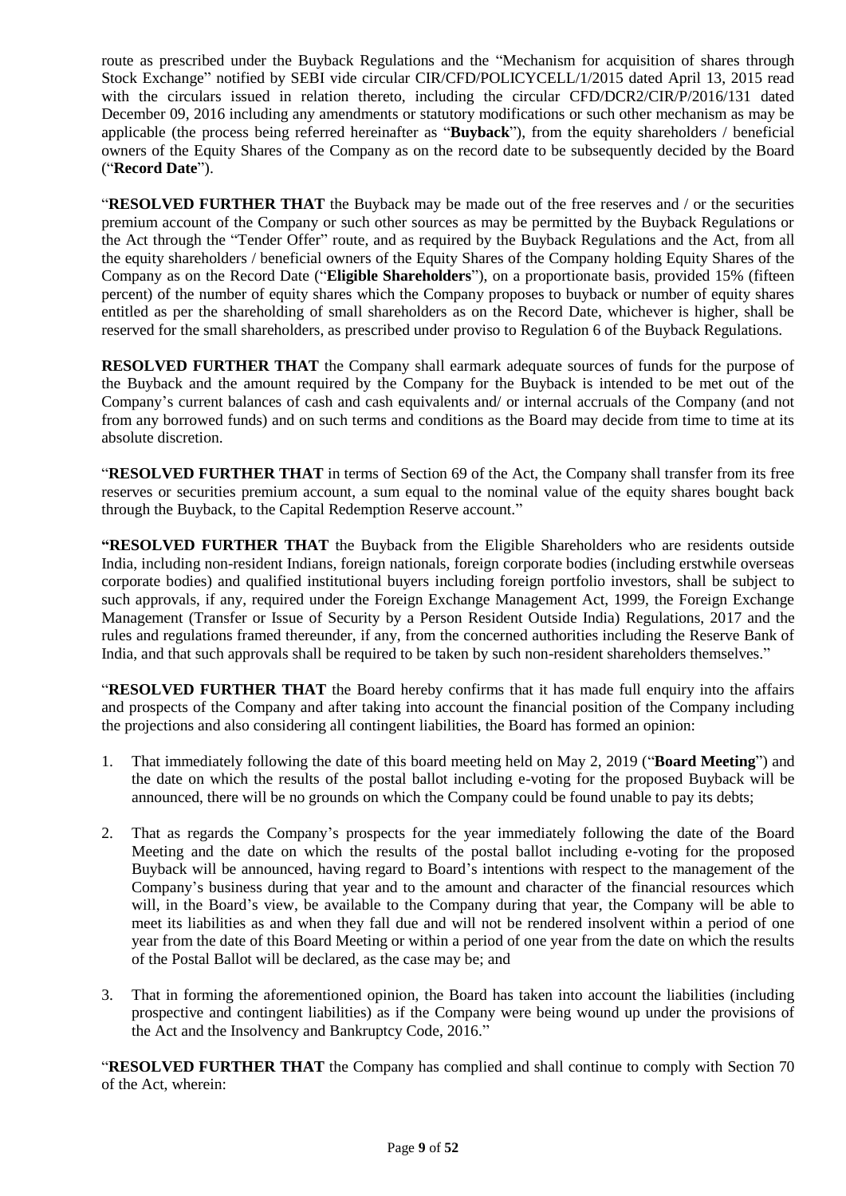route as prescribed under the Buyback Regulations and the "Mechanism for acquisition of shares through Stock Exchange" notified by SEBI vide circular CIR/CFD/POLICYCELL/1/2015 dated April 13, 2015 read with the circulars issued in relation thereto, including the circular CFD/DCR2/CIR/P/2016/131 dated December 09, 2016 including any amendments or statutory modifications or such other mechanism as may be applicable (the process being referred hereinafter as "**Buyback**"), from the equity shareholders / beneficial owners of the Equity Shares of the Company as on the record date to be subsequently decided by the Board ("**Record Date**").

"**RESOLVED FURTHER THAT** the Buyback may be made out of the free reserves and / or the securities premium account of the Company or such other sources as may be permitted by the Buyback Regulations or the Act through the "Tender Offer" route, and as required by the Buyback Regulations and the Act, from all the equity shareholders / beneficial owners of the Equity Shares of the Company holding Equity Shares of the Company as on the Record Date ("**Eligible Shareholders**"), on a proportionate basis, provided 15% (fifteen percent) of the number of equity shares which the Company proposes to buyback or number of equity shares entitled as per the shareholding of small shareholders as on the Record Date, whichever is higher, shall be reserved for the small shareholders, as prescribed under proviso to Regulation 6 of the Buyback Regulations.

**RESOLVED FURTHER THAT** the Company shall earmark adequate sources of funds for the purpose of the Buyback and the amount required by the Company for the Buyback is intended to be met out of the Company's current balances of cash and cash equivalents and/ or internal accruals of the Company (and not from any borrowed funds) and on such terms and conditions as the Board may decide from time to time at its absolute discretion.

"**RESOLVED FURTHER THAT** in terms of Section 69 of the Act, the Company shall transfer from its free reserves or securities premium account, a sum equal to the nominal value of the equity shares bought back through the Buyback, to the Capital Redemption Reserve account."

**"RESOLVED FURTHER THAT** the Buyback from the Eligible Shareholders who are residents outside India, including non-resident Indians, foreign nationals, foreign corporate bodies (including erstwhile overseas corporate bodies) and qualified institutional buyers including foreign portfolio investors, shall be subject to such approvals, if any, required under the Foreign Exchange Management Act, 1999, the Foreign Exchange Management (Transfer or Issue of Security by a Person Resident Outside India) Regulations, 2017 and the rules and regulations framed thereunder, if any, from the concerned authorities including the Reserve Bank of India, and that such approvals shall be required to be taken by such non-resident shareholders themselves."

"**RESOLVED FURTHER THAT** the Board hereby confirms that it has made full enquiry into the affairs and prospects of the Company and after taking into account the financial position of the Company including the projections and also considering all contingent liabilities, the Board has formed an opinion:

- 1. That immediately following the date of this board meeting held on May 2, 2019 ("**Board Meeting**") and the date on which the results of the postal ballot including e-voting for the proposed Buyback will be announced, there will be no grounds on which the Company could be found unable to pay its debts;
- 2. That as regards the Company's prospects for the year immediately following the date of the Board Meeting and the date on which the results of the postal ballot including e-voting for the proposed Buyback will be announced, having regard to Board's intentions with respect to the management of the Company's business during that year and to the amount and character of the financial resources which will, in the Board's view, be available to the Company during that year, the Company will be able to meet its liabilities as and when they fall due and will not be rendered insolvent within a period of one year from the date of this Board Meeting or within a period of one year from the date on which the results of the Postal Ballot will be declared, as the case may be; and
- 3. That in forming the aforementioned opinion, the Board has taken into account the liabilities (including prospective and contingent liabilities) as if the Company were being wound up under the provisions of the Act and the Insolvency and Bankruptcy Code, 2016."

"**RESOLVED FURTHER THAT** the Company has complied and shall continue to comply with Section 70 of the Act, wherein: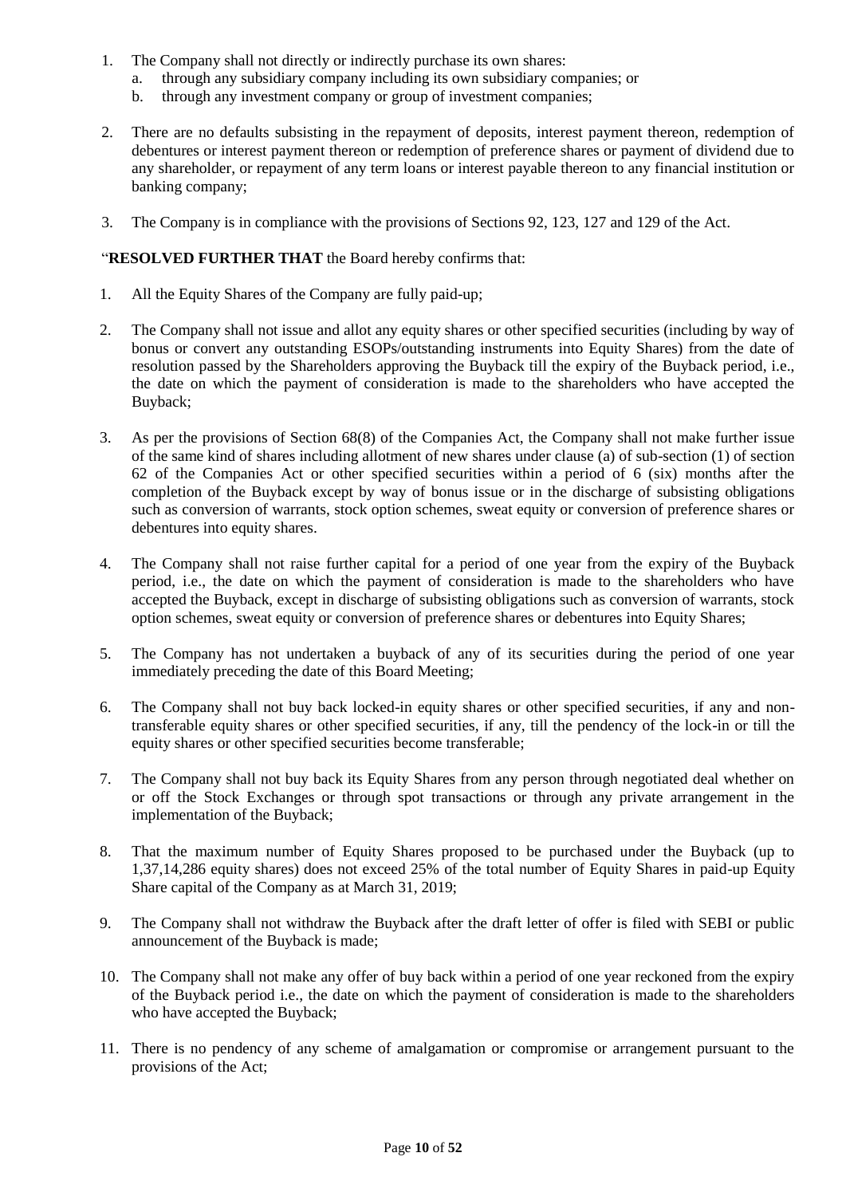- 1. The Company shall not directly or indirectly purchase its own shares:
	- a. through any subsidiary company including its own subsidiary companies; or
	- b. through any investment company or group of investment companies;
- 2. There are no defaults subsisting in the repayment of deposits, interest payment thereon, redemption of debentures or interest payment thereon or redemption of preference shares or payment of dividend due to any shareholder, or repayment of any term loans or interest payable thereon to any financial institution or banking company;
- 3. The Company is in compliance with the provisions of Sections 92, 123, 127 and 129 of the Act.

### "**RESOLVED FURTHER THAT** the Board hereby confirms that:

- 1. All the Equity Shares of the Company are fully paid-up;
- 2. The Company shall not issue and allot any equity shares or other specified securities (including by way of bonus or convert any outstanding ESOPs/outstanding instruments into Equity Shares) from the date of resolution passed by the Shareholders approving the Buyback till the expiry of the Buyback period, i.e., the date on which the payment of consideration is made to the shareholders who have accepted the Buyback;
- 3. As per the provisions of Section 68(8) of the Companies Act, the Company shall not make further issue of the same kind of shares including allotment of new shares under clause (a) of sub-section (1) of section 62 of the Companies Act or other specified securities within a period of 6 (six) months after the completion of the Buyback except by way of bonus issue or in the discharge of subsisting obligations such as conversion of warrants, stock option schemes, sweat equity or conversion of preference shares or debentures into equity shares.
- 4. The Company shall not raise further capital for a period of one year from the expiry of the Buyback period, i.e., the date on which the payment of consideration is made to the shareholders who have accepted the Buyback, except in discharge of subsisting obligations such as conversion of warrants, stock option schemes, sweat equity or conversion of preference shares or debentures into Equity Shares;
- 5. The Company has not undertaken a buyback of any of its securities during the period of one year immediately preceding the date of this Board Meeting;
- 6. The Company shall not buy back locked-in equity shares or other specified securities, if any and nontransferable equity shares or other specified securities, if any, till the pendency of the lock-in or till the equity shares or other specified securities become transferable;
- 7. The Company shall not buy back its Equity Shares from any person through negotiated deal whether on or off the Stock Exchanges or through spot transactions or through any private arrangement in the implementation of the Buyback;
- 8. That the maximum number of Equity Shares proposed to be purchased under the Buyback (up to 1,37,14,286 equity shares) does not exceed 25% of the total number of Equity Shares in paid-up Equity Share capital of the Company as at March 31, 2019;
- 9. The Company shall not withdraw the Buyback after the draft letter of offer is filed with SEBI or public announcement of the Buyback is made;
- 10. The Company shall not make any offer of buy back within a period of one year reckoned from the expiry of the Buyback period i.e., the date on which the payment of consideration is made to the shareholders who have accepted the Buyback;
- 11. There is no pendency of any scheme of amalgamation or compromise or arrangement pursuant to the provisions of the Act;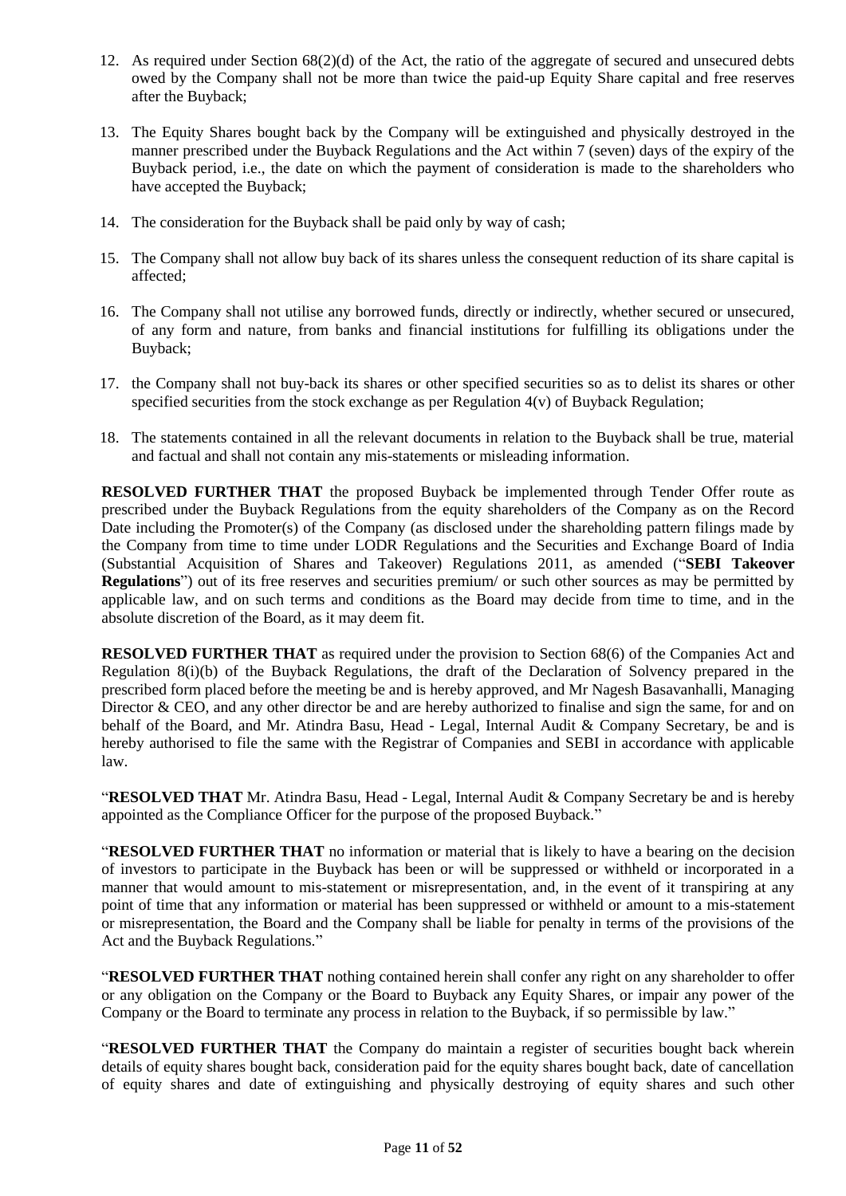- 12. As required under Section 68(2)(d) of the Act, the ratio of the aggregate of secured and unsecured debts owed by the Company shall not be more than twice the paid-up Equity Share capital and free reserves after the Buyback;
- 13. The Equity Shares bought back by the Company will be extinguished and physically destroyed in the manner prescribed under the Buyback Regulations and the Act within 7 (seven) days of the expiry of the Buyback period, i.e., the date on which the payment of consideration is made to the shareholders who have accepted the Buyback;
- 14. The consideration for the Buyback shall be paid only by way of cash;
- 15. The Company shall not allow buy back of its shares unless the consequent reduction of its share capital is affected;
- 16. The Company shall not utilise any borrowed funds, directly or indirectly, whether secured or unsecured, of any form and nature, from banks and financial institutions for fulfilling its obligations under the Buyback;
- 17. the Company shall not buy-back its shares or other specified securities so as to delist its shares or other specified securities from the stock exchange as per Regulation  $4(v)$  of Buyback Regulation;
- 18. The statements contained in all the relevant documents in relation to the Buyback shall be true, material and factual and shall not contain any mis-statements or misleading information.

**RESOLVED FURTHER THAT** the proposed Buyback be implemented through Tender Offer route as prescribed under the Buyback Regulations from the equity shareholders of the Company as on the Record Date including the Promoter(s) of the Company (as disclosed under the shareholding pattern filings made by the Company from time to time under LODR Regulations and the Securities and Exchange Board of India (Substantial Acquisition of Shares and Takeover) Regulations 2011, as amended ("**SEBI Takeover Regulations**") out of its free reserves and securities premium or such other sources as may be permitted by applicable law, and on such terms and conditions as the Board may decide from time to time, and in the absolute discretion of the Board, as it may deem fit.

**RESOLVED FURTHER THAT** as required under the provision to Section 68(6) of the Companies Act and Regulation 8(i)(b) of the Buyback Regulations, the draft of the Declaration of Solvency prepared in the prescribed form placed before the meeting be and is hereby approved, and Mr Nagesh Basavanhalli, Managing Director & CEO, and any other director be and are hereby authorized to finalise and sign the same, for and on behalf of the Board, and Mr. Atindra Basu, Head - Legal, Internal Audit & Company Secretary, be and is hereby authorised to file the same with the Registrar of Companies and SEBI in accordance with applicable law.

"**RESOLVED THAT** Mr. Atindra Basu, Head - Legal, Internal Audit & Company Secretary be and is hereby appointed as the Compliance Officer for the purpose of the proposed Buyback."

"**RESOLVED FURTHER THAT** no information or material that is likely to have a bearing on the decision of investors to participate in the Buyback has been or will be suppressed or withheld or incorporated in a manner that would amount to mis-statement or misrepresentation, and, in the event of it transpiring at any point of time that any information or material has been suppressed or withheld or amount to a mis-statement or misrepresentation, the Board and the Company shall be liable for penalty in terms of the provisions of the Act and the Buyback Regulations."

"**RESOLVED FURTHER THAT** nothing contained herein shall confer any right on any shareholder to offer or any obligation on the Company or the Board to Buyback any Equity Shares, or impair any power of the Company or the Board to terminate any process in relation to the Buyback, if so permissible by law."

"**RESOLVED FURTHER THAT** the Company do maintain a register of securities bought back wherein details of equity shares bought back, consideration paid for the equity shares bought back, date of cancellation of equity shares and date of extinguishing and physically destroying of equity shares and such other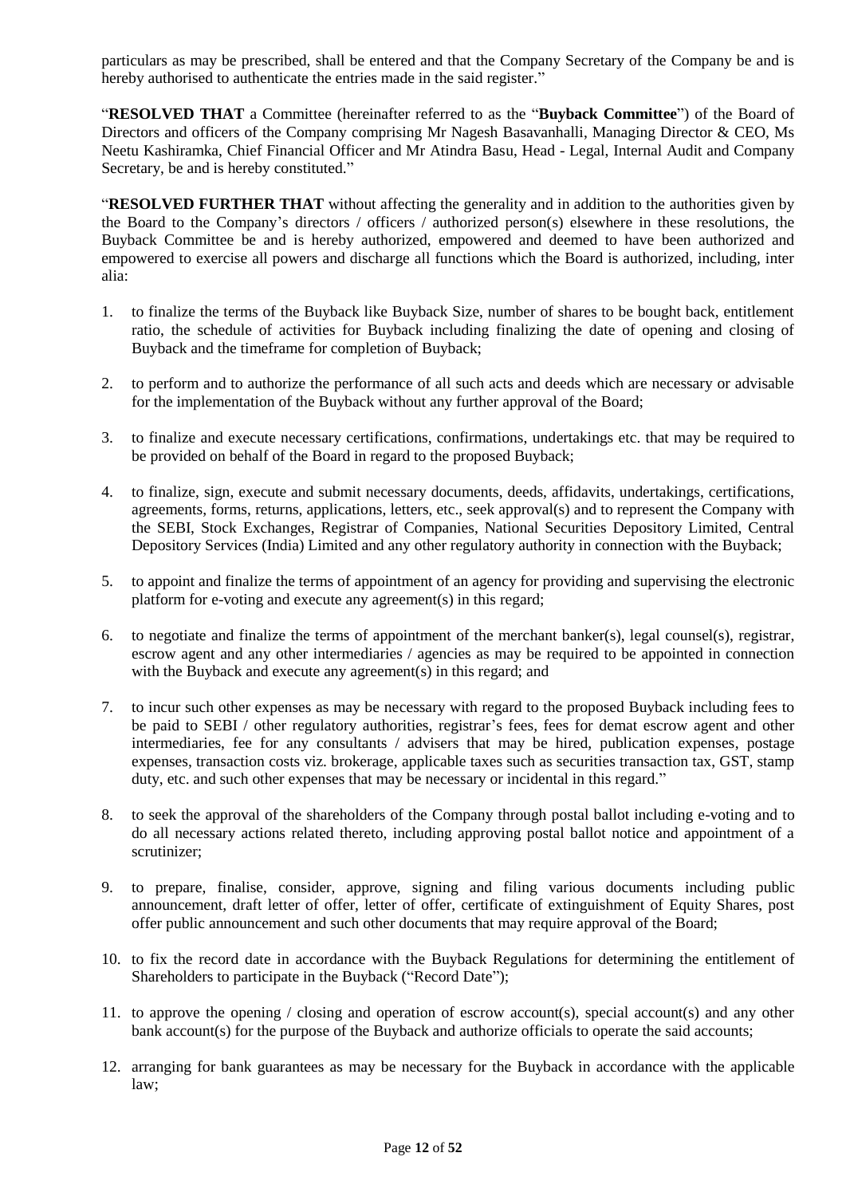particulars as may be prescribed, shall be entered and that the Company Secretary of the Company be and is hereby authorised to authenticate the entries made in the said register."

"**RESOLVED THAT** a Committee (hereinafter referred to as the "**Buyback Committee**") of the Board of Directors and officers of the Company comprising Mr Nagesh Basavanhalli, Managing Director & CEO, Ms Neetu Kashiramka, Chief Financial Officer and Mr Atindra Basu, Head - Legal, Internal Audit and Company Secretary, be and is hereby constituted."

"**RESOLVED FURTHER THAT** without affecting the generality and in addition to the authorities given by the Board to the Company's directors / officers / authorized person(s) elsewhere in these resolutions, the Buyback Committee be and is hereby authorized, empowered and deemed to have been authorized and empowered to exercise all powers and discharge all functions which the Board is authorized, including, inter alia:

- 1. to finalize the terms of the Buyback like Buyback Size, number of shares to be bought back, entitlement ratio, the schedule of activities for Buyback including finalizing the date of opening and closing of Buyback and the timeframe for completion of Buyback;
- 2. to perform and to authorize the performance of all such acts and deeds which are necessary or advisable for the implementation of the Buyback without any further approval of the Board;
- 3. to finalize and execute necessary certifications, confirmations, undertakings etc. that may be required to be provided on behalf of the Board in regard to the proposed Buyback;
- 4. to finalize, sign, execute and submit necessary documents, deeds, affidavits, undertakings, certifications, agreements, forms, returns, applications, letters, etc., seek approval(s) and to represent the Company with the SEBI, Stock Exchanges, Registrar of Companies, National Securities Depository Limited, Central Depository Services (India) Limited and any other regulatory authority in connection with the Buyback;
- 5. to appoint and finalize the terms of appointment of an agency for providing and supervising the electronic platform for e-voting and execute any agreement(s) in this regard;
- 6. to negotiate and finalize the terms of appointment of the merchant banker(s), legal counsel(s), registrar, escrow agent and any other intermediaries / agencies as may be required to be appointed in connection with the Buyback and execute any agreement(s) in this regard; and
- 7. to incur such other expenses as may be necessary with regard to the proposed Buyback including fees to be paid to SEBI / other regulatory authorities, registrar's fees, fees for demat escrow agent and other intermediaries, fee for any consultants / advisers that may be hired, publication expenses, postage expenses, transaction costs viz. brokerage, applicable taxes such as securities transaction tax, GST, stamp duty, etc. and such other expenses that may be necessary or incidental in this regard."
- 8. to seek the approval of the shareholders of the Company through postal ballot including e-voting and to do all necessary actions related thereto, including approving postal ballot notice and appointment of a scrutinizer;
- 9. to prepare, finalise, consider, approve, signing and filing various documents including public announcement, draft letter of offer, letter of offer, certificate of extinguishment of Equity Shares, post offer public announcement and such other documents that may require approval of the Board;
- 10. to fix the record date in accordance with the Buyback Regulations for determining the entitlement of Shareholders to participate in the Buyback ("Record Date");
- 11. to approve the opening / closing and operation of escrow account(s), special account(s) and any other bank account(s) for the purpose of the Buyback and authorize officials to operate the said accounts;
- 12. arranging for bank guarantees as may be necessary for the Buyback in accordance with the applicable law;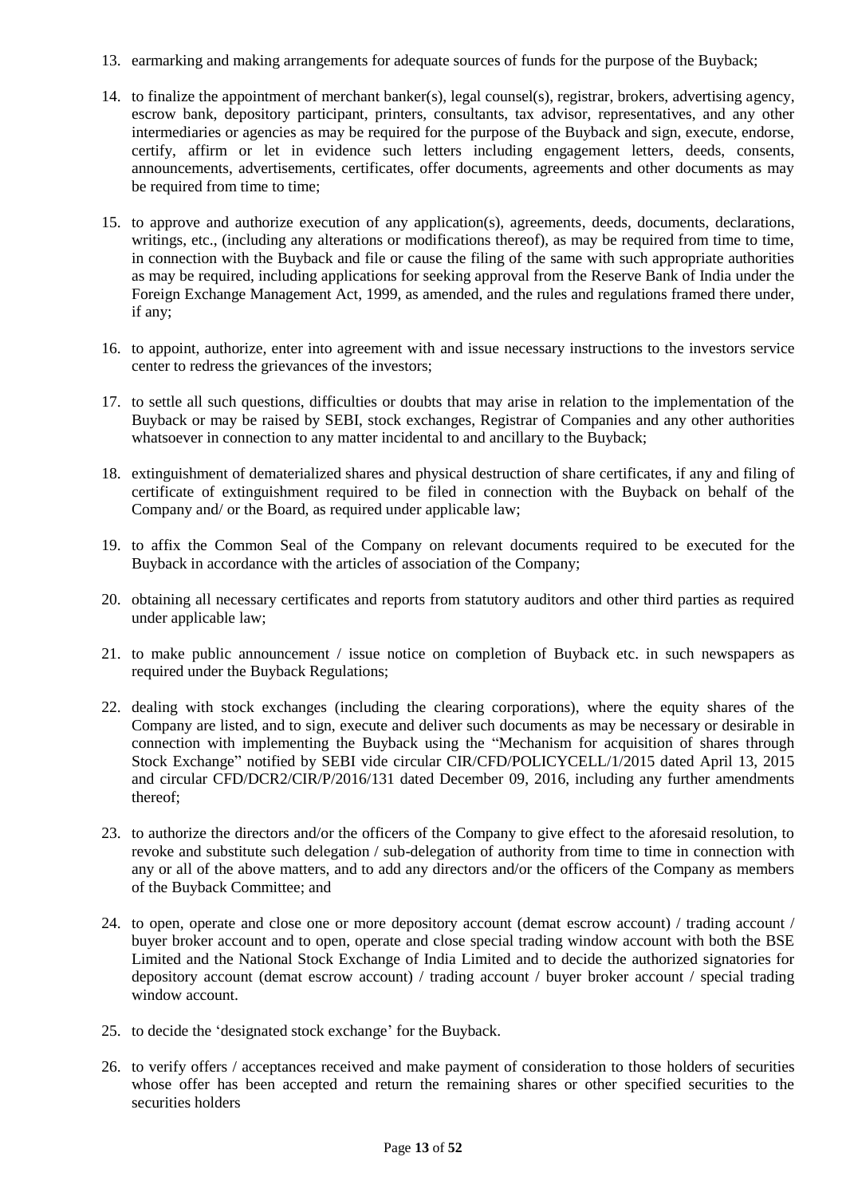- 13. earmarking and making arrangements for adequate sources of funds for the purpose of the Buyback;
- 14. to finalize the appointment of merchant banker(s), legal counsel(s), registrar, brokers, advertising agency, escrow bank, depository participant, printers, consultants, tax advisor, representatives, and any other intermediaries or agencies as may be required for the purpose of the Buyback and sign, execute, endorse, certify, affirm or let in evidence such letters including engagement letters, deeds, consents, announcements, advertisements, certificates, offer documents, agreements and other documents as may be required from time to time;
- 15. to approve and authorize execution of any application(s), agreements, deeds, documents, declarations, writings, etc., (including any alterations or modifications thereof), as may be required from time to time, in connection with the Buyback and file or cause the filing of the same with such appropriate authorities as may be required, including applications for seeking approval from the Reserve Bank of India under the Foreign Exchange Management Act, 1999, as amended, and the rules and regulations framed there under, if any;
- 16. to appoint, authorize, enter into agreement with and issue necessary instructions to the investors service center to redress the grievances of the investors;
- 17. to settle all such questions, difficulties or doubts that may arise in relation to the implementation of the Buyback or may be raised by SEBI, stock exchanges, Registrar of Companies and any other authorities whatsoever in connection to any matter incidental to and ancillary to the Buyback;
- 18. extinguishment of dematerialized shares and physical destruction of share certificates, if any and filing of certificate of extinguishment required to be filed in connection with the Buyback on behalf of the Company and/ or the Board, as required under applicable law;
- 19. to affix the Common Seal of the Company on relevant documents required to be executed for the Buyback in accordance with the articles of association of the Company;
- 20. obtaining all necessary certificates and reports from statutory auditors and other third parties as required under applicable law;
- 21. to make public announcement / issue notice on completion of Buyback etc. in such newspapers as required under the Buyback Regulations;
- 22. dealing with stock exchanges (including the clearing corporations), where the equity shares of the Company are listed, and to sign, execute and deliver such documents as may be necessary or desirable in connection with implementing the Buyback using the "Mechanism for acquisition of shares through Stock Exchange" notified by SEBI vide circular CIR/CFD/POLICYCELL/1/2015 dated April 13, 2015 and circular CFD/DCR2/CIR/P/2016/131 dated December 09, 2016, including any further amendments thereof;
- 23. to authorize the directors and/or the officers of the Company to give effect to the aforesaid resolution, to revoke and substitute such delegation / sub-delegation of authority from time to time in connection with any or all of the above matters, and to add any directors and/or the officers of the Company as members of the Buyback Committee; and
- 24. to open, operate and close one or more depository account (demat escrow account) / trading account / buyer broker account and to open, operate and close special trading window account with both the BSE Limited and the National Stock Exchange of India Limited and to decide the authorized signatories for depository account (demat escrow account) / trading account / buyer broker account / special trading window account.
- 25. to decide the 'designated stock exchange' for the Buyback.
- 26. to verify offers / acceptances received and make payment of consideration to those holders of securities whose offer has been accepted and return the remaining shares or other specified securities to the securities holders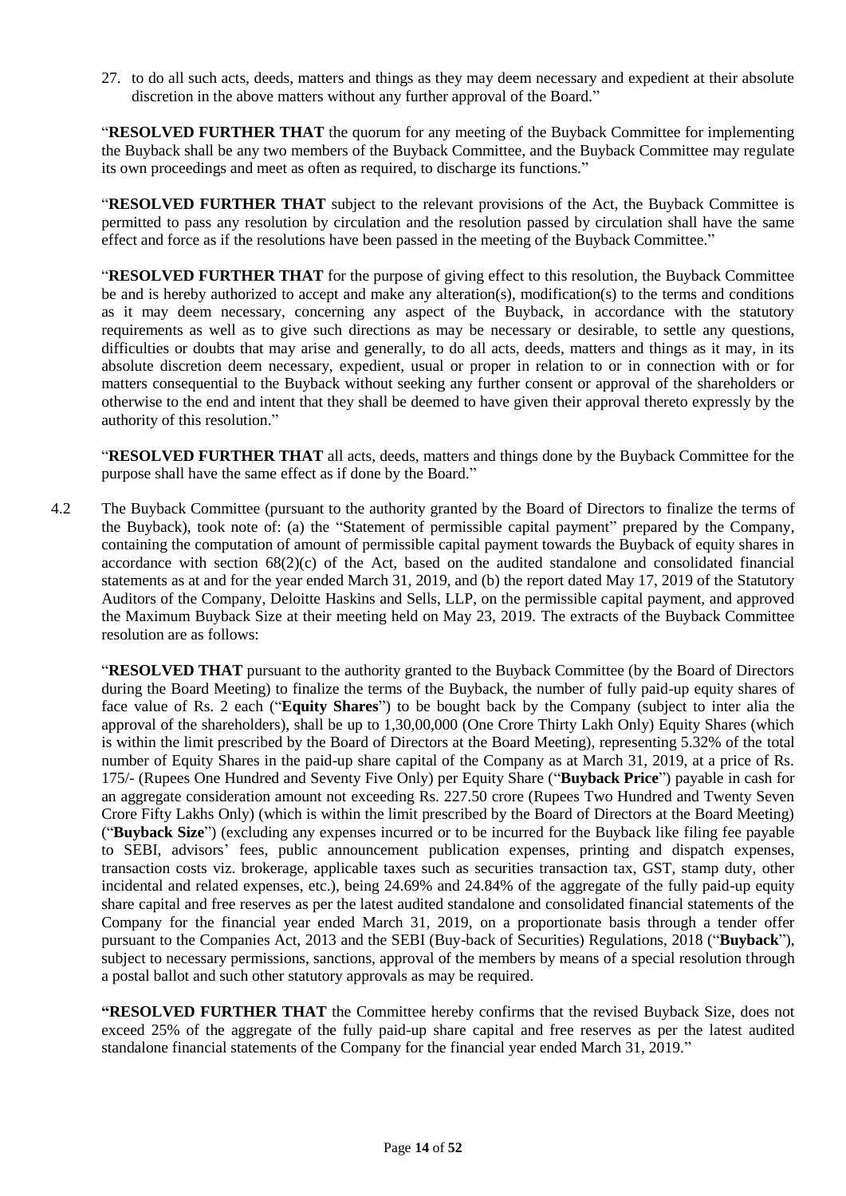27. to do all such acts, deeds, matters and things as they may deem necessary and expedient at their absolute discretion in the above matters without any further approval of the Board."

"**RESOLVED FURTHER THAT** the quorum for any meeting of the Buyback Committee for implementing the Buyback shall be any two members of the Buyback Committee, and the Buyback Committee may regulate its own proceedings and meet as often as required, to discharge its functions."

"**RESOLVED FURTHER THAT** subject to the relevant provisions of the Act, the Buyback Committee is permitted to pass any resolution by circulation and the resolution passed by circulation shall have the same effect and force as if the resolutions have been passed in the meeting of the Buyback Committee."

"**RESOLVED FURTHER THAT** for the purpose of giving effect to this resolution, the Buyback Committee be and is hereby authorized to accept and make any alteration(s), modification(s) to the terms and conditions as it may deem necessary, concerning any aspect of the Buyback, in accordance with the statutory requirements as well as to give such directions as may be necessary or desirable, to settle any questions, difficulties or doubts that may arise and generally, to do all acts, deeds, matters and things as it may, in its absolute discretion deem necessary, expedient, usual or proper in relation to or in connection with or for matters consequential to the Buyback without seeking any further consent or approval of the shareholders or otherwise to the end and intent that they shall be deemed to have given their approval thereto expressly by the authority of this resolution."

"**RESOLVED FURTHER THAT** all acts, deeds, matters and things done by the Buyback Committee for the purpose shall have the same effect as if done by the Board."

4.2 The Buyback Committee (pursuant to the authority granted by the Board of Directors to finalize the terms of the Buyback), took note of: (a) the "Statement of permissible capital payment" prepared by the Company, containing the computation of amount of permissible capital payment towards the Buyback of equity shares in accordance with section  $68(2)(c)$  of the Act, based on the audited standalone and consolidated financial statements as at and for the year ended March 31, 2019, and (b) the report dated May 17, 2019 of the Statutory Auditors of the Company, Deloitte Haskins and Sells, LLP, on the permissible capital payment, and approved the Maximum Buyback Size at their meeting held on May 23, 2019. The extracts of the Buyback Committee resolution are as follows:

"**RESOLVED THAT** pursuant to the authority granted to the Buyback Committee (by the Board of Directors during the Board Meeting) to finalize the terms of the Buyback, the number of fully paid-up equity shares of face value of Rs. 2 each ("**Equity Shares**") to be bought back by the Company (subject to inter alia the approval of the shareholders), shall be up to 1,30,00,000 (One Crore Thirty Lakh Only) Equity Shares (which is within the limit prescribed by the Board of Directors at the Board Meeting), representing 5.32% of the total number of Equity Shares in the paid-up share capital of the Company as at March 31, 2019, at a price of Rs. 175/- (Rupees One Hundred and Seventy Five Only) per Equity Share ("**Buyback Price**") payable in cash for an aggregate consideration amount not exceeding Rs. 227.50 crore (Rupees Two Hundred and Twenty Seven Crore Fifty Lakhs Only) (which is within the limit prescribed by the Board of Directors at the Board Meeting) ("**Buyback Size**") (excluding any expenses incurred or to be incurred for the Buyback like filing fee payable to SEBI, advisors' fees, public announcement publication expenses, printing and dispatch expenses, transaction costs viz. brokerage, applicable taxes such as securities transaction tax, GST, stamp duty, other incidental and related expenses, etc.), being 24.69% and 24.84% of the aggregate of the fully paid-up equity share capital and free reserves as per the latest audited standalone and consolidated financial statements of the Company for the financial year ended March 31, 2019, on a proportionate basis through a tender offer pursuant to the Companies Act, 2013 and the SEBI (Buy-back of Securities) Regulations, 2018 ("**Buyback**"), subject to necessary permissions, sanctions, approval of the members by means of a special resolution through a postal ballot and such other statutory approvals as may be required.

**"RESOLVED FURTHER THAT** the Committee hereby confirms that the revised Buyback Size, does not exceed 25% of the aggregate of the fully paid-up share capital and free reserves as per the latest audited standalone financial statements of the Company for the financial year ended March 31, 2019."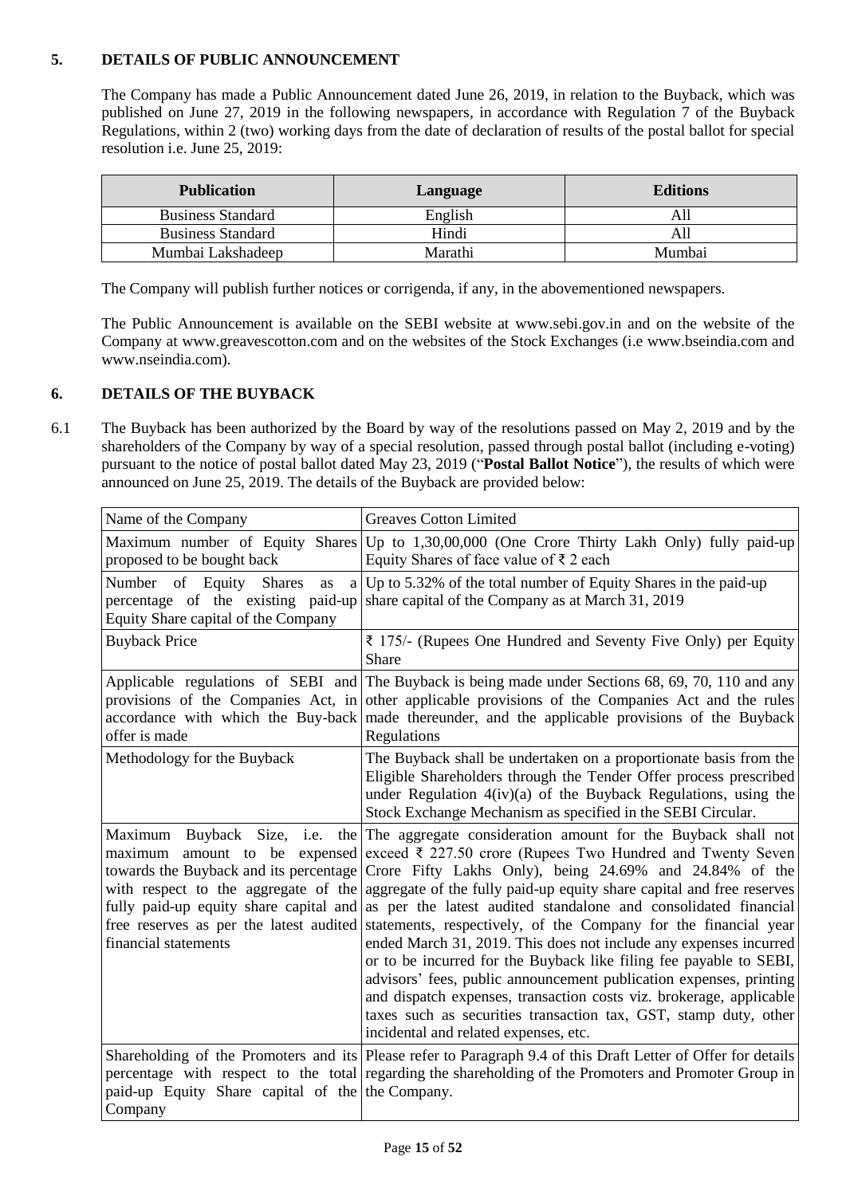### <span id="page-14-0"></span>**5. DETAILS OF PUBLIC ANNOUNCEMENT**

The Company has made a Public Announcement dated June 26, 2019, in relation to the Buyback, which was published on June 27, 2019 in the following newspapers, in accordance with Regulation 7 of the Buyback Regulations, within 2 (two) working days from the date of declaration of results of the postal ballot for special resolution i.e. June 25, 2019:

| <b>Publication</b>       | Language | <b>Editions</b> |
|--------------------------|----------|-----------------|
| <b>Business Standard</b> | English  | All             |
| <b>Business Standard</b> | Hindi    | All             |
| Mumbai Lakshadeep        | Marathi  | Mumbai          |

The Company will publish further notices or corrigenda, if any, in the abovementioned newspapers.

The Public Announcement is available on the SEBI website at [www.sebi.gov.in](http://www.sebi.gov.in/) and on the website of the Company at www.greavescotton.com and on the websites of the Stock Exchanges (i.e www.bseindia.com and www.nseindia.com).

#### <span id="page-14-1"></span>**6. DETAILS OF THE BUYBACK**

6.1 The Buyback has been authorized by the Board by way of the resolutions passed on May 2, 2019 and by the shareholders of the Company by way of a special resolution, passed through postal ballot (including e-voting) pursuant to the notice of postal ballot dated May 23, 2019 ("**Postal Ballot Notice**"), the results of which were announced on June 25, 2019. The details of the Buyback are provided below:

| Name of the Company                                                                                                                     | <b>Greaves Cotton Limited</b>                                                                                                                                                                                                                                                                                                                                                                                                                                                                                                                                                                                                                                                                                                                                                                                                                                                                                                 |
|-----------------------------------------------------------------------------------------------------------------------------------------|-------------------------------------------------------------------------------------------------------------------------------------------------------------------------------------------------------------------------------------------------------------------------------------------------------------------------------------------------------------------------------------------------------------------------------------------------------------------------------------------------------------------------------------------------------------------------------------------------------------------------------------------------------------------------------------------------------------------------------------------------------------------------------------------------------------------------------------------------------------------------------------------------------------------------------|
| proposed to be bought back                                                                                                              | Maximum number of Equity Shares Up to 1,30,00,000 (One Crore Thirty Lakh Only) fully paid-up<br>Equity Shares of face value of $\bar{z}$ 2 each                                                                                                                                                                                                                                                                                                                                                                                                                                                                                                                                                                                                                                                                                                                                                                               |
| Number of Equity<br><b>Shares</b><br>as<br>a l<br>percentage of the existing paid-up<br>Equity Share capital of the Company             | Up to 5.32% of the total number of Equity Shares in the paid-up<br>share capital of the Company as at March 31, 2019                                                                                                                                                                                                                                                                                                                                                                                                                                                                                                                                                                                                                                                                                                                                                                                                          |
| <b>Buyback Price</b>                                                                                                                    | ₹ 175/- (Rupees One Hundred and Seventy Five Only) per Equity<br>Share                                                                                                                                                                                                                                                                                                                                                                                                                                                                                                                                                                                                                                                                                                                                                                                                                                                        |
| accordance with which the Buy-back<br>offer is made                                                                                     | Applicable regulations of SEBI and The Buyback is being made under Sections 68, 69, 70, 110 and any<br>provisions of the Companies Act, in other applicable provisions of the Companies Act and the rules<br>made thereunder, and the applicable provisions of the Buyback<br>Regulations                                                                                                                                                                                                                                                                                                                                                                                                                                                                                                                                                                                                                                     |
| Methodology for the Buyback                                                                                                             | The Buyback shall be undertaken on a proportionate basis from the<br>Eligible Shareholders through the Tender Offer process prescribed<br>under Regulation 4(iv)(a) of the Buyback Regulations, using the<br>Stock Exchange Mechanism as specified in the SEBI Circular.                                                                                                                                                                                                                                                                                                                                                                                                                                                                                                                                                                                                                                                      |
| Buyback Size, i.e. the<br>Maximum<br>amount to be expensed<br>maximum<br>towards the Buyback and its percentage<br>financial statements | The aggregate consideration amount for the Buyback shall not<br>exceed ₹ 227.50 crore (Rupees Two Hundred and Twenty Seven<br>Crore Fifty Lakhs Only), being 24.69% and 24.84% of the<br>with respect to the aggregate of the aggregate of the fully paid-up equity share capital and free reserves<br>fully paid-up equity share capital and as per the latest audited standalone and consolidated financial<br>free reserves as per the latest audited statements, respectively, of the Company for the financial year<br>ended March 31, 2019. This does not include any expenses incurred<br>or to be incurred for the Buyback like filing fee payable to SEBI,<br>advisors' fees, public announcement publication expenses, printing<br>and dispatch expenses, transaction costs viz. brokerage, applicable<br>taxes such as securities transaction tax, GST, stamp duty, other<br>incidental and related expenses, etc. |
| paid-up Equity Share capital of the the Company.<br>Company                                                                             | Shareholding of the Promoters and its Please refer to Paragraph 9.4 of this Draft Letter of Offer for details<br>percentage with respect to the total regarding the shareholding of the Promoters and Promoter Group in                                                                                                                                                                                                                                                                                                                                                                                                                                                                                                                                                                                                                                                                                                       |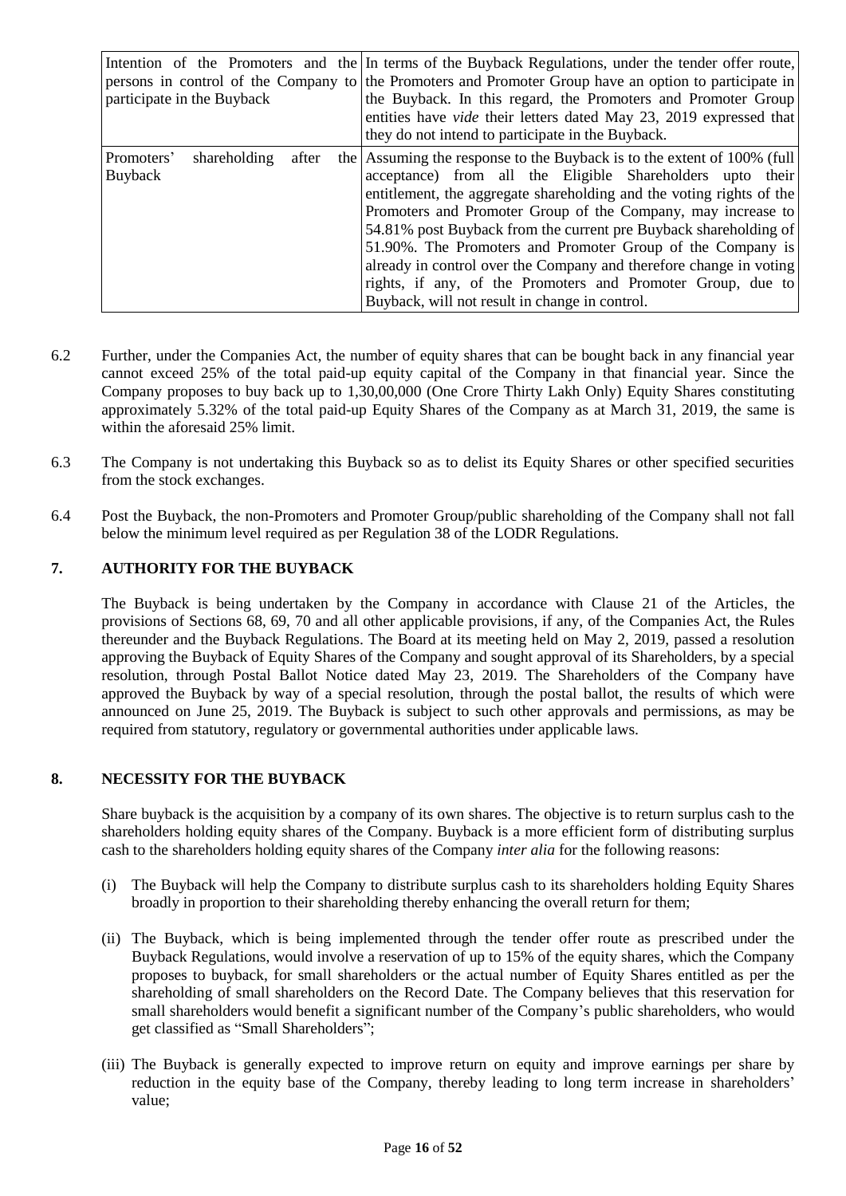| participate in the Buyback                     | Intention of the Promoters and the Interms of the Buyback Regulations, under the tender offer route,<br>persons in control of the Company to the Promoters and Promoter Group have an option to participate in<br>the Buyback. In this regard, the Promoters and Promoter Group<br>entities have <i>vide</i> their letters dated May 23, 2019 expressed that<br>they do not intend to participate in the Buyback.                                                                                                                                                                                     |  |  |
|------------------------------------------------|-------------------------------------------------------------------------------------------------------------------------------------------------------------------------------------------------------------------------------------------------------------------------------------------------------------------------------------------------------------------------------------------------------------------------------------------------------------------------------------------------------------------------------------------------------------------------------------------------------|--|--|
| shareholding<br>Promoters'<br>after<br>Buyback | the Assuming the response to the Buyback is to the extent of 100% (full<br>acceptance) from all the Eligible Shareholders upto their<br>entitlement, the aggregate shareholding and the voting rights of the<br>Promoters and Promoter Group of the Company, may increase to<br>54.81% post Buyback from the current pre Buyback shareholding of<br>51.90%. The Promoters and Promoter Group of the Company is<br>already in control over the Company and therefore change in voting<br>rights, if any, of the Promoters and Promoter Group, due to<br>Buyback, will not result in change in control. |  |  |

- 6.2 Further, under the Companies Act, the number of equity shares that can be bought back in any financial year cannot exceed 25% of the total paid-up equity capital of the Company in that financial year. Since the Company proposes to buy back up to 1,30,00,000 (One Crore Thirty Lakh Only) Equity Shares constituting approximately 5.32% of the total paid-up Equity Shares of the Company as at March 31, 2019, the same is within the aforesaid 25% limit.
- 6.3 The Company is not undertaking this Buyback so as to delist its Equity Shares or other specified securities from the stock exchanges.
- 6.4 Post the Buyback, the non-Promoters and Promoter Group/public shareholding of the Company shall not fall below the minimum level required as per Regulation 38 of the LODR Regulations.

### <span id="page-15-0"></span>**7. AUTHORITY FOR THE BUYBACK**

The Buyback is being undertaken by the Company in accordance with Clause 21 of the Articles, the provisions of Sections 68, 69, 70 and all other applicable provisions, if any, of the Companies Act, the Rules thereunder and the Buyback Regulations. The Board at its meeting held on May 2, 2019, passed a resolution approving the Buyback of Equity Shares of the Company and sought approval of its Shareholders, by a special resolution, through Postal Ballot Notice dated May 23, 2019. The Shareholders of the Company have approved the Buyback by way of a special resolution, through the postal ballot, the results of which were announced on June 25, 2019. The Buyback is subject to such other approvals and permissions, as may be required from statutory, regulatory or governmental authorities under applicable laws.

#### <span id="page-15-1"></span>**8. NECESSITY FOR THE BUYBACK**

Share buyback is the acquisition by a company of its own shares. The objective is to return surplus cash to the shareholders holding equity shares of the Company. Buyback is a more efficient form of distributing surplus cash to the shareholders holding equity shares of the Company *inter alia* for the following reasons:

- (i) The Buyback will help the Company to distribute surplus cash to its shareholders holding Equity Shares broadly in proportion to their shareholding thereby enhancing the overall return for them;
- (ii) The Buyback, which is being implemented through the tender offer route as prescribed under the Buyback Regulations, would involve a reservation of up to 15% of the equity shares, which the Company proposes to buyback, for small shareholders or the actual number of Equity Shares entitled as per the shareholding of small shareholders on the Record Date. The Company believes that this reservation for small shareholders would benefit a significant number of the Company's public shareholders, who would get classified as "Small Shareholders";
- (iii) The Buyback is generally expected to improve return on equity and improve earnings per share by reduction in the equity base of the Company, thereby leading to long term increase in shareholders' value;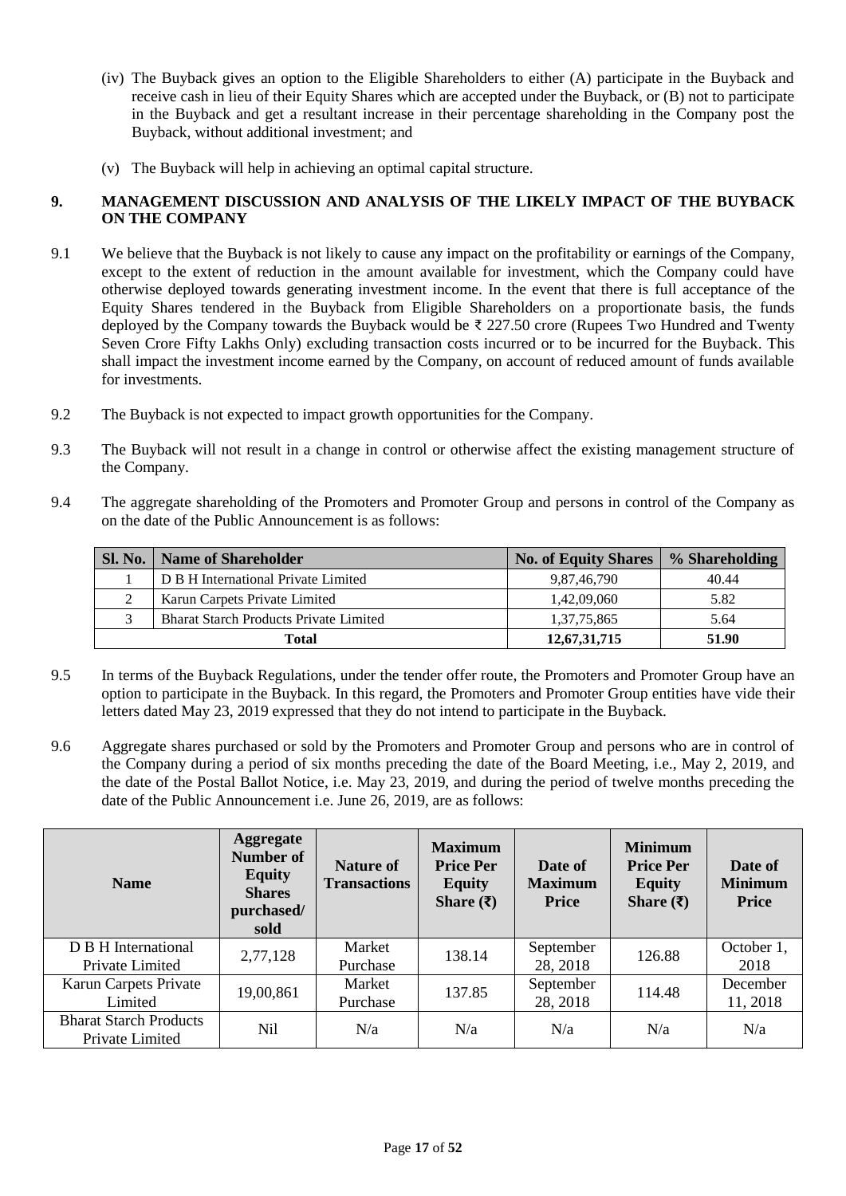- (iv) The Buyback gives an option to the Eligible Shareholders to either (A) participate in the Buyback and receive cash in lieu of their Equity Shares which are accepted under the Buyback, or (B) not to participate in the Buyback and get a resultant increase in their percentage shareholding in the Company post the Buyback, without additional investment; and
- (v) The Buyback will help in achieving an optimal capital structure.

#### <span id="page-16-0"></span>**9. MANAGEMENT DISCUSSION AND ANALYSIS OF THE LIKELY IMPACT OF THE BUYBACK ON THE COMPANY**

- 9.1 We believe that the Buyback is not likely to cause any impact on the profitability or earnings of the Company, except to the extent of reduction in the amount available for investment, which the Company could have otherwise deployed towards generating investment income. In the event that there is full acceptance of the Equity Shares tendered in the Buyback from Eligible Shareholders on a proportionate basis, the funds deployed by the Company towards the Buyback would be ₹ 227.50 crore (Rupees Two Hundred and Twenty Seven Crore Fifty Lakhs Only) excluding transaction costs incurred or to be incurred for the Buyback. This shall impact the investment income earned by the Company, on account of reduced amount of funds available for investments.
- 9.2 The Buyback is not expected to impact growth opportunities for the Company.
- 9.3 The Buyback will not result in a change in control or otherwise affect the existing management structure of the Company.
- 9.4 The aggregate shareholding of the Promoters and Promoter Group and persons in control of the Company as on the date of the Public Announcement is as follows:

| <b>Sl. No.</b> | <b>Name of Shareholder</b>                    | <b>No. of Equity Shares</b> | % Shareholding |
|----------------|-----------------------------------------------|-----------------------------|----------------|
|                | D B H International Private Limited           | 9,87,46,790                 | 40.44          |
|                | Karun Carpets Private Limited                 | 1,42,09,060                 | 5.82           |
|                | <b>Bharat Starch Products Private Limited</b> | 1,37,75,865                 | 5.64           |
|                | Total                                         | 12,67,31,715                | 51.90          |

- 9.5 In terms of the Buyback Regulations, under the tender offer route, the Promoters and Promoter Group have an option to participate in the Buyback. In this regard, the Promoters and Promoter Group entities have vide their letters dated May 23, 2019 expressed that they do not intend to participate in the Buyback.
- 9.6 Aggregate shares purchased or sold by the Promoters and Promoter Group and persons who are in control of the Company during a period of six months preceding the date of the Board Meeting, i.e., May 2, 2019, and the date of the Postal Ballot Notice, i.e. May 23, 2019, and during the period of twelve months preceding the date of the Public Announcement i.e. June 26, 2019, are as follows:

| <b>Name</b>                                      | <b>Aggregate</b><br><b>Number of</b><br><b>Equity</b><br><b>Shares</b><br>purchased/<br>sold | <b>Nature of</b><br><b>Transactions</b> | <b>Maximum</b><br><b>Price Per</b><br><b>Equity</b><br>Share $(₹)$ | Date of<br><b>Maximum</b><br><b>Price</b> | <b>Minimum</b><br><b>Price Per</b><br><b>Equity</b><br>Share $(\bar{\zeta})$ | Date of<br><b>Minimum</b><br><b>Price</b> |
|--------------------------------------------------|----------------------------------------------------------------------------------------------|-----------------------------------------|--------------------------------------------------------------------|-------------------------------------------|------------------------------------------------------------------------------|-------------------------------------------|
| D B H International<br>Private Limited           | 2,77,128                                                                                     | Market<br>Purchase                      | 138.14                                                             | September<br>28, 2018                     | 126.88                                                                       | October 1,<br>2018                        |
| Karun Carpets Private<br>Limited                 | 19,00,861                                                                                    | Market<br>Purchase                      | 137.85                                                             | September<br>28, 2018                     | 114.48                                                                       | December<br>11, 2018                      |
| <b>Bharat Starch Products</b><br>Private Limited | Nil                                                                                          | N/a                                     | N/a                                                                | N/a                                       | N/a                                                                          | N/a                                       |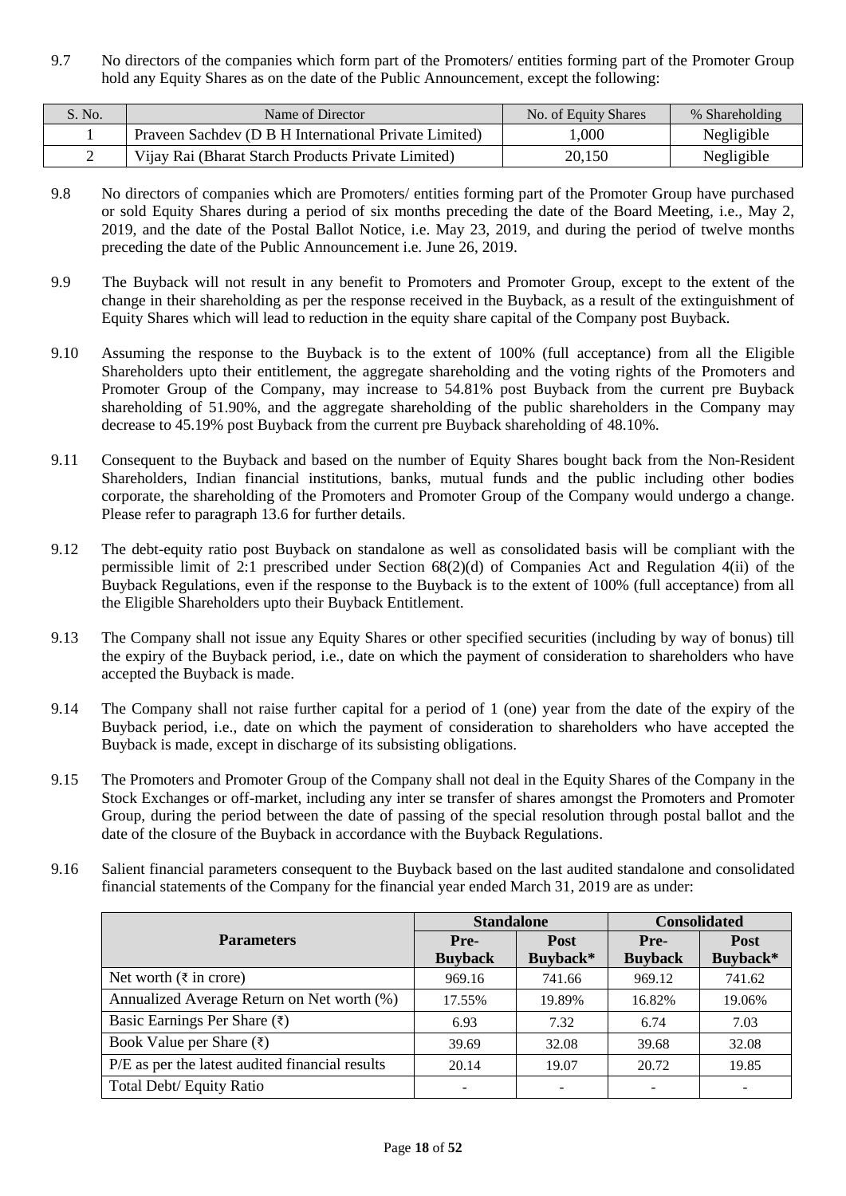9.7 No directors of the companies which form part of the Promoters/ entities forming part of the Promoter Group hold any Equity Shares as on the date of the Public Announcement, except the following:

| S. No. | Name of Director                                      | No. of Equity Shares | % Shareholding |
|--------|-------------------------------------------------------|----------------------|----------------|
|        | Praveen Sachdev (D B H International Private Limited) | .000                 | Negligible     |
|        | Vijay Rai (Bharat Starch Products Private Limited)    | 20,150               | Negligible     |

- 9.8 No directors of companies which are Promoters/ entities forming part of the Promoter Group have purchased or sold Equity Shares during a period of six months preceding the date of the Board Meeting, i.e., May 2, 2019, and the date of the Postal Ballot Notice, i.e. May 23, 2019, and during the period of twelve months preceding the date of the Public Announcement i.e. June 26, 2019.
- 9.9 The Buyback will not result in any benefit to Promoters and Promoter Group, except to the extent of the change in their shareholding as per the response received in the Buyback, as a result of the extinguishment of Equity Shares which will lead to reduction in the equity share capital of the Company post Buyback.
- 9.10 Assuming the response to the Buyback is to the extent of 100% (full acceptance) from all the Eligible Shareholders upto their entitlement, the aggregate shareholding and the voting rights of the Promoters and Promoter Group of the Company, may increase to 54.81% post Buyback from the current pre Buyback shareholding of 51.90%, and the aggregate shareholding of the public shareholders in the Company may decrease to 45.19% post Buyback from the current pre Buyback shareholding of 48.10%.
- 9.11 Consequent to the Buyback and based on the number of Equity Shares bought back from the Non-Resident Shareholders, Indian financial institutions, banks, mutual funds and the public including other bodies corporate, the shareholding of the Promoters and Promoter Group of the Company would undergo a change. Please refer to paragraph 13.6 for further details.
- 9.12 The debt-equity ratio post Buyback on standalone as well as consolidated basis will be compliant with the permissible limit of 2:1 prescribed under Section 68(2)(d) of Companies Act and Regulation 4(ii) of the Buyback Regulations, even if the response to the Buyback is to the extent of 100% (full acceptance) from all the Eligible Shareholders upto their Buyback Entitlement.
- 9.13 The Company shall not issue any Equity Shares or other specified securities (including by way of bonus) till the expiry of the Buyback period, i.e., date on which the payment of consideration to shareholders who have accepted the Buyback is made.
- 9.14 The Company shall not raise further capital for a period of 1 (one) year from the date of the expiry of the Buyback period, i.e., date on which the payment of consideration to shareholders who have accepted the Buyback is made, except in discharge of its subsisting obligations.
- 9.15 The Promoters and Promoter Group of the Company shall not deal in the Equity Shares of the Company in the Stock Exchanges or off-market, including any inter se transfer of shares amongst the Promoters and Promoter Group, during the period between the date of passing of the special resolution through postal ballot and the date of the closure of the Buyback in accordance with the Buyback Regulations.
- 9.16 Salient financial parameters consequent to the Buyback based on the last audited standalone and consolidated financial statements of the Company for the financial year ended March 31, 2019 are as under:

|                                                 | <b>Standalone</b> |             | <b>Consolidated</b> |             |  |
|-------------------------------------------------|-------------------|-------------|---------------------|-------------|--|
| <b>Parameters</b>                               | Pre-              | <b>Post</b> | Pre-                | <b>Post</b> |  |
|                                                 | <b>Buyback</b>    | Buyback*    | <b>Buyback</b>      | Buyback*    |  |
| Net worth $(\bar{\tau}$ in crore)               | 969.16            | 741.66      | 969.12              | 741.62      |  |
| Annualized Average Return on Net worth (%)      | 17.55%            | 19.89%      | 16.82%              | 19.06%      |  |
| Basic Earnings Per Share $(\bar{\zeta})$        | 6.93              | 7.32        | 6.74                | 7.03        |  |
| Book Value per Share $(\bar{x})$                | 39.69             | 32.08       | 39.68               | 32.08       |  |
| P/E as per the latest audited financial results | 20.14             | 19.07       | 20.72               | 19.85       |  |
| Total Debt/ Equity Ratio                        |                   |             |                     |             |  |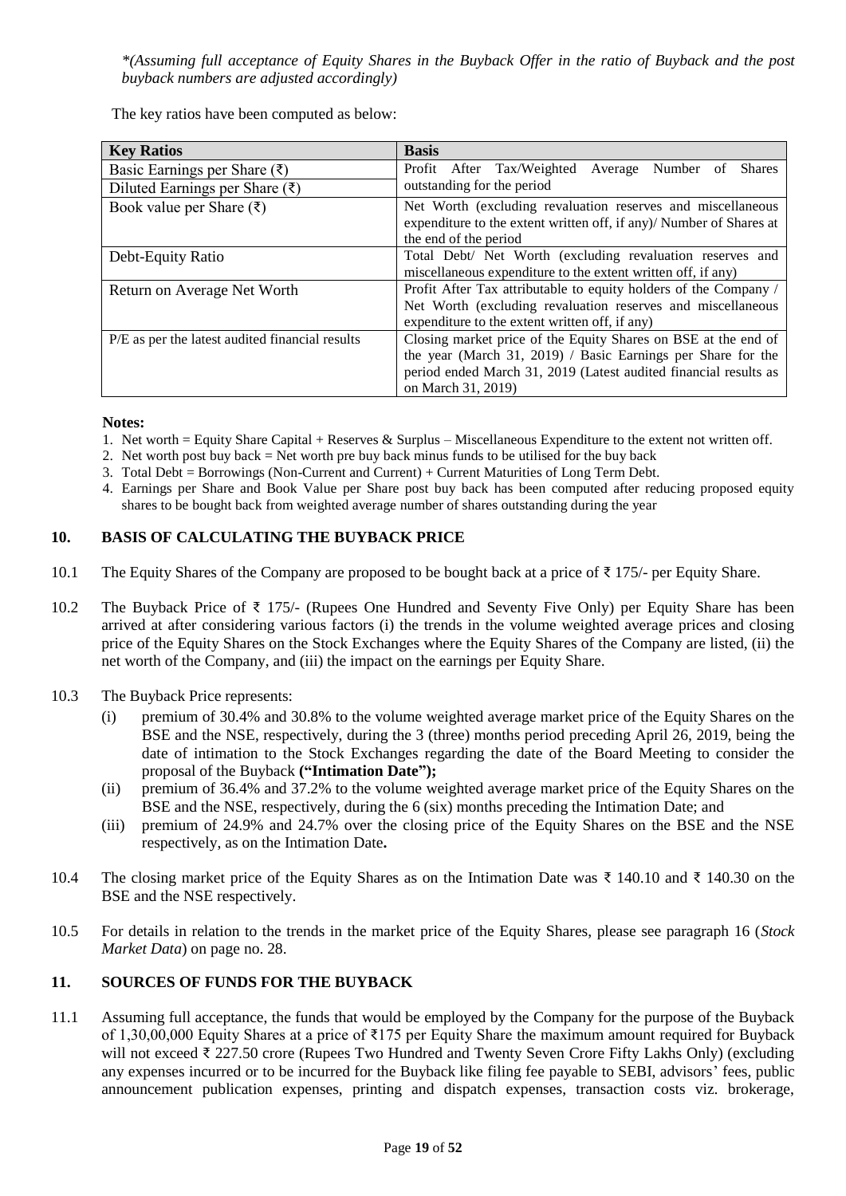*\*(Assuming full acceptance of Equity Shares in the Buyback Offer in the ratio of Buyback and the post buyback numbers are adjusted accordingly)*

The key ratios have been computed as below:

| <b>Key Ratios</b>                               | <b>Basis</b>                                                        |  |  |  |  |  |
|-------------------------------------------------|---------------------------------------------------------------------|--|--|--|--|--|
| Basic Earnings per Share $(\bar{\zeta})$        | Profit After Tax/Weighted Average<br>Number of<br><b>Shares</b>     |  |  |  |  |  |
| Diluted Earnings per Share $(\bar{x})$          | outstanding for the period                                          |  |  |  |  |  |
| Book value per Share $(\bar{\zeta})$            | Net Worth (excluding revaluation reserves and miscellaneous         |  |  |  |  |  |
|                                                 | expenditure to the extent written off, if any)/ Number of Shares at |  |  |  |  |  |
|                                                 | the end of the period                                               |  |  |  |  |  |
| Debt-Equity Ratio                               | Total Debt/ Net Worth (excluding revaluation reserves and           |  |  |  |  |  |
|                                                 | miscellaneous expenditure to the extent written off, if any)        |  |  |  |  |  |
| Return on Average Net Worth                     | Profit After Tax attributable to equity holders of the Company /    |  |  |  |  |  |
|                                                 | Net Worth (excluding revaluation reserves and miscellaneous         |  |  |  |  |  |
|                                                 | expenditure to the extent written off, if any)                      |  |  |  |  |  |
| P/E as per the latest audited financial results | Closing market price of the Equity Shares on BSE at the end of      |  |  |  |  |  |
|                                                 | the year (March 31, 2019) / Basic Earnings per Share for the        |  |  |  |  |  |
|                                                 | period ended March 31, 2019 (Latest audited financial results as    |  |  |  |  |  |
|                                                 | on March 31, 2019)                                                  |  |  |  |  |  |

#### **Notes:**

- 1. Net worth = Equity Share Capital + Reserves & Surplus Miscellaneous Expenditure to the extent not written off.
- 2. Net worth post buy back = Net worth pre buy back minus funds to be utilised for the buy back
- 3. Total Debt = Borrowings (Non-Current and Current) + Current Maturities of Long Term Debt.
- 4. Earnings per Share and Book Value per Share post buy back has been computed after reducing proposed equity shares to be bought back from weighted average number of shares outstanding during the year

## <span id="page-18-0"></span>**10. BASIS OF CALCULATING THE BUYBACK PRICE**

- 10.1 The Equity Shares of the Company are proposed to be bought back at a price of ₹ 175/- per Equity Share.
- 10.2 The Buyback Price of ₹ 175/- (Rupees One Hundred and Seventy Five Only) per Equity Share has been arrived at after considering various factors (i) the trends in the volume weighted average prices and closing price of the Equity Shares on the Stock Exchanges where the Equity Shares of the Company are listed, (ii) the net worth of the Company, and (iii) the impact on the earnings per Equity Share.
- 10.3 The Buyback Price represents:
	- (i) premium of 30.4% and 30.8% to the volume weighted average market price of the Equity Shares on the BSE and the NSE, respectively, during the 3 (three) months period preceding April 26, 2019, being the date of intimation to the Stock Exchanges regarding the date of the Board Meeting to consider the proposal of the Buyback **("Intimation Date");**
	- (ii) premium of 36.4% and 37.2% to the volume weighted average market price of the Equity Shares on the BSE and the NSE, respectively, during the 6 (six) months preceding the Intimation Date; and
	- (iii) premium of 24.9% and 24.7% over the closing price of the Equity Shares on the BSE and the NSE respectively, as on the Intimation Date**.**
- 10.4 The closing market price of the Equity Shares as on the Intimation Date was ₹ 140.10 and ₹ 140.30 on the BSE and the NSE respectively.
- 10.5 For details in relation to the trends in the market price of the Equity Shares, please see paragraph 16 (*Stock Market Data*) on page no. 28.

### <span id="page-18-1"></span>**11. SOURCES OF FUNDS FOR THE BUYBACK**

11.1 Assuming full acceptance, the funds that would be employed by the Company for the purpose of the Buyback of 1,30,00,000 Equity Shares at a price of ₹175 per Equity Share the maximum amount required for Buyback will not exceed ₹ 227.50 crore (Rupees Two Hundred and Twenty Seven Crore Fifty Lakhs Only) (excluding any expenses incurred or to be incurred for the Buyback like filing fee payable to SEBI, advisors' fees, public announcement publication expenses, printing and dispatch expenses, transaction costs viz. brokerage,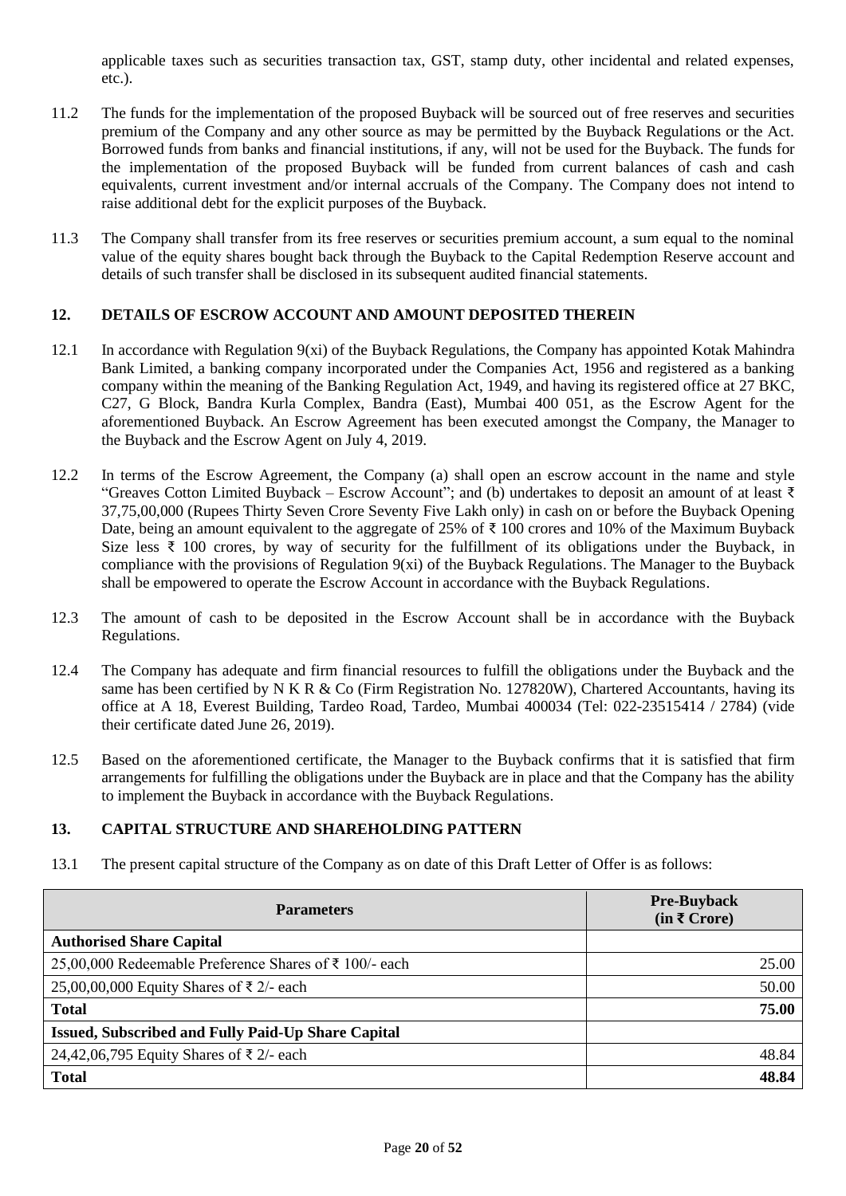applicable taxes such as securities transaction tax, GST, stamp duty, other incidental and related expenses, etc.).

- 11.2 The funds for the implementation of the proposed Buyback will be sourced out of free reserves and securities premium of the Company and any other source as may be permitted by the Buyback Regulations or the Act. Borrowed funds from banks and financial institutions, if any, will not be used for the Buyback. The funds for the implementation of the proposed Buyback will be funded from current balances of cash and cash equivalents, current investment and/or internal accruals of the Company. The Company does not intend to raise additional debt for the explicit purposes of the Buyback.
- 11.3 The Company shall transfer from its free reserves or securities premium account, a sum equal to the nominal value of the equity shares bought back through the Buyback to the Capital Redemption Reserve account and details of such transfer shall be disclosed in its subsequent audited financial statements.

### <span id="page-19-0"></span>**12. DETAILS OF ESCROW ACCOUNT AND AMOUNT DEPOSITED THEREIN**

- 12.1 In accordance with Regulation 9(xi) of the Buyback Regulations, the Company has appointed Kotak Mahindra Bank Limited, a banking company incorporated under the Companies Act, 1956 and registered as a banking company within the meaning of the Banking Regulation Act, 1949, and having its registered office at 27 BKC, C27, G Block, Bandra Kurla Complex, Bandra (East), Mumbai 400 051, as the Escrow Agent for the aforementioned Buyback. An Escrow Agreement has been executed amongst the Company, the Manager to the Buyback and the Escrow Agent on July 4, 2019.
- 12.2 In terms of the Escrow Agreement, the Company (a) shall open an escrow account in the name and style "Greaves Cotton Limited Buyback – Escrow Account"; and (b) undertakes to deposit an amount of at least  $\bar{\tau}$ 37,75,00,000 (Rupees Thirty Seven Crore Seventy Five Lakh only) in cash on or before the Buyback Opening Date, being an amount equivalent to the aggregate of 25% of ₹ 100 crores and 10% of the Maximum Buyback Size less ₹ 100 crores, by way of security for the fulfillment of its obligations under the Buyback, in compliance with the provisions of Regulation 9(xi) of the Buyback Regulations. The Manager to the Buyback shall be empowered to operate the Escrow Account in accordance with the Buyback Regulations.
- 12.3 The amount of cash to be deposited in the Escrow Account shall be in accordance with the Buyback Regulations.
- 12.4 The Company has adequate and firm financial resources to fulfill the obligations under the Buyback and the same has been certified by N K R & Co (Firm Registration No. 127820W), Chartered Accountants, having its office at A 18, Everest Building, Tardeo Road, Tardeo, Mumbai 400034 (Tel: 022-23515414 / 2784) (vide their certificate dated June 26, 2019).
- 12.5 Based on the aforementioned certificate, the Manager to the Buyback confirms that it is satisfied that firm arrangements for fulfilling the obligations under the Buyback are in place and that the Company has the ability to implement the Buyback in accordance with the Buyback Regulations.

### <span id="page-19-1"></span>**13. CAPITAL STRUCTURE AND SHAREHOLDING PATTERN**

13.1 The present capital structure of the Company as on date of this Draft Letter of Offer is as follows:

| <b>Parameters</b>                                         | <b>Pre-Buyback</b><br>$(in \, \bar{\mathbf{\mathsf{z}}}\, \text{Core})$ |
|-----------------------------------------------------------|-------------------------------------------------------------------------|
| <b>Authorised Share Capital</b>                           |                                                                         |
| 25,00,000 Redeemable Preference Shares of ₹ 100/- each    | 25.00                                                                   |
| 25,00,00,000 Equity Shares of ₹ 2/- each                  | 50.00                                                                   |
| <b>Total</b>                                              | 75.00                                                                   |
| <b>Issued, Subscribed and Fully Paid-Up Share Capital</b> |                                                                         |
| 24,42,06,795 Equity Shares of ₹ 2/- each                  | 48.84                                                                   |
| <b>Total</b>                                              | 48.84                                                                   |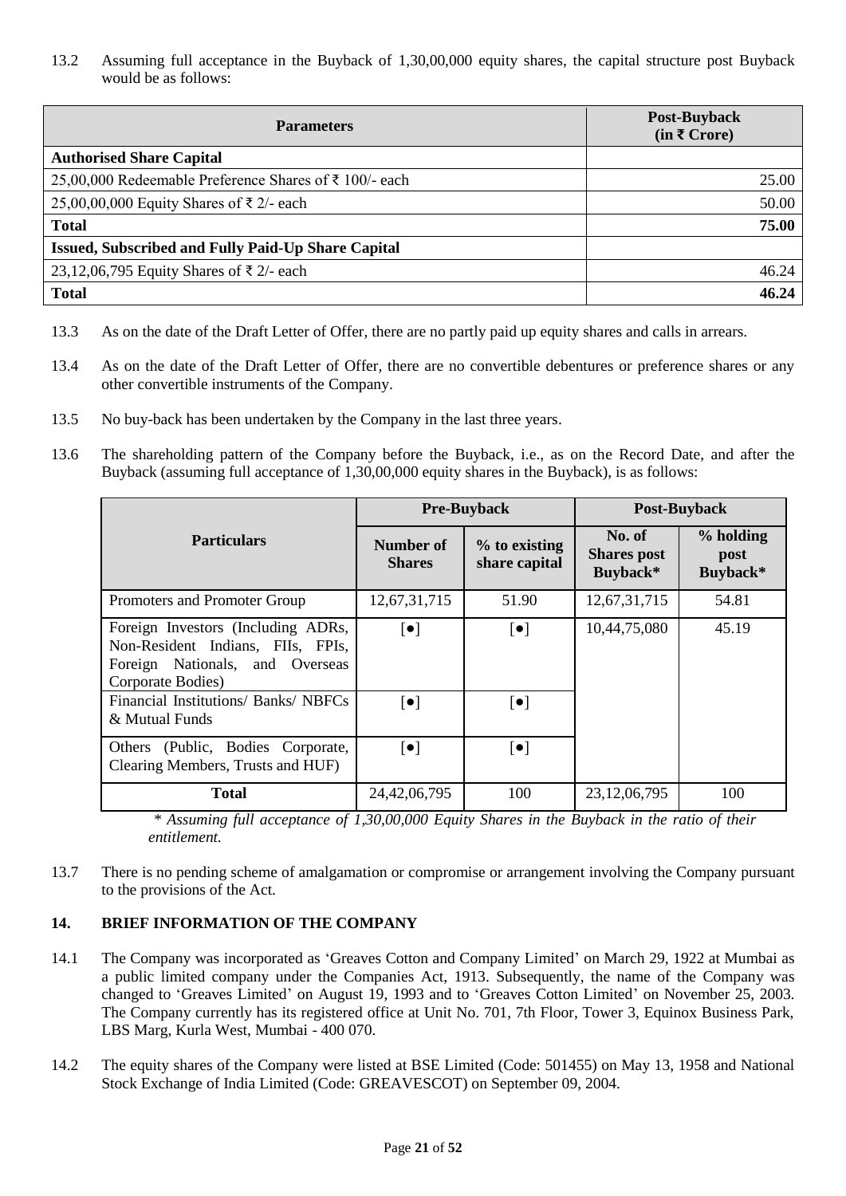13.2 Assuming full acceptance in the Buyback of 1,30,00,000 equity shares, the capital structure post Buyback would be as follows:

| <b>Parameters</b>                                      | Post-Buyback<br>$(in \, \bar{\mathbf{\mathsf{z}}}\, \text{Core})$ |
|--------------------------------------------------------|-------------------------------------------------------------------|
| <b>Authorised Share Capital</b>                        |                                                                   |
| 25,00,000 Redeemable Preference Shares of ₹ 100/- each | 25.00                                                             |
| 25,00,00,000 Equity Shares of ₹ 2/- each               | 50.00                                                             |
| <b>Total</b>                                           | 75.00                                                             |
| Issued, Subscribed and Fully Paid-Up Share Capital     |                                                                   |
| 23,12,06,795 Equity Shares of ₹2/- each                | 46.24                                                             |
| <b>Total</b>                                           | 46.24                                                             |

- 13.3 As on the date of the Draft Letter of Offer, there are no partly paid up equity shares and calls in arrears.
- 13.4 As on the date of the Draft Letter of Offer, there are no convertible debentures or preference shares or any other convertible instruments of the Company.
- 13.5 No buy-back has been undertaken by the Company in the last three years.
- 13.6 The shareholding pattern of the Company before the Buyback, i.e., as on the Record Date, and after the Buyback (assuming full acceptance of 1,30,00,000 equity shares in the Buyback), is as follows:

|                                                                                                                                 |                            | <b>Pre-Buyback</b>             | <b>Post-Buyback</b>                      |                               |
|---------------------------------------------------------------------------------------------------------------------------------|----------------------------|--------------------------------|------------------------------------------|-------------------------------|
| <b>Particulars</b>                                                                                                              | Number of<br><b>Shares</b> | % to existing<br>share capital | No. of<br><b>Shares</b> post<br>Buyback* | % holding<br>post<br>Buyback* |
| Promoters and Promoter Group                                                                                                    | 12,67,31,715               | 51.90                          | 12,67,31,715                             | 54.81                         |
| Foreign Investors (Including ADRs,<br>Non-Resident Indians, FIIs, FPIs,<br>Foreign Nationals, and Overseas<br>Corporate Bodies) | $\lceil \bullet \rceil$    | $\left[\bullet\right]$         | 10,44,75,080                             | 45.19                         |
| Financial Institutions/ Banks/ NBFCs<br>& Mutual Funds                                                                          | $\lceil \bullet \rceil$    | $\lceil \bullet \rceil$        |                                          |                               |
| Others (Public, Bodies Corporate,<br>Clearing Members, Trusts and HUF)                                                          | $\lceil \bullet \rceil$    | $\lceil \bullet \rceil$        |                                          |                               |
| <b>Total</b>                                                                                                                    | 24,42,06,795               | 100                            | 23, 12, 06, 795                          | 100                           |

*\* Assuming full acceptance of 1,30,00,000 Equity Shares in the Buyback in the ratio of their entitlement.*

13.7 There is no pending scheme of amalgamation or compromise or arrangement involving the Company pursuant to the provisions of the Act.

### <span id="page-20-0"></span>**14. BRIEF INFORMATION OF THE COMPANY**

- 14.1 The Company was incorporated as 'Greaves Cotton and Company Limited' on March 29, 1922 at Mumbai as a public limited company under the Companies Act, 1913. Subsequently, the name of the Company was changed to 'Greaves Limited' on August 19, 1993 and to 'Greaves Cotton Limited' on November 25, 2003. The Company currently has its registered office at Unit No. 701, 7th Floor, Tower 3, Equinox Business Park, LBS Marg, Kurla West, Mumbai - 400 070.
- 14.2 The equity shares of the Company were listed at BSE Limited (Code: 501455) on May 13, 1958 and National Stock Exchange of India Limited (Code: GREAVESCOT) on September 09, 2004.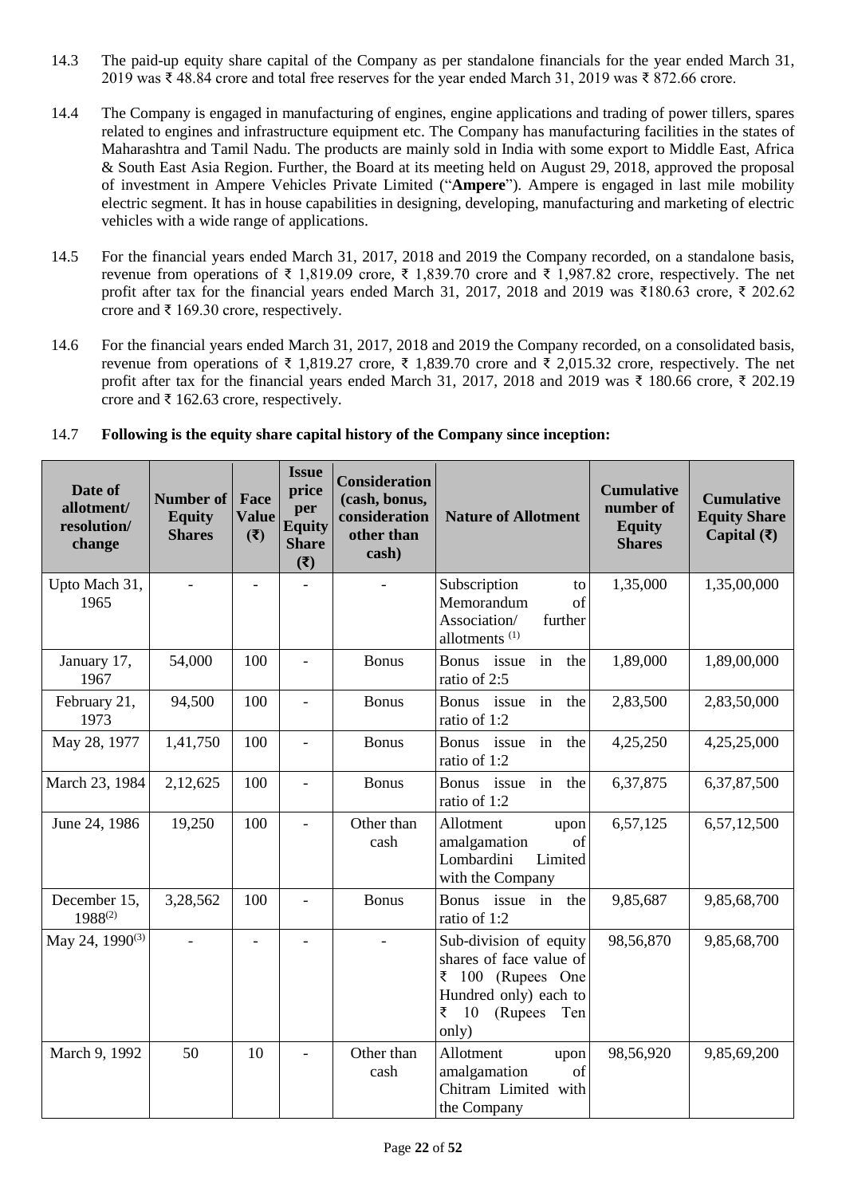- 14.3 The paid-up equity share capital of the Company as per standalone financials for the year ended March 31, 2019 was ₹ 48.84 crore and total free reserves for the year ended March 31, 2019 was ₹ 872.66 crore.
- 14.4 The Company is engaged in manufacturing of engines, engine applications and trading of power tillers, spares related to engines and infrastructure equipment etc. The Company has manufacturing facilities in the states of Maharashtra and Tamil Nadu. The products are mainly sold in India with some export to Middle East, Africa & South East Asia Region. Further, the Board at its meeting held on August 29, 2018, approved the proposal of investment in Ampere Vehicles Private Limited ("**Ampere**"). Ampere is engaged in last mile mobility electric segment. It has in house capabilities in designing, developing, manufacturing and marketing of electric vehicles with a wide range of applications.
- 14.5 For the financial years ended March 31, 2017, 2018 and 2019 the Company recorded, on a standalone basis, revenue from operations of ₹ 1,819.09 crore, ₹ 1,839.70 crore and ₹ 1,987.82 crore, respectively. The net profit after tax for the financial years ended March 31, 2017, 2018 and 2019 was ₹180.63 crore, ₹ 202.62 crore and  $\bar{\xi}$  169.30 crore, respectively.
- 14.6 For the financial years ended March 31, 2017, 2018 and 2019 the Company recorded, on a consolidated basis, revenue from operations of ₹ 1,819.27 crore, ₹ 1,839.70 crore and ₹ 2,015.32 crore, respectively. The net profit after tax for the financial years ended March 31, 2017, 2018 and 2019 was ₹ 180.66 crore, ₹ 202.19 crore and  $\bar{\xi}$  162.63 crore, respectively.

| Date of<br>allotment/<br>resolution/<br>change | <b>Number of</b><br><b>Equity</b><br><b>Shares</b> | Face<br><b>Value</b><br>(3) | <b>Issue</b><br>price<br>per<br><b>Equity</b><br><b>Share</b><br>$(\overline{\mathbf{z}})$ | <b>Consideration</b><br>(cash, bonus,<br>consideration<br>other than<br>cash) | <b>Nature of Allotment</b>                                                                                                                    | <b>Cumulative</b><br>number of<br><b>Equity</b><br><b>Shares</b> | <b>Cumulative</b><br><b>Equity Share</b><br>Capital $(\bar{\mathbf{\mathsf{z}}})$ |
|------------------------------------------------|----------------------------------------------------|-----------------------------|--------------------------------------------------------------------------------------------|-------------------------------------------------------------------------------|-----------------------------------------------------------------------------------------------------------------------------------------------|------------------------------------------------------------------|-----------------------------------------------------------------------------------|
| Upto Mach 31,<br>1965                          |                                                    | ÷                           |                                                                                            |                                                                               | Subscription<br>to<br>Memorandum<br>of<br>Association/<br>further<br>allotments <sup>(1)</sup>                                                | 1,35,000                                                         | 1,35,00,000                                                                       |
| January 17,<br>1967                            | 54,000                                             | 100                         | $\overline{\phantom{0}}$                                                                   | <b>Bonus</b>                                                                  | Bonus issue<br>in<br>the<br>ratio of 2:5                                                                                                      | 1,89,000                                                         | 1,89,00,000                                                                       |
| February 21,<br>1973                           | 94,500                                             | 100                         | $\overline{a}$                                                                             | <b>Bonus</b>                                                                  | Bonus issue<br>in<br>the<br>ratio of 1:2                                                                                                      | 2,83,500                                                         | 2,83,50,000                                                                       |
| May 28, 1977                                   | 1,41,750                                           | 100                         | $\overline{a}$                                                                             | <b>Bonus</b>                                                                  | Bonus issue<br>in<br>the<br>ratio of 1:2                                                                                                      | 4,25,250                                                         | 4,25,25,000                                                                       |
| March 23, 1984                                 | 2,12,625                                           | 100                         | $\overline{\phantom{a}}$                                                                   | <b>Bonus</b>                                                                  | Bonus issue in<br>the<br>ratio of 1:2                                                                                                         | 6,37,875                                                         | 6,37,87,500                                                                       |
| June 24, 1986                                  | 19,250                                             | 100                         | $\overline{a}$                                                                             | Other than<br>cash                                                            | Allotment<br>upon<br>amalgamation<br>of<br>Lombardini<br>Limited<br>with the Company                                                          | 6,57,125                                                         | 6,57,12,500                                                                       |
| December 15,<br>$1988^{(2)}$                   | 3,28,562                                           | 100                         | $\overline{\phantom{a}}$                                                                   | <b>Bonus</b>                                                                  | Bonus issue in<br>the<br>ratio of 1:2                                                                                                         | 9,85,687                                                         | 9,85,68,700                                                                       |
| May 24, 1990 <sup>(3)</sup>                    | $\equiv$                                           | $\frac{1}{2}$               | $\overline{a}$                                                                             |                                                                               | Sub-division of equity<br>shares of face value of<br>$\bar{z}$ 100 (Rupees One<br>Hundred only) each to<br>₹<br>(Rupees<br>10<br>Ten<br>only) | 98,56,870                                                        | 9,85,68,700                                                                       |
| March 9, 1992                                  | 50                                                 | 10                          | $\overline{a}$                                                                             | Other than<br>cash                                                            | Allotment<br>upon<br>amalgamation<br>of<br>Chitram Limited with<br>the Company                                                                | 98,56,920                                                        | 9,85,69,200                                                                       |

### 14.7 **Following is the equity share capital history of the Company since inception:**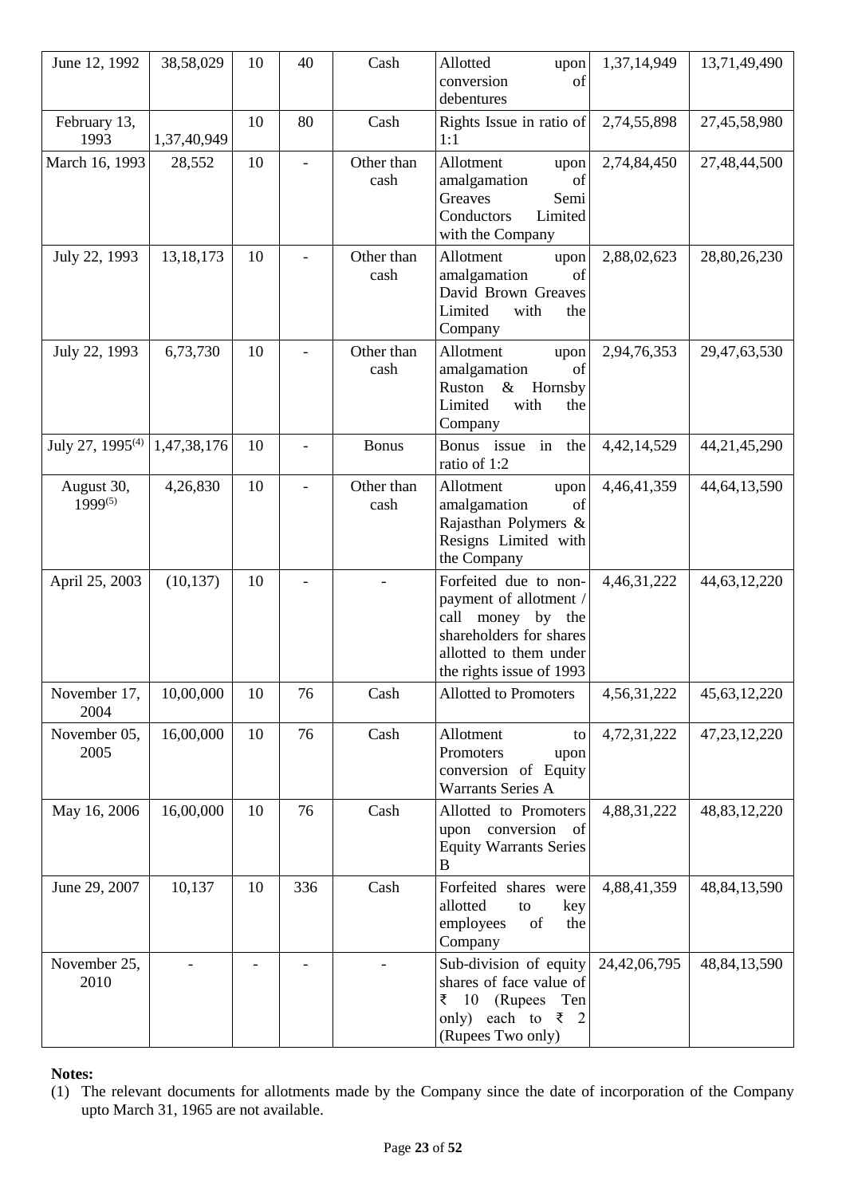| June 12, 1992                | 38,58,029   | 10 | 40                       | Cash               | Allotted<br>upon<br>conversion<br>of<br>debentures                                                                                                    | 1,37,14,949    | 13,71,49,490    |
|------------------------------|-------------|----|--------------------------|--------------------|-------------------------------------------------------------------------------------------------------------------------------------------------------|----------------|-----------------|
| February 13,<br>1993         | 1,37,40,949 | 10 | 80                       | Cash               | Rights Issue in ratio of<br>1:1                                                                                                                       | 2,74,55,898    | 27,45,58,980    |
| March 16, 1993               | 28,552      | 10 | $\blacksquare$           | Other than<br>cash | Allotment<br>upon<br>amalgamation<br>of<br>Greaves<br>Semi<br>Conductors<br>Limited<br>with the Company                                               | 2,74,84,450    | 27,48,44,500    |
| July 22, 1993                | 13, 18, 173 | 10 | $\overline{\phantom{a}}$ | Other than<br>cash | Allotment<br>upon<br>amalgamation<br>of<br>David Brown Greaves<br>Limited<br>with<br>the<br>Company                                                   | 2,88,02,623    | 28,80,26,230    |
| July 22, 1993                | 6,73,730    | 10 |                          | Other than<br>cash | Allotment<br>upon<br>amalgamation<br>of<br>Ruston<br>$\&$<br>Hornsby<br>Limited<br>with<br>the<br>Company                                             | 2,94,76,353    | 29,47,63,530    |
| July 27, 1995 <sup>(4)</sup> | 1,47,38,176 | 10 |                          | <b>Bonus</b>       | Bonus issue in the<br>ratio of 1:2                                                                                                                    | 4, 42, 14, 529 | 44, 21, 45, 290 |
| August 30,<br>1999(5)        | 4,26,830    | 10 |                          | Other than<br>cash | Allotment<br>upon<br>amalgamation<br>of<br>Rajasthan Polymers &<br>Resigns Limited with<br>the Company                                                | 4,46,41,359    | 44, 64, 13, 590 |
| April 25, 2003               | (10, 137)   | 10 | $\overline{\phantom{0}}$ |                    | Forfeited due to non-<br>payment of allotment /<br>call money by the<br>shareholders for shares<br>allotted to them under<br>the rights issue of 1993 | 4,46,31,222    | 44, 63, 12, 220 |
| November 17,<br>2004         | 10,00,000   | 10 | 76                       | Cash               | Allotted to Promoters                                                                                                                                 | 4,56,31,222    | 45, 63, 12, 220 |
| November 05,<br>2005         | 16,00,000   | 10 | 76                       | Cash               | Allotment<br>to<br>Promoters<br>upon<br>conversion of Equity<br><b>Warrants Series A</b>                                                              | 4,72,31,222    | 47, 23, 12, 220 |
| May 16, 2006                 | 16,00,000   | 10 | 76                       | Cash               | Allotted to Promoters<br>upon conversion<br>of<br><b>Equity Warrants Series</b><br>B                                                                  | 4,88,31,222    | 48, 83, 12, 220 |
| June 29, 2007                | 10,137      | 10 | 336                      | Cash               | Forfeited shares were<br>allotted<br>to<br>key<br>employees<br>of<br>the<br>Company                                                                   | 4,88,41,359    | 48, 84, 13, 590 |
| November 25,<br>2010         |             |    |                          |                    | Sub-division of equity<br>shares of face value of<br>₹<br>- 10<br>(Rupees)<br>Ten<br>each to $\bar{\xi}$ 2<br>only)<br>(Rupees Two only)              | 24,42,06,795   | 48, 84, 13, 590 |

**Notes:**

<sup>(1)</sup> The relevant documents for allotments made by the Company since the date of incorporation of the Company upto March 31, 1965 are not available.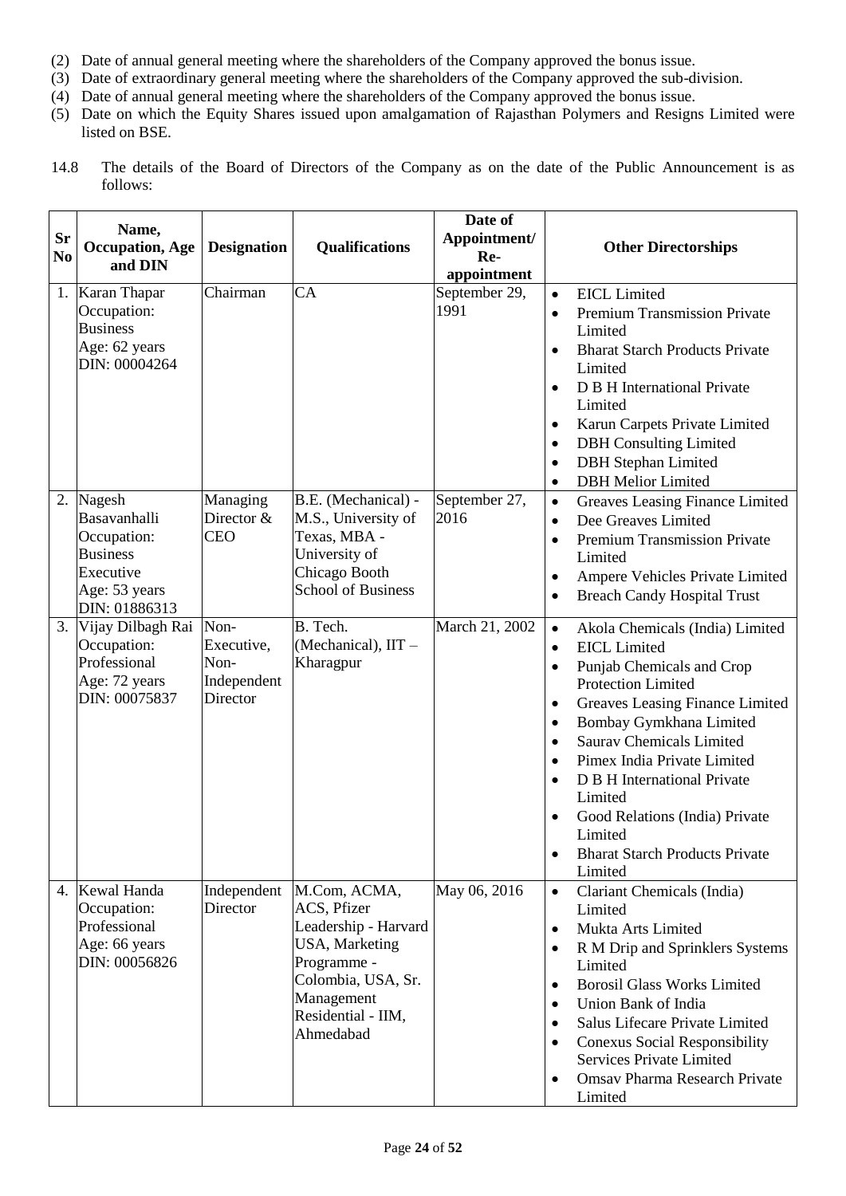- (2) Date of annual general meeting where the shareholders of the Company approved the bonus issue.
- (3) Date of extraordinary general meeting where the shareholders of the Company approved the sub-division.
- (4) Date of annual general meeting where the shareholders of the Company approved the bonus issue.
- (5) Date on which the Equity Shares issued upon amalgamation of Rajasthan Polymers and Resigns Limited were listed on BSE.
- 14.8 The details of the Board of Directors of the Company as on the date of the Public Announcement is as follows:

| <b>Sr</b><br>N <sub>0</sub> | Name,<br><b>Occupation</b> , Age<br>and DIN                                                             | <b>Designation</b>                                    | <b>Qualifications</b>                                                                                                                                              | Date of<br>Appointment/<br>Re-<br>appointment | <b>Other Directorships</b>                                                                                                                                                                                                                                                                                                                                                                                                                                                                                            |
|-----------------------------|---------------------------------------------------------------------------------------------------------|-------------------------------------------------------|--------------------------------------------------------------------------------------------------------------------------------------------------------------------|-----------------------------------------------|-----------------------------------------------------------------------------------------------------------------------------------------------------------------------------------------------------------------------------------------------------------------------------------------------------------------------------------------------------------------------------------------------------------------------------------------------------------------------------------------------------------------------|
|                             | 1. Karan Thapar<br>Occupation:<br><b>Business</b><br>Age: 62 years<br>DIN: 00004264                     | Chairman                                              | CA                                                                                                                                                                 | September 29,<br>1991                         | <b>EICL</b> Limited<br>$\bullet$<br>Premium Transmission Private<br>$\bullet$<br>Limited<br><b>Bharat Starch Products Private</b><br>$\bullet$<br>Limited<br>D B H International Private<br>$\bullet$<br>Limited<br>Karun Carpets Private Limited<br>$\bullet$<br><b>DBH</b> Consulting Limited<br>$\bullet$<br><b>DBH</b> Stephan Limited<br>$\bullet$<br><b>DBH</b> Melior Limited<br>$\bullet$                                                                                                                     |
| 2.                          | Nagesh<br>Basavanhalli<br>Occupation:<br><b>Business</b><br>Executive<br>Age: 53 years<br>DIN: 01886313 | Managing<br>Director &<br><b>CEO</b>                  | B.E. (Mechanical) -<br>M.S., University of<br>Texas, MBA -<br>University of<br>Chicago Booth<br><b>School of Business</b>                                          | September 27,<br>2016                         | Greaves Leasing Finance Limited<br>$\bullet$<br>Dee Greaves Limited<br>$\bullet$<br>Premium Transmission Private<br>$\bullet$<br>Limited<br>Ampere Vehicles Private Limited<br>$\bullet$<br><b>Breach Candy Hospital Trust</b><br>$\bullet$                                                                                                                                                                                                                                                                           |
|                             | 3. Vijay Dilbagh Rai<br>Occupation:<br>Professional<br>Age: 72 years<br>DIN: 00075837                   | Non-<br>Executive,<br>Non-<br>Independent<br>Director | B. Tech.<br>(Mechanical), IIT -<br>Kharagpur                                                                                                                       | March 21, 2002                                | Akola Chemicals (India) Limited<br>$\bullet$<br><b>EICL</b> Limited<br>$\bullet$<br>Punjab Chemicals and Crop<br>$\bullet$<br><b>Protection Limited</b><br>Greaves Leasing Finance Limited<br>٠<br>Bombay Gymkhana Limited<br>$\bullet$<br><b>Saurav Chemicals Limited</b><br>$\bullet$<br>Pimex India Private Limited<br>$\bullet$<br>D B H International Private<br>$\bullet$<br>Limited<br>Good Relations (India) Private<br>$\bullet$<br>Limited<br><b>Bharat Starch Products Private</b><br>$\bullet$<br>Limited |
|                             | 4. Kewal Handa<br>Occupation:<br>Professional<br>Age: 66 years<br>DIN: 00056826                         | Independent<br>Director                               | M.Com, ACMA,<br>ACS, Pfizer<br>Leadership - Harvard<br><b>USA, Marketing</b><br>Programme -<br>Colombia, USA, Sr.<br>Management<br>Residential - IIM,<br>Ahmedabad | May 06, 2016                                  | Clariant Chemicals (India)<br>$\bullet$<br>Limited<br>Mukta Arts Limited<br>$\bullet$<br>R M Drip and Sprinklers Systems<br>$\bullet$<br>Limited<br><b>Borosil Glass Works Limited</b><br>$\bullet$<br>Union Bank of India<br>$\bullet$<br>Salus Lifecare Private Limited<br>$\bullet$<br><b>Conexus Social Responsibility</b><br>$\bullet$<br><b>Services Private Limited</b><br>Omsav Pharma Research Private<br>$\bullet$<br>Limited                                                                               |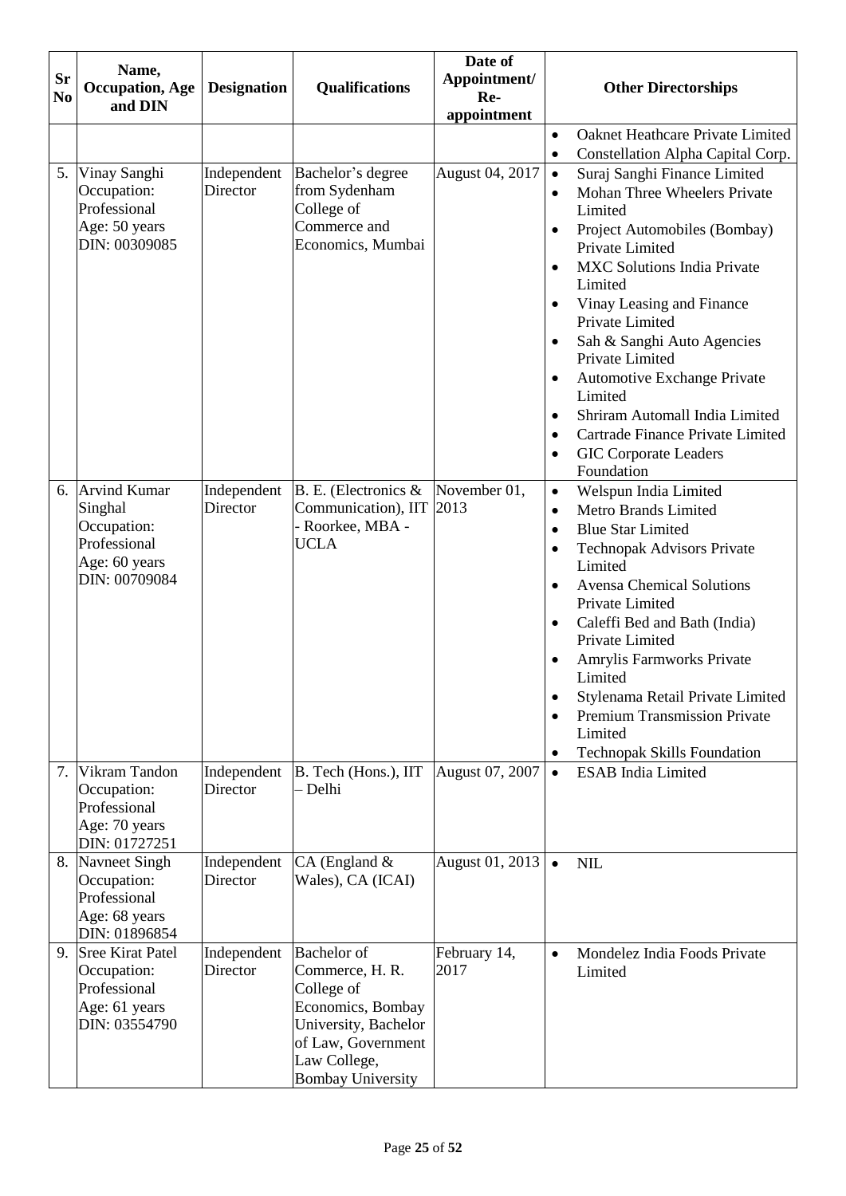| <b>Sr</b><br>N <sub>0</sub> | Name,<br><b>Occupation</b> , Age<br>and DIN                                                 | <b>Designation</b>      | <b>Qualifications</b>                                                                                                                                              | Date of<br>Appointment/<br>Re-<br>appointment | <b>Other Directorships</b>                                                                                                                                                                                                                                                                                                                                                                                                                                                                                                                                                                 |
|-----------------------------|---------------------------------------------------------------------------------------------|-------------------------|--------------------------------------------------------------------------------------------------------------------------------------------------------------------|-----------------------------------------------|--------------------------------------------------------------------------------------------------------------------------------------------------------------------------------------------------------------------------------------------------------------------------------------------------------------------------------------------------------------------------------------------------------------------------------------------------------------------------------------------------------------------------------------------------------------------------------------------|
|                             |                                                                                             |                         |                                                                                                                                                                    |                                               | Oaknet Heathcare Private Limited<br>$\bullet$                                                                                                                                                                                                                                                                                                                                                                                                                                                                                                                                              |
|                             |                                                                                             |                         |                                                                                                                                                                    |                                               | Constellation Alpha Capital Corp.<br>$\bullet$                                                                                                                                                                                                                                                                                                                                                                                                                                                                                                                                             |
|                             | 5. Vinay Sanghi<br>Occupation:<br>Professional<br>Age: 50 years<br>DIN: 00309085            | Independent<br>Director | Bachelor's degree<br>from Sydenham<br>College of<br>Commerce and<br>Economics, Mumbai                                                                              | August 04, 2017                               | Suraj Sanghi Finance Limited<br>$\bullet$<br><b>Mohan Three Wheelers Private</b><br>$\bullet$<br>Limited<br>Project Automobiles (Bombay)<br>$\bullet$<br>Private Limited<br><b>MXC Solutions India Private</b><br>$\bullet$<br>Limited<br>Vinay Leasing and Finance<br>$\bullet$<br>Private Limited<br>Sah & Sanghi Auto Agencies<br>$\bullet$<br>Private Limited<br><b>Automotive Exchange Private</b><br>$\bullet$<br>Limited<br>Shriram Automall India Limited<br>$\bullet$<br>Cartrade Finance Private Limited<br>$\bullet$<br><b>GIC Corporate Leaders</b><br>$\bullet$<br>Foundation |
|                             | 6. Arvind Kumar<br>Singhal<br>Occupation:<br>Professional<br>Age: 60 years<br>DIN: 00709084 | Independent<br>Director | B. E. (Electronics &<br>Communication), IIT<br>Roorkee, MBA -<br>UCLA                                                                                              | November 01,<br>2013                          | Welspun India Limited<br>$\bullet$<br>Metro Brands Limited<br>$\bullet$<br><b>Blue Star Limited</b><br>$\bullet$<br><b>Technopak Advisors Private</b><br>$\bullet$<br>Limited<br><b>Avensa Chemical Solutions</b><br>$\bullet$<br>Private Limited<br>Caleffi Bed and Bath (India)<br>$\bullet$<br>Private Limited<br>Amrylis Farmworks Private<br>٠<br>Limited<br>Stylenama Retail Private Limited<br>$\bullet$<br><b>Premium Transmission Private</b><br>$\bullet$<br>Limited<br><b>Technopak Skills Foundation</b><br>٠                                                                  |
|                             | 7. Vikram Tandon<br>Occupation:<br>Professional<br>Age: 70 years<br>DIN: 01727251           | Independent<br>Director | B. Tech (Hons.), IIT<br>- Delhi                                                                                                                                    | August 07, 2007                               | <b>ESAB</b> India Limited<br>$\bullet$                                                                                                                                                                                                                                                                                                                                                                                                                                                                                                                                                     |
|                             | 8. Navneet Singh<br>Occupation:<br>Professional<br>Age: 68 years<br>DIN: 01896854           | Independent<br>Director | $CA$ (England $\&$<br>Wales), CA (ICAI)                                                                                                                            | August 01, 2013                               | <b>NIL</b><br>$\bullet$                                                                                                                                                                                                                                                                                                                                                                                                                                                                                                                                                                    |
|                             | 9. Sree Kirat Patel<br>Occupation:<br>Professional<br>Age: 61 years<br>DIN: 03554790        | Independent<br>Director | <b>Bachelor</b> of<br>Commerce, H. R.<br>College of<br>Economics, Bombay<br>University, Bachelor<br>of Law, Government<br>Law College,<br><b>Bombay University</b> | February 14,<br>2017                          | Mondelez India Foods Private<br>$\bullet$<br>Limited                                                                                                                                                                                                                                                                                                                                                                                                                                                                                                                                       |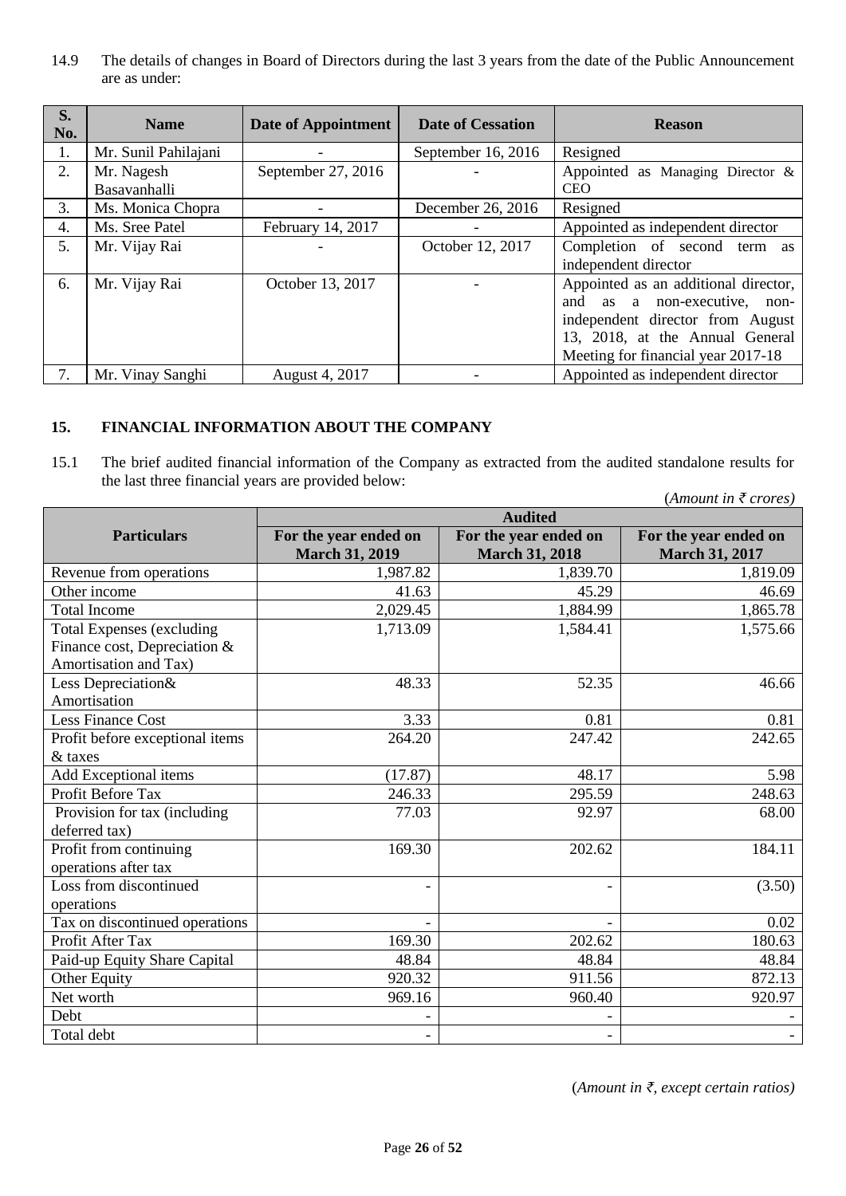14.9 The details of changes in Board of Directors during the last 3 years from the date of the Public Announcement are as under:

| S.<br>No. | <b>Name</b>                | <b>Date of Appointment</b> | <b>Date of Cessation</b> | <b>Reason</b>                                                                                                                                                                     |
|-----------|----------------------------|----------------------------|--------------------------|-----------------------------------------------------------------------------------------------------------------------------------------------------------------------------------|
| 1.        | Mr. Sunil Pahilajani       |                            | September 16, 2016       | Resigned                                                                                                                                                                          |
| 2.        | Mr. Nagesh<br>Basavanhalli | September 27, 2016         |                          | Appointed as Managing Director $\&$<br><b>CEO</b>                                                                                                                                 |
| 3.        | Ms. Monica Chopra          |                            | December 26, 2016        | Resigned                                                                                                                                                                          |
| 4.        | Ms. Sree Patel             | February 14, 2017          |                          | Appointed as independent director                                                                                                                                                 |
| 5.        | Mr. Vijay Rai              |                            | October 12, 2017         | Completion of second term as<br>independent director                                                                                                                              |
| 6.        | Mr. Vijay Rai              | October 13, 2017           |                          | Appointed as an additional director,<br>and as a non-executive, non-<br>independent director from August<br>13, 2018, at the Annual General<br>Meeting for financial year 2017-18 |
| 7.        | Mr. Vinay Sanghi           | August 4, 2017             |                          | Appointed as independent director                                                                                                                                                 |

### <span id="page-25-0"></span>**15. FINANCIAL INFORMATION ABOUT THE COMPANY**

15.1 The brief audited financial information of the Company as extracted from the audited standalone results for the last three financial years are provided below:

|                                                |                                                |                                                | (Amount in $\bar{\tau}$ crores)                |
|------------------------------------------------|------------------------------------------------|------------------------------------------------|------------------------------------------------|
|                                                |                                                | <b>Audited</b>                                 |                                                |
| <b>Particulars</b>                             | For the year ended on<br><b>March 31, 2019</b> | For the year ended on<br><b>March 31, 2018</b> | For the year ended on<br><b>March 31, 2017</b> |
| Revenue from operations                        | 1,987.82                                       | 1,839.70                                       | 1,819.09                                       |
| Other income                                   | 41.63                                          | 45.29                                          | 46.69                                          |
| <b>Total Income</b>                            | 2,029.45                                       | 1,884.99                                       | 1,865.78                                       |
| <b>Total Expenses (excluding</b>               | 1,713.09                                       | 1,584.41                                       | 1,575.66                                       |
| Finance cost, Depreciation &                   |                                                |                                                |                                                |
| Amortisation and Tax)                          |                                                |                                                |                                                |
| Less Depreciation&                             | 48.33                                          | 52.35                                          | 46.66                                          |
| Amortisation                                   |                                                |                                                |                                                |
| <b>Less Finance Cost</b>                       | 3.33                                           | 0.81                                           | 0.81                                           |
| Profit before exceptional items                | 264.20                                         | 247.42                                         | 242.65                                         |
| & taxes                                        |                                                |                                                |                                                |
| Add Exceptional items                          | (17.87)                                        | 48.17                                          | 5.98                                           |
| Profit Before Tax                              | 246.33                                         | 295.59                                         | 248.63                                         |
| Provision for tax (including<br>deferred tax)  | 77.03                                          | 92.97                                          | 68.00                                          |
| Profit from continuing<br>operations after tax | 169.30                                         | 202.62                                         | 184.11                                         |
| Loss from discontinued<br>operations           |                                                |                                                | (3.50)                                         |
| Tax on discontinued operations                 |                                                |                                                | 0.02                                           |
| Profit After Tax                               | 169.30                                         | 202.62                                         | 180.63                                         |
| Paid-up Equity Share Capital                   | 48.84                                          | 48.84                                          | 48.84                                          |
| Other Equity                                   | 920.32                                         | 911.56                                         | 872.13                                         |
| Net worth                                      | 969.16                                         | 960.40                                         | 920.97                                         |
| Debt                                           |                                                |                                                |                                                |
| Total debt                                     |                                                |                                                |                                                |

(*Amount in ₹, except certain ratios)*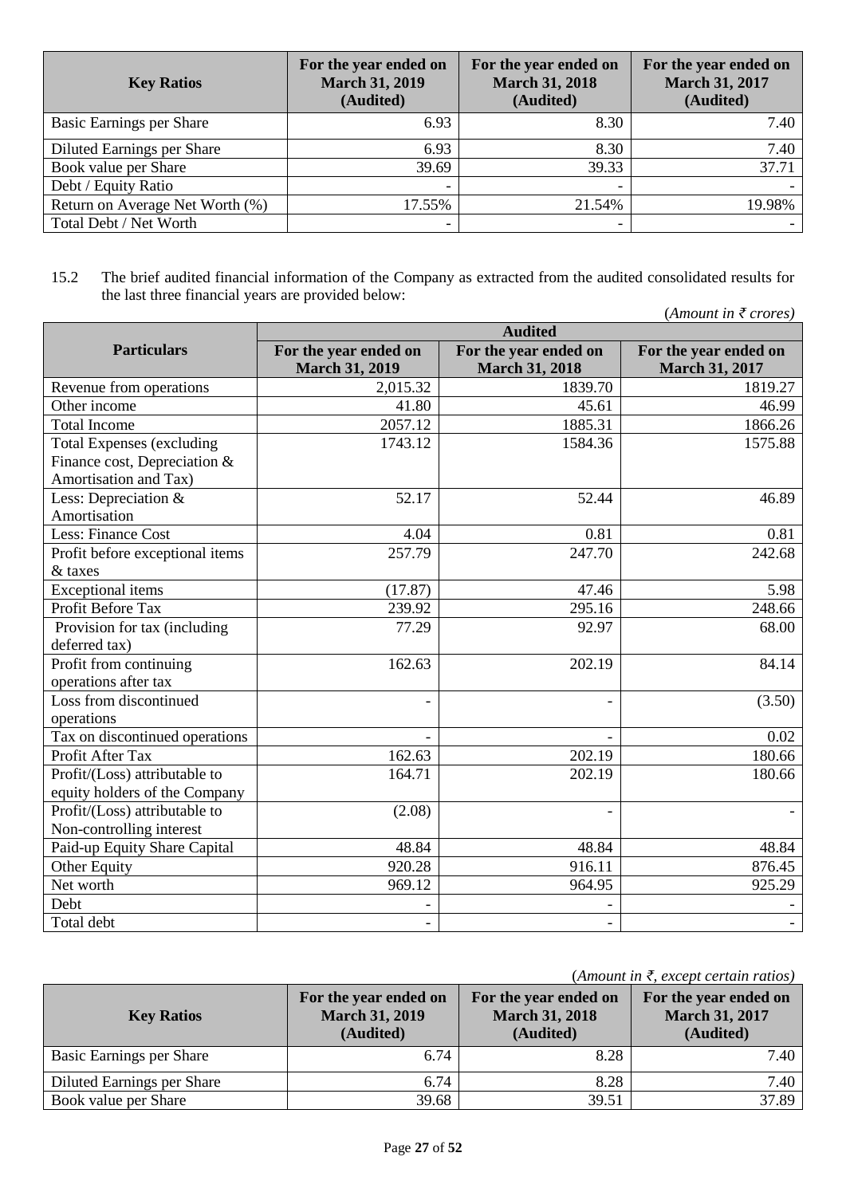| <b>Key Ratios</b>               | For the year ended on<br><b>March 31, 2019</b><br>(Audited) | For the year ended on<br><b>March 31, 2018</b><br>(Audited) | For the year ended on<br><b>March 31, 2017</b><br>(Audited) |
|---------------------------------|-------------------------------------------------------------|-------------------------------------------------------------|-------------------------------------------------------------|
| Basic Earnings per Share        | 6.93                                                        | 8.30                                                        | 7.40                                                        |
| Diluted Earnings per Share      | 6.93                                                        | 8.30                                                        | 7.40                                                        |
| Book value per Share            | 39.69                                                       | 39.33                                                       | 37.71                                                       |
| Debt / Equity Ratio             |                                                             |                                                             |                                                             |
| Return on Average Net Worth (%) | 17.55%                                                      | 21.54%                                                      | 19.98%                                                      |
| Total Debt / Net Worth          | -                                                           |                                                             |                                                             |

### 15.2 The brief audited financial information of the Company as extracted from the audited consolidated results for the last three financial years are provided below:

|                                  |                       |                       | (Amount in $\bar{\tau}$ crores) |
|----------------------------------|-----------------------|-----------------------|---------------------------------|
|                                  |                       | <b>Audited</b>        |                                 |
| <b>Particulars</b>               | For the year ended on | For the year ended on | For the year ended on           |
|                                  | <b>March 31, 2019</b> | <b>March 31, 2018</b> | <b>March 31, 2017</b>           |
| Revenue from operations          | 2,015.32              | 1839.70               | 1819.27                         |
| Other income                     | 41.80                 | 45.61                 | 46.99                           |
| <b>Total Income</b>              | 2057.12               | 1885.31               | 1866.26                         |
| <b>Total Expenses (excluding</b> | 1743.12               | 1584.36               | 1575.88                         |
| Finance cost, Depreciation &     |                       |                       |                                 |
| Amortisation and Tax)            |                       |                       |                                 |
| Less: Depreciation &             | 52.17                 | 52.44                 | 46.89                           |
| Amortisation                     |                       |                       |                                 |
| Less: Finance Cost               | 4.04                  | 0.81                  | 0.81                            |
| Profit before exceptional items  | 257.79                | 247.70                | 242.68                          |
| & taxes                          |                       |                       |                                 |
| <b>Exceptional</b> items         | (17.87)               | 47.46                 | 5.98                            |
| Profit Before Tax                | 239.92                | 295.16                | 248.66                          |
| Provision for tax (including     | 77.29                 | 92.97                 | 68.00                           |
| deferred tax)                    |                       |                       |                                 |
| Profit from continuing           | 162.63                | 202.19                | 84.14                           |
| operations after tax             |                       |                       |                                 |
| Loss from discontinued           |                       |                       | (3.50)                          |
| operations                       |                       |                       |                                 |
| Tax on discontinued operations   |                       |                       | 0.02                            |
| Profit After Tax                 | 162.63                | 202.19                | 180.66                          |
| Profit/(Loss) attributable to    | 164.71                | 202.19                | 180.66                          |
| equity holders of the Company    |                       |                       |                                 |
| Profit/(Loss) attributable to    | (2.08)                |                       |                                 |
| Non-controlling interest         |                       |                       |                                 |
| Paid-up Equity Share Capital     | 48.84                 | 48.84                 | 48.84                           |
| Other Equity                     | 920.28                | 916.11                | 876.45                          |
| Net worth                        | 969.12                | 964.95                | 925.29                          |
| Debt                             |                       |                       |                                 |
| Total debt                       |                       |                       |                                 |

(*Amount in ₹, except certain ratios)*

| <b>Key Ratios</b>          | For the year ended on<br><b>March 31, 2019</b><br>(Audited) | For the year ended on<br><b>March 31, 2018</b><br>(Audited) | For the year ended on<br><b>March 31, 2017</b><br>(Audited) |  |
|----------------------------|-------------------------------------------------------------|-------------------------------------------------------------|-------------------------------------------------------------|--|
| Basic Earnings per Share   | 6.74                                                        | 8.28                                                        | 7.40                                                        |  |
| Diluted Earnings per Share | 6.74                                                        | 8.28                                                        | 7.40                                                        |  |
| Book value per Share       | 39.68                                                       | 39.51                                                       | 37.89                                                       |  |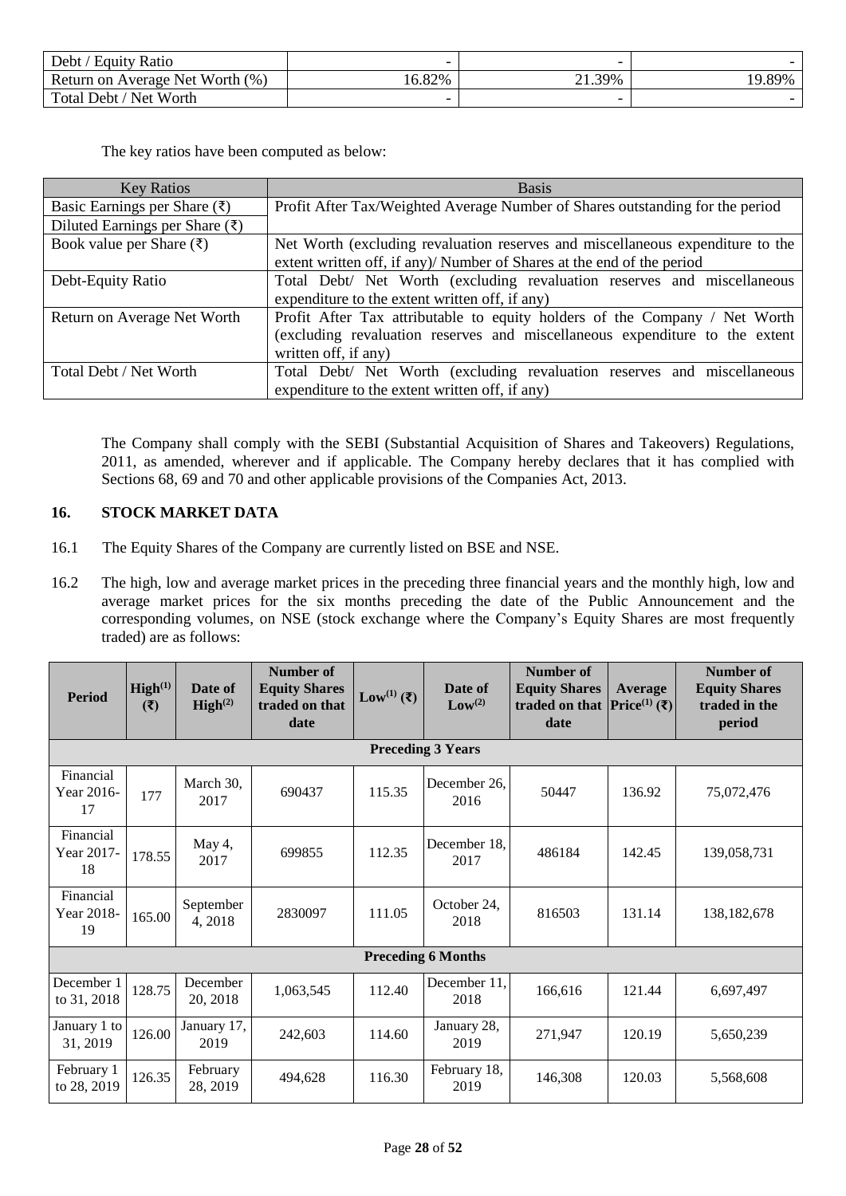| Debt /<br>/ Equity Ratio        | -     |                 |        |
|---------------------------------|-------|-----------------|--------|
| Return on Average Net Worth (%) | 6.82% | $\angle 1.39\%$ | 19.89% |
| Total Debt / Net Worth          |       |                 |        |

The key ratios have been computed as below:

| <b>Key Ratios</b>                          | <b>Basis</b>                                                                   |
|--------------------------------------------|--------------------------------------------------------------------------------|
| Basic Earnings per Share $(\bar{\zeta})$   | Profit After Tax/Weighted Average Number of Shares outstanding for the period  |
| Diluted Earnings per Share $(\bar{\zeta})$ |                                                                                |
| Book value per Share $(\bar{\zeta})$       | Net Worth (excluding revaluation reserves and miscellaneous expenditure to the |
|                                            | extent written off, if any)/ Number of Shares at the end of the period         |
| Debt-Equity Ratio                          | Total Debt/ Net Worth (excluding revaluation reserves and miscellaneous        |
|                                            | expenditure to the extent written off, if any)                                 |
| Return on Average Net Worth                | Profit After Tax attributable to equity holders of the Company / Net Worth     |
|                                            | (excluding revaluation reserves and miscellaneous expenditure to the extent    |
|                                            | written off, if any)                                                           |
| Total Debt / Net Worth                     | Total Debt/ Net Worth (excluding revaluation reserves and miscellaneous        |
|                                            | expenditure to the extent written off, if any)                                 |

The Company shall comply with the SEBI (Substantial Acquisition of Shares and Takeovers) Regulations, 2011, as amended, wherever and if applicable. The Company hereby declares that it has complied with Sections 68, 69 and 70 and other applicable provisions of the Companies Act, 2013.

## <span id="page-27-0"></span>**16. STOCK MARKET DATA**

- 16.1 The Equity Shares of the Company are currently listed on BSE and NSE.
- 16.2 The high, low and average market prices in the preceding three financial years and the monthly high, low and average market prices for the six months preceding the date of the Public Announcement and the corresponding volumes, on NSE (stock exchange where the Company's Equity Shares are most frequently traded) are as follows:

| <b>Period</b>                 | High <sup>(1)</sup><br>(3) | Date of<br>High <sup>(2)</sup> | Number of<br><b>Equity Shares</b><br>traded on that<br>date | Low <sup>(1)</sup> (₹) | Date of<br>Low <sup>(2)</sup> | Number of<br><b>Equity Shares</b><br>traded on that $\left \text{Price}^{(1)}\left(\overline{\mathbf{\xi}}\right)\right $<br>date | Average | <b>Number of</b><br><b>Equity Shares</b><br>traded in the<br>period |
|-------------------------------|----------------------------|--------------------------------|-------------------------------------------------------------|------------------------|-------------------------------|-----------------------------------------------------------------------------------------------------------------------------------|---------|---------------------------------------------------------------------|
|                               |                            |                                |                                                             |                        | <b>Preceding 3 Years</b>      |                                                                                                                                   |         |                                                                     |
| Financial<br>Year 2016-<br>17 | 177                        | March 30.<br>2017              | 690437                                                      | 115.35                 | December 26.<br>2016          | 50447                                                                                                                             | 136.92  | 75,072,476                                                          |
| Financial<br>Year 2017-<br>18 | 178.55                     | May 4,<br>2017                 | 699855                                                      | 112.35                 | December 18,<br>2017          | 486184                                                                                                                            | 142.45  | 139,058,731                                                         |
| Financial<br>Year 2018-<br>19 | 165.00                     | September<br>4,2018            | 2830097                                                     | 111.05                 | October 24,<br>2018           | 816503                                                                                                                            | 131.14  | 138, 182, 678                                                       |
|                               |                            |                                |                                                             |                        | <b>Preceding 6 Months</b>     |                                                                                                                                   |         |                                                                     |
| December 1<br>to 31, 2018     | 128.75                     | December<br>20, 2018           | 1,063,545                                                   | 112.40                 | December 11,<br>2018          | 166,616                                                                                                                           | 121.44  | 6,697,497                                                           |
| January 1 to<br>31, 2019      | 126.00                     | January 17,<br>2019            | 242,603                                                     | 114.60                 | January 28,<br>2019           | 271,947                                                                                                                           | 120.19  | 5,650,239                                                           |
| February 1<br>to 28, 2019     | 126.35                     | February<br>28, 2019           | 494,628                                                     | 116.30                 | February 18,<br>2019          | 146,308                                                                                                                           | 120.03  | 5,568,608                                                           |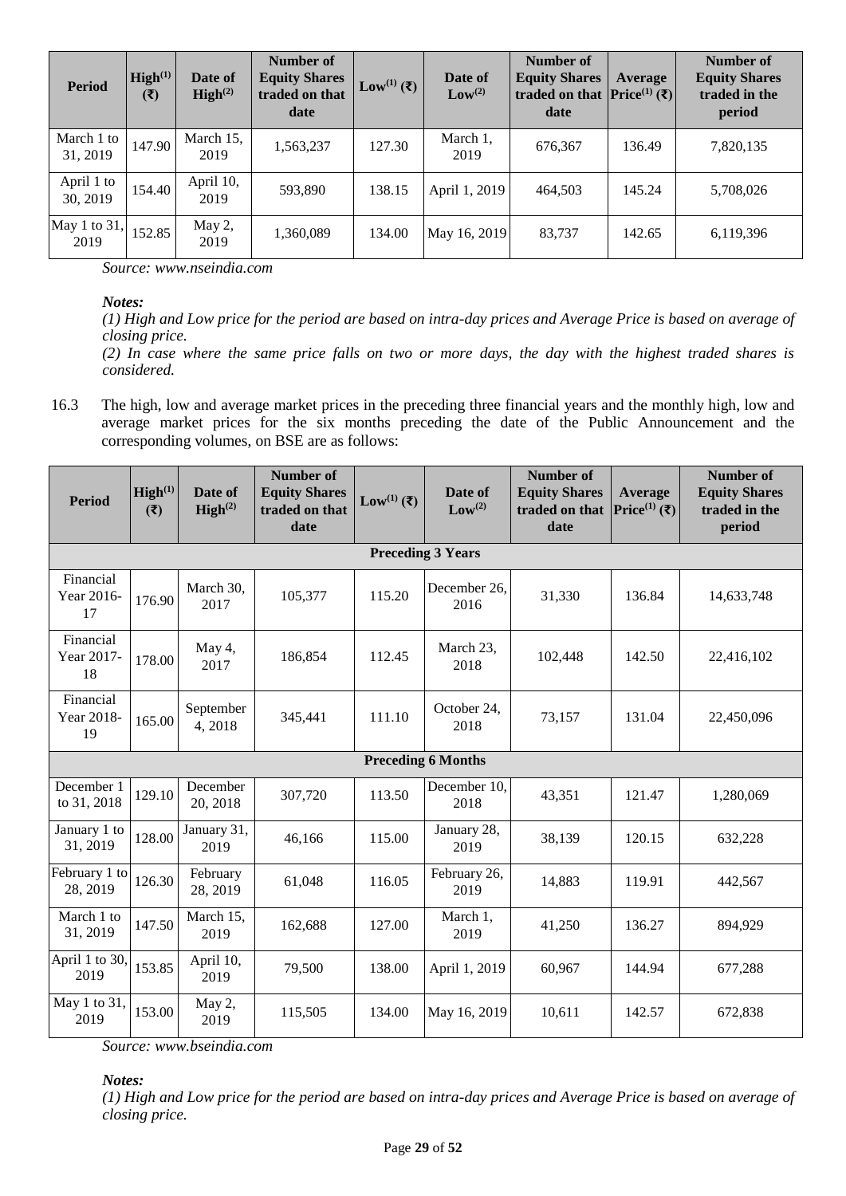| <b>Period</b>          | High <sup>(1)</sup><br>$(\overline{\mathbf{t}})$ | Date of<br>$\text{High}^{(2)}$ | Number of<br><b>Equity Shares</b><br>traded on that<br>date | Low <sup>(1)</sup> ( $\bar{\tau}$ ) | Date of<br>Low <sup>(2)</sup> | Number of<br><b>Equity Shares</b><br>traded on that $\left \text{Price}^{(1)}\left(\overline{\mathbf{\xi}}\right)\right $<br>date | Average | <b>Number of</b><br><b>Equity Shares</b><br>traded in the<br>period |
|------------------------|--------------------------------------------------|--------------------------------|-------------------------------------------------------------|-------------------------------------|-------------------------------|-----------------------------------------------------------------------------------------------------------------------------------|---------|---------------------------------------------------------------------|
| March 1 to<br>31, 2019 | 147.90                                           | March 15,<br>2019              | 1,563,237                                                   | 127.30                              | March 1,<br>2019              | 676,367                                                                                                                           | 136.49  | 7,820,135                                                           |
| April 1 to<br>30, 2019 | 154.40                                           | April 10,<br>2019              | 593,890                                                     | 138.15                              | April 1, 2019                 | 464,503                                                                                                                           | 145.24  | 5,708,026                                                           |
| May 1 to 31,<br>2019   | 152.85                                           | May 2,<br>2019                 | 1,360,089                                                   | 134.00                              | May 16, 2019                  | 83,737                                                                                                                            | 142.65  | 6,119,396                                                           |

*Source: www.nseindia.com*

*Notes:*

*(1) High and Low price for the period are based on intra-day prices and Average Price is based on average of closing price.*

*(2) In case where the same price falls on two or more days, the day with the highest traded shares is considered.*

16.3 The high, low and average market prices in the preceding three financial years and the monthly high, low and average market prices for the six months preceding the date of the Public Announcement and the corresponding volumes, on BSE are as follows:

| Period                        | High <sup>(1)</sup><br>(3) | Date of<br>$\text{High}^{(2)}$ | <b>Number of</b><br><b>Equity Shares</b><br>traded on that<br>date | Low <sup>(1)</sup> ( $\bar{\zeta}$ ) | Date of<br>Low <sup>(2)</sup> | <b>Number of</b><br><b>Equity Shares</b><br>traded on that<br>date | Average<br>Price <sup>(1)</sup> (₹) | <b>Number of</b><br><b>Equity Shares</b><br>traded in the<br>period |
|-------------------------------|----------------------------|--------------------------------|--------------------------------------------------------------------|--------------------------------------|-------------------------------|--------------------------------------------------------------------|-------------------------------------|---------------------------------------------------------------------|
|                               |                            |                                |                                                                    |                                      | <b>Preceding 3 Years</b>      |                                                                    |                                     |                                                                     |
| Financial<br>Year 2016-<br>17 | 176.90                     | March 30,<br>2017              | 105,377                                                            | 115.20                               | December 26.<br>2016          | 31,330                                                             | 136.84                              | 14,633,748                                                          |
| Financial<br>Year 2017-<br>18 | 178.00                     | May 4,<br>2017                 | 186,854                                                            | 112.45                               | March 23,<br>2018             | 102,448                                                            | 142.50                              | 22,416,102                                                          |
| Financial<br>Year 2018-<br>19 | 165.00                     | September<br>4,2018            | 345,441                                                            | 111.10                               | October 24,<br>2018           | 73,157                                                             | 131.04                              | 22,450,096                                                          |
|                               |                            |                                |                                                                    |                                      | <b>Preceding 6 Months</b>     |                                                                    |                                     |                                                                     |
| December 1<br>to 31, 2018     | 129.10                     | December<br>20, 2018           | 307,720                                                            | 113.50                               | December 10,<br>2018          | 43,351                                                             | 121.47                              | 1,280,069                                                           |
| January 1 to<br>31, 2019      | 128.00                     | January 31,<br>2019            | 46,166                                                             | 115.00                               | January 28,<br>2019           | 38,139                                                             | 120.15                              | 632,228                                                             |
| February 1 to<br>28, 2019     | 126.30                     | February<br>28, 2019           | 61,048                                                             | 116.05                               | February 26,<br>2019          | 14,883                                                             | 119.91                              | 442,567                                                             |
| March 1 to<br>31, 2019        | 147.50                     | March 15,<br>2019              | 162,688                                                            | 127.00                               | March 1,<br>2019              | 41,250                                                             | 136.27                              | 894,929                                                             |
| April 1 to 30,<br>2019        | 153.85                     | April 10,<br>2019              | 79,500                                                             | 138.00                               | April 1, 2019                 | 60,967                                                             | 144.94                              | 677,288                                                             |
| May 1 to 31,<br>2019          | 153.00                     | May 2,<br>2019                 | 115,505                                                            | 134.00                               | May 16, 2019                  | 10,611                                                             | 142.57                              | 672,838                                                             |

*Source: www.bseindia.com*

*Notes:*

*(1) High and Low price for the period are based on intra-day prices and Average Price is based on average of closing price.*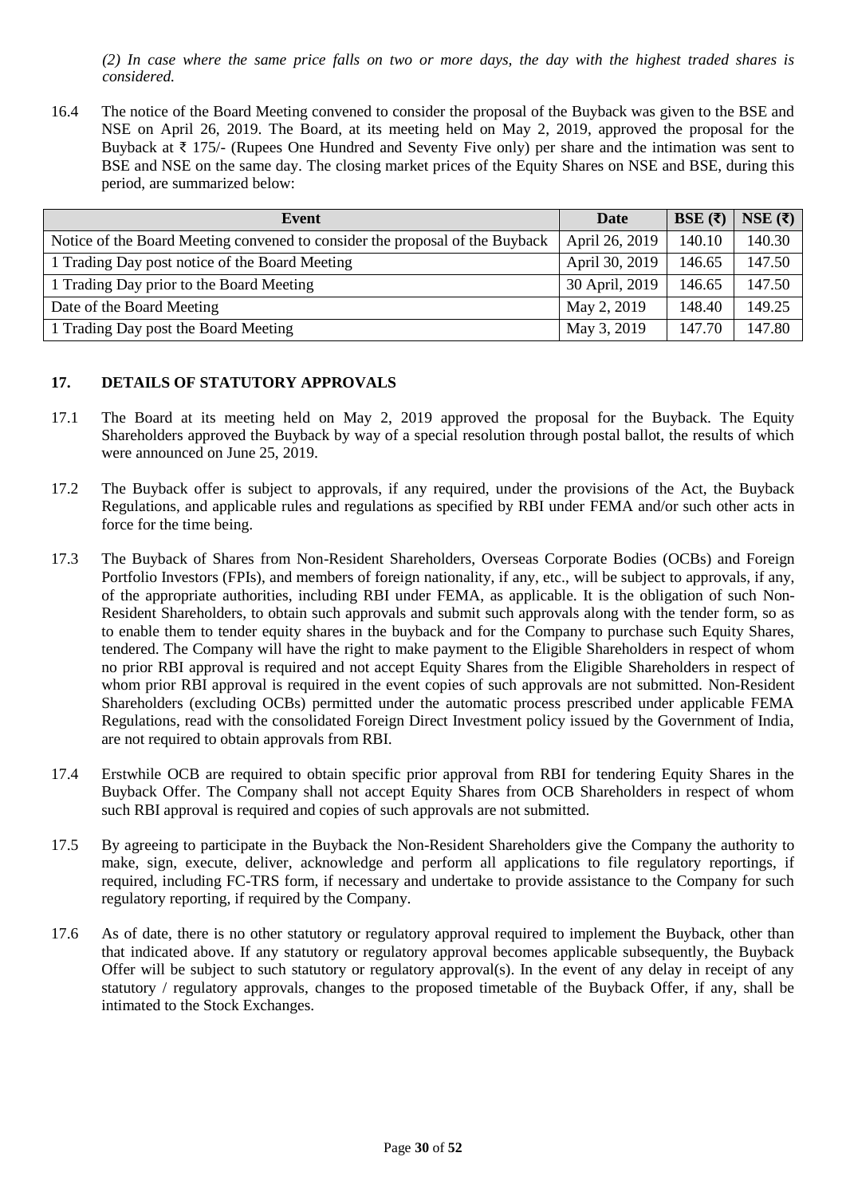*(2) In case where the same price falls on two or more days, the day with the highest traded shares is considered.*

16.4 The notice of the Board Meeting convened to consider the proposal of the Buyback was given to the BSE and NSE on April 26, 2019. The Board, at its meeting held on May 2, 2019, approved the proposal for the Buyback at ₹ 175/- (Rupees One Hundred and Seventy Five only) per share and the intimation was sent to BSE and NSE on the same day. The closing market prices of the Equity Shares on NSE and BSE, during this period, are summarized below:

| Event                                                                        | Date           | BSE $(\overline{\zeta})$ | NSE $(\overline{\zeta})$ |
|------------------------------------------------------------------------------|----------------|--------------------------|--------------------------|
| Notice of the Board Meeting convened to consider the proposal of the Buyback | April 26, 2019 | 140.10                   | 140.30                   |
| 1 Trading Day post notice of the Board Meeting                               | April 30, 2019 | 146.65                   | 147.50                   |
| 1 Trading Day prior to the Board Meeting                                     | 30 April, 2019 | 146.65                   | 147.50                   |
| Date of the Board Meeting                                                    | May 2, 2019    | 148.40                   | 149.25                   |
| 1 Trading Day post the Board Meeting                                         | May 3, 2019    | 147.70                   | 147.80                   |

### <span id="page-29-0"></span>**17. DETAILS OF STATUTORY APPROVALS**

- 17.1 The Board at its meeting held on May 2, 2019 approved the proposal for the Buyback. The Equity Shareholders approved the Buyback by way of a special resolution through postal ballot, the results of which were announced on June 25, 2019.
- 17.2 The Buyback offer is subject to approvals, if any required, under the provisions of the Act, the Buyback Regulations, and applicable rules and regulations as specified by RBI under FEMA and/or such other acts in force for the time being.
- 17.3 The Buyback of Shares from Non-Resident Shareholders, Overseas Corporate Bodies (OCBs) and Foreign Portfolio Investors (FPIs), and members of foreign nationality, if any, etc., will be subject to approvals, if any, of the appropriate authorities, including RBI under FEMA, as applicable. It is the obligation of such Non-Resident Shareholders, to obtain such approvals and submit such approvals along with the tender form, so as to enable them to tender equity shares in the buyback and for the Company to purchase such Equity Shares, tendered. The Company will have the right to make payment to the Eligible Shareholders in respect of whom no prior RBI approval is required and not accept Equity Shares from the Eligible Shareholders in respect of whom prior RBI approval is required in the event copies of such approvals are not submitted. Non-Resident Shareholders (excluding OCBs) permitted under the automatic process prescribed under applicable FEMA Regulations, read with the consolidated Foreign Direct Investment policy issued by the Government of India, are not required to obtain approvals from RBI.
- 17.4 Erstwhile OCB are required to obtain specific prior approval from RBI for tendering Equity Shares in the Buyback Offer. The Company shall not accept Equity Shares from OCB Shareholders in respect of whom such RBI approval is required and copies of such approvals are not submitted.
- 17.5 By agreeing to participate in the Buyback the Non-Resident Shareholders give the Company the authority to make, sign, execute, deliver, acknowledge and perform all applications to file regulatory reportings, if required, including FC-TRS form, if necessary and undertake to provide assistance to the Company for such regulatory reporting, if required by the Company.
- 17.6 As of date, there is no other statutory or regulatory approval required to implement the Buyback, other than that indicated above. If any statutory or regulatory approval becomes applicable subsequently, the Buyback Offer will be subject to such statutory or regulatory approval(s). In the event of any delay in receipt of any statutory / regulatory approvals, changes to the proposed timetable of the Buyback Offer, if any, shall be intimated to the Stock Exchanges.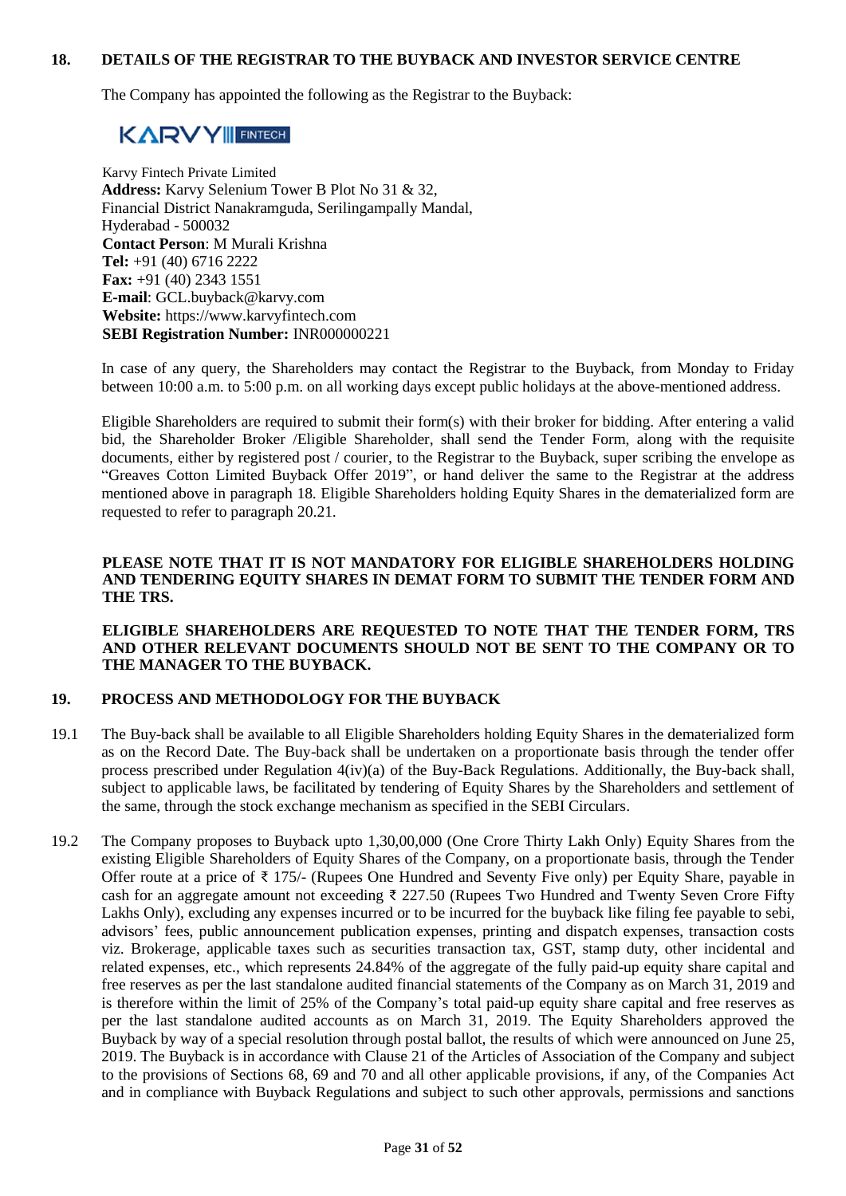#### <span id="page-30-0"></span>**18. DETAILS OF THE REGISTRAR TO THE BUYBACK AND INVESTOR SERVICE CENTRE**

The Company has appointed the following as the Registrar to the Buyback:

# **KARVY FINTECH**

Karvy Fintech Private Limited **Address:** Karvy Selenium Tower B Plot No 31 & 32, Financial District Nanakramguda, Serilingampally Mandal, Hyderabad - 500032 **Contact Person**: M Murali Krishna **Tel:** +91 (40) 6716 2222 **Fax:** +91 (40) 2343 1551 **E-mail**: GCL.buyback@karvy.com **Website:** https://www.karvyfintech.com **SEBI Registration Number:** INR000000221

In case of any query, the Shareholders may contact the Registrar to the Buyback, from Monday to Friday between 10:00 a.m. to 5:00 p.m. on all working days except public holidays at the above-mentioned address.

Eligible Shareholders are required to submit their form(s) with their broker for bidding. After entering a valid bid, the Shareholder Broker /Eligible Shareholder, shall send the Tender Form, along with the requisite documents, either by registered post / courier, to the Registrar to the Buyback, super scribing the envelope as "Greaves Cotton Limited Buyback Offer 2019", or hand deliver the same to the Registrar at the address mentioned above in paragraph 18. Eligible Shareholders holding Equity Shares in the dematerialized form are requested to refer to paragraph 20.21.

#### **PLEASE NOTE THAT IT IS NOT MANDATORY FOR ELIGIBLE SHAREHOLDERS HOLDING AND TENDERING EQUITY SHARES IN DEMAT FORM TO SUBMIT THE TENDER FORM AND THE TRS.**

#### **ELIGIBLE SHAREHOLDERS ARE REQUESTED TO NOTE THAT THE TENDER FORM, TRS AND OTHER RELEVANT DOCUMENTS SHOULD NOT BE SENT TO THE COMPANY OR TO THE MANAGER TO THE BUYBACK.**

### <span id="page-30-1"></span>**19. PROCESS AND METHODOLOGY FOR THE BUYBACK**

- 19.1 The Buy-back shall be available to all Eligible Shareholders holding Equity Shares in the dematerialized form as on the Record Date. The Buy-back shall be undertaken on a proportionate basis through the tender offer process prescribed under Regulation 4(iv)(a) of the Buy-Back Regulations. Additionally, the Buy-back shall, subject to applicable laws, be facilitated by tendering of Equity Shares by the Shareholders and settlement of the same, through the stock exchange mechanism as specified in the SEBI Circulars.
- 19.2 The Company proposes to Buyback upto 1,30,00,000 (One Crore Thirty Lakh Only) Equity Shares from the existing Eligible Shareholders of Equity Shares of the Company, on a proportionate basis, through the Tender Offer route at a price of ₹ 175/- (Rupees One Hundred and Seventy Five only) per Equity Share, payable in cash for an aggregate amount not exceeding ₹ 227.50 (Rupees Two Hundred and Twenty Seven Crore Fifty Lakhs Only), excluding any expenses incurred or to be incurred for the buyback like filing fee payable to sebi, advisors' fees, public announcement publication expenses, printing and dispatch expenses, transaction costs viz. Brokerage, applicable taxes such as securities transaction tax, GST, stamp duty, other incidental and related expenses, etc., which represents 24.84% of the aggregate of the fully paid-up equity share capital and free reserves as per the last standalone audited financial statements of the Company as on March 31, 2019 and is therefore within the limit of 25% of the Company's total paid-up equity share capital and free reserves as per the last standalone audited accounts as on March 31, 2019. The Equity Shareholders approved the Buyback by way of a special resolution through postal ballot, the results of which were announced on June 25, 2019. The Buyback is in accordance with Clause 21 of the Articles of Association of the Company and subject to the provisions of Sections 68, 69 and 70 and all other applicable provisions, if any, of the Companies Act and in compliance with Buyback Regulations and subject to such other approvals, permissions and sanctions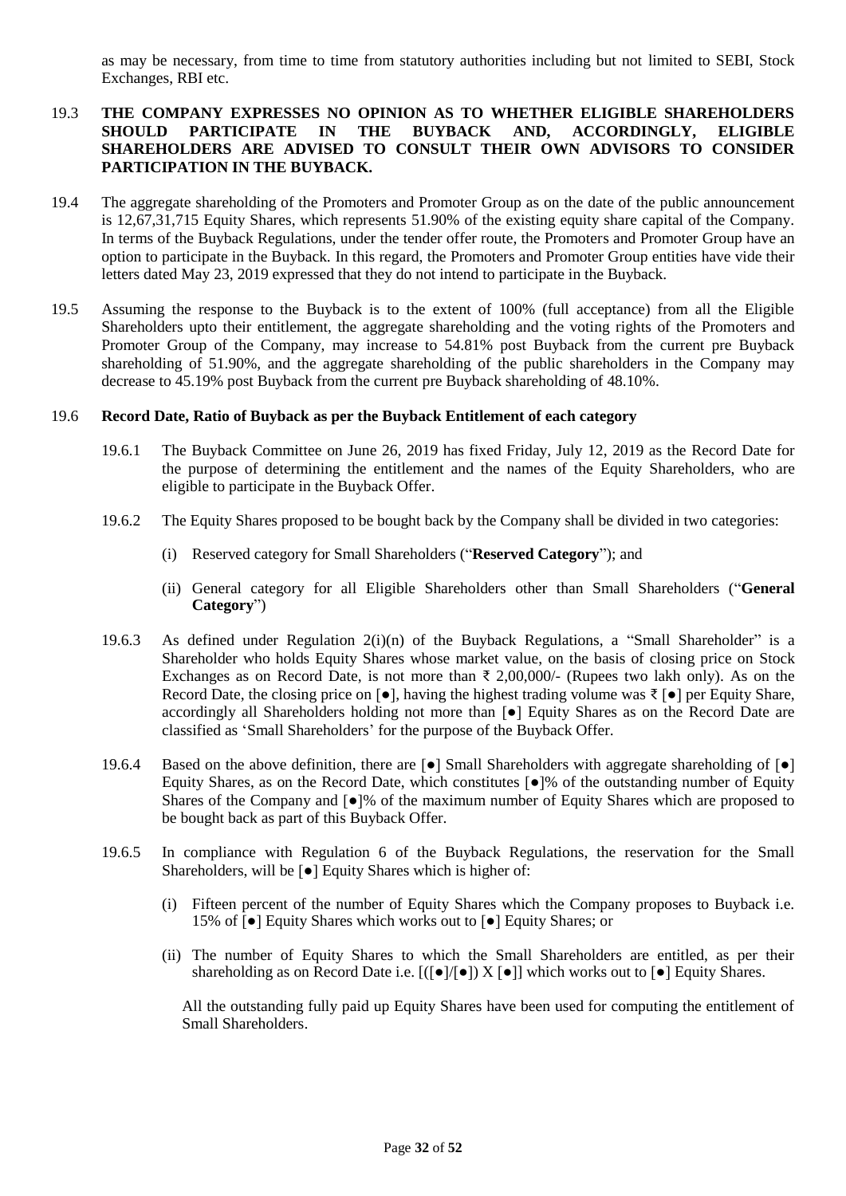as may be necessary, from time to time from statutory authorities including but not limited to SEBI, Stock Exchanges, RBI etc.

### 19.3 **THE COMPANY EXPRESSES NO OPINION AS TO WHETHER ELIGIBLE SHAREHOLDERS SHOULD PARTICIPATE IN THE BUYBACK AND, ACCORDINGLY, ELIGIBLE SHAREHOLDERS ARE ADVISED TO CONSULT THEIR OWN ADVISORS TO CONSIDER PARTICIPATION IN THE BUYBACK.**

- 19.4 The aggregate shareholding of the Promoters and Promoter Group as on the date of the public announcement is 12,67,31,715 Equity Shares, which represents 51.90% of the existing equity share capital of the Company. In terms of the Buyback Regulations, under the tender offer route, the Promoters and Promoter Group have an option to participate in the Buyback. In this regard, the Promoters and Promoter Group entities have vide their letters dated May 23, 2019 expressed that they do not intend to participate in the Buyback.
- 19.5 Assuming the response to the Buyback is to the extent of 100% (full acceptance) from all the Eligible Shareholders upto their entitlement, the aggregate shareholding and the voting rights of the Promoters and Promoter Group of the Company, may increase to 54.81% post Buyback from the current pre Buyback shareholding of 51.90%, and the aggregate shareholding of the public shareholders in the Company may decrease to 45.19% post Buyback from the current pre Buyback shareholding of 48.10%.

#### 19.6 **Record Date, Ratio of Buyback as per the Buyback Entitlement of each category**

- 19.6.1 The Buyback Committee on June 26, 2019 has fixed Friday, July 12, 2019 as the Record Date for the purpose of determining the entitlement and the names of the Equity Shareholders, who are eligible to participate in the Buyback Offer.
- 19.6.2 The Equity Shares proposed to be bought back by the Company shall be divided in two categories:
	- (i) Reserved category for Small Shareholders ("**Reserved Category**"); and
	- (ii) General category for all Eligible Shareholders other than Small Shareholders ("**General Category**")
- 19.6.3 As defined under Regulation 2(i)(n) of the Buyback Regulations, a "Small Shareholder" is a Shareholder who holds Equity Shares whose market value, on the basis of closing price on Stock Exchanges as on Record Date, is not more than  $\bar{\tau}$  2,00,000/- (Rupees two lakh only). As on the Record Date, the closing price on  $\lceil \bullet \rceil$ , having the highest trading volume was  $\bar{\tau}$   $\lceil \bullet \rceil$  per Equity Share, accordingly all Shareholders holding not more than [●] Equity Shares as on the Record Date are classified as 'Small Shareholders' for the purpose of the Buyback Offer.
- 19.6.4 Based on the above definition, there are  $\lceil \bullet \rceil$  Small Shareholders with aggregate shareholding of  $\lceil \bullet \rceil$ Equity Shares, as on the Record Date, which constitutes [●]% of the outstanding number of Equity Shares of the Company and [●]% of the maximum number of Equity Shares which are proposed to be bought back as part of this Buyback Offer.
- 19.6.5 In compliance with Regulation 6 of the Buyback Regulations, the reservation for the Small Shareholders, will be [●] Equity Shares which is higher of:
	- (i) Fifteen percent of the number of Equity Shares which the Company proposes to Buyback i.e. 15% of [●] Equity Shares which works out to [●] Equity Shares; or
	- (ii) The number of Equity Shares to which the Small Shareholders are entitled, as per their shareholding as on Record Date i.e.  $[(\bullet][\bullet]) \times [\bullet]]$  which works out to  $[\bullet]$  Equity Shares.

All the outstanding fully paid up Equity Shares have been used for computing the entitlement of Small Shareholders.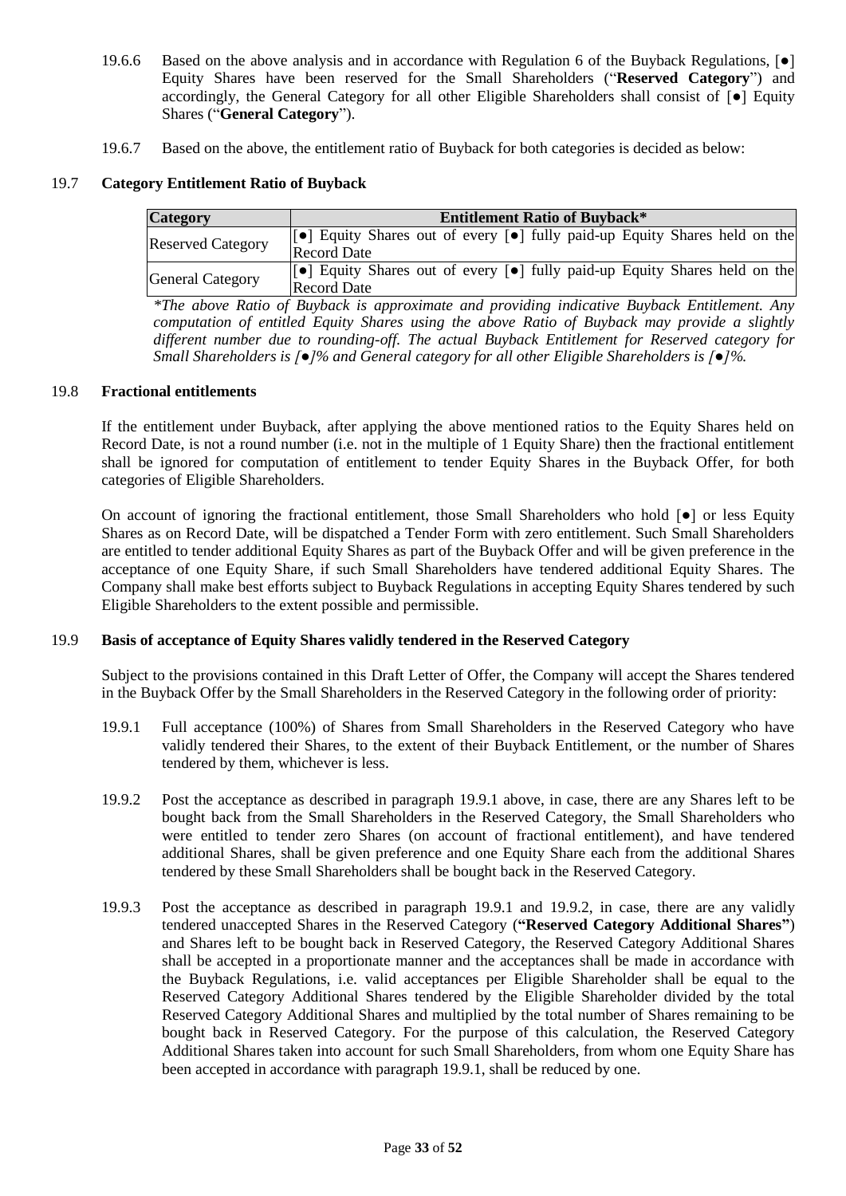- 19.6.6 Based on the above analysis and in accordance with Regulation 6 of the Buyback Regulations, [●] Equity Shares have been reserved for the Small Shareholders ("**Reserved Category**") and accordingly, the General Category for all other Eligible Shareholders shall consist of [●] Equity Shares ("**General Category**").
- 19.6.7 Based on the above, the entitlement ratio of Buyback for both categories is decided as below:

### 19.7 **Category Entitlement Ratio of Buyback**

| <b>Category</b>          | <b>Entitlement Ratio of Buyback*</b>                                                                         |  |  |  |  |  |  |
|--------------------------|--------------------------------------------------------------------------------------------------------------|--|--|--|--|--|--|
| <b>Reserved Category</b> | [●] Equity Shares out of every [●] fully paid-up Equity Shares held on the<br><b>Record Date</b>             |  |  |  |  |  |  |
| <b>General Category</b>  | <b>Solution</b> Equity Shares out of every [•] fully paid-up Equity Shares held on the<br><b>Record Date</b> |  |  |  |  |  |  |

*\*The above Ratio of Buyback is approximate and providing indicative Buyback Entitlement. Any computation of entitled Equity Shares using the above Ratio of Buyback may provide a slightly different number due to rounding-off. The actual Buyback Entitlement for Reserved category for Small Shareholders is [●]% and General category for all other Eligible Shareholders is [●]%.*

#### 19.8 **Fractional entitlements**

If the entitlement under Buyback, after applying the above mentioned ratios to the Equity Shares held on Record Date, is not a round number (i.e. not in the multiple of 1 Equity Share) then the fractional entitlement shall be ignored for computation of entitlement to tender Equity Shares in the Buyback Offer, for both categories of Eligible Shareholders.

On account of ignoring the fractional entitlement, those Small Shareholders who hold [●] or less Equity Shares as on Record Date, will be dispatched a Tender Form with zero entitlement. Such Small Shareholders are entitled to tender additional Equity Shares as part of the Buyback Offer and will be given preference in the acceptance of one Equity Share, if such Small Shareholders have tendered additional Equity Shares. The Company shall make best efforts subject to Buyback Regulations in accepting Equity Shares tendered by such Eligible Shareholders to the extent possible and permissible.

### 19.9 **Basis of acceptance of Equity Shares validly tendered in the Reserved Category**

Subject to the provisions contained in this Draft Letter of Offer, the Company will accept the Shares tendered in the Buyback Offer by the Small Shareholders in the Reserved Category in the following order of priority:

- 19.9.1 Full acceptance (100%) of Shares from Small Shareholders in the Reserved Category who have validly tendered their Shares, to the extent of their Buyback Entitlement, or the number of Shares tendered by them, whichever is less.
- 19.9.2 Post the acceptance as described in paragraph 19.9.1 above, in case, there are any Shares left to be bought back from the Small Shareholders in the Reserved Category, the Small Shareholders who were entitled to tender zero Shares (on account of fractional entitlement), and have tendered additional Shares, shall be given preference and one Equity Share each from the additional Shares tendered by these Small Shareholders shall be bought back in the Reserved Category.
- 19.9.3 Post the acceptance as described in paragraph 19.9.1 and 19.9.2, in case, there are any validly tendered unaccepted Shares in the Reserved Category (**"Reserved Category Additional Shares"**) and Shares left to be bought back in Reserved Category, the Reserved Category Additional Shares shall be accepted in a proportionate manner and the acceptances shall be made in accordance with the Buyback Regulations, i.e. valid acceptances per Eligible Shareholder shall be equal to the Reserved Category Additional Shares tendered by the Eligible Shareholder divided by the total Reserved Category Additional Shares and multiplied by the total number of Shares remaining to be bought back in Reserved Category. For the purpose of this calculation, the Reserved Category Additional Shares taken into account for such Small Shareholders, from whom one Equity Share has been accepted in accordance with paragraph 19.9.1, shall be reduced by one.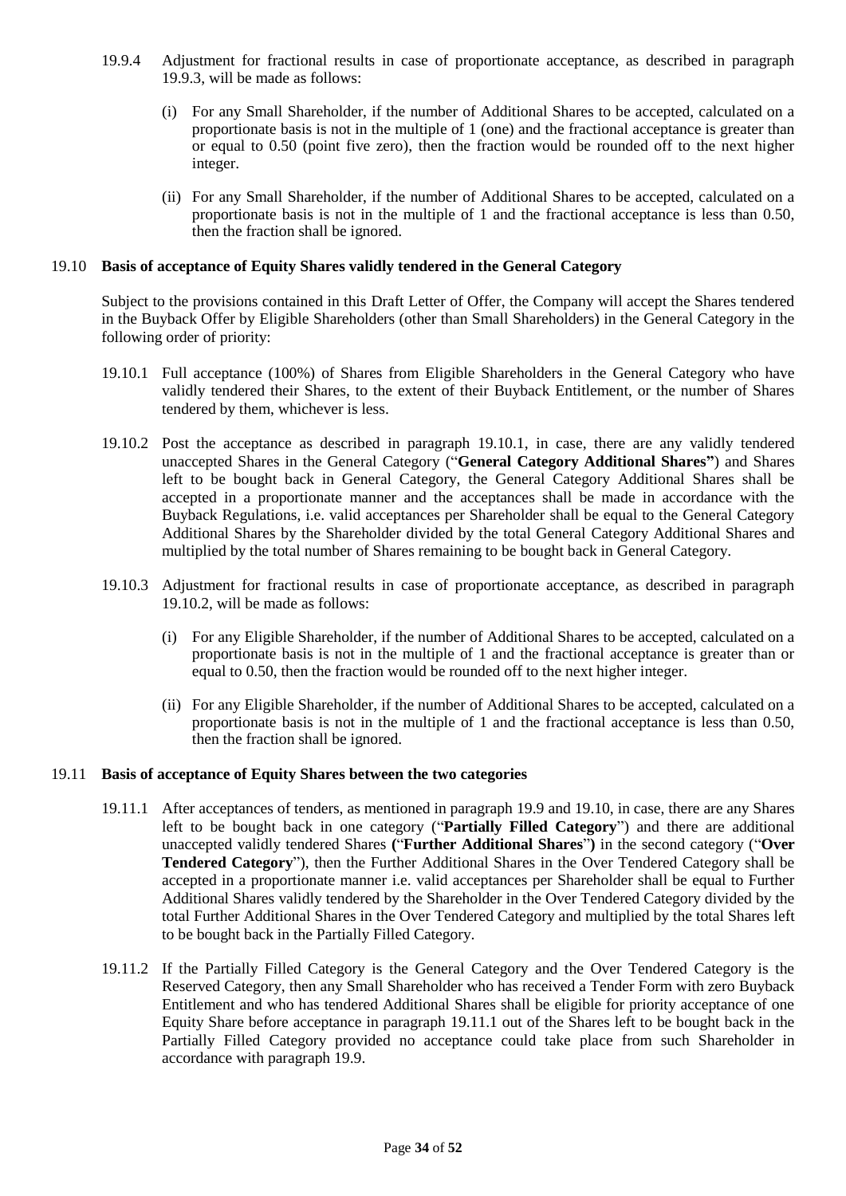- 19.9.4 Adjustment for fractional results in case of proportionate acceptance, as described in paragraph 19.9.3, will be made as follows:
	- (i) For any Small Shareholder, if the number of Additional Shares to be accepted, calculated on a proportionate basis is not in the multiple of 1 (one) and the fractional acceptance is greater than or equal to 0.50 (point five zero), then the fraction would be rounded off to the next higher integer.
	- (ii) For any Small Shareholder, if the number of Additional Shares to be accepted, calculated on a proportionate basis is not in the multiple of 1 and the fractional acceptance is less than 0.50, then the fraction shall be ignored.

#### 19.10 **Basis of acceptance of Equity Shares validly tendered in the General Category**

Subject to the provisions contained in this Draft Letter of Offer, the Company will accept the Shares tendered in the Buyback Offer by Eligible Shareholders (other than Small Shareholders) in the General Category in the following order of priority:

- 19.10.1 Full acceptance (100%) of Shares from Eligible Shareholders in the General Category who have validly tendered their Shares, to the extent of their Buyback Entitlement, or the number of Shares tendered by them, whichever is less.
- 19.10.2 Post the acceptance as described in paragraph 19.10.1, in case, there are any validly tendered unaccepted Shares in the General Category ("**General Category Additional Shares"**) and Shares left to be bought back in General Category, the General Category Additional Shares shall be accepted in a proportionate manner and the acceptances shall be made in accordance with the Buyback Regulations, i.e. valid acceptances per Shareholder shall be equal to the General Category Additional Shares by the Shareholder divided by the total General Category Additional Shares and multiplied by the total number of Shares remaining to be bought back in General Category.
- 19.10.3 Adjustment for fractional results in case of proportionate acceptance, as described in paragraph 19.10.2, will be made as follows:
	- (i) For any Eligible Shareholder, if the number of Additional Shares to be accepted, calculated on a proportionate basis is not in the multiple of 1 and the fractional acceptance is greater than or equal to 0.50, then the fraction would be rounded off to the next higher integer.
	- (ii) For any Eligible Shareholder, if the number of Additional Shares to be accepted, calculated on a proportionate basis is not in the multiple of 1 and the fractional acceptance is less than 0.50, then the fraction shall be ignored.

#### 19.11 **Basis of acceptance of Equity Shares between the two categories**

- 19.11.1 After acceptances of tenders, as mentioned in paragraph 19.9 and 19.10, in case, there are any Shares left to be bought back in one category ("**Partially Filled Category**") and there are additional unaccepted validly tendered Shares **(**"**Further Additional Shares**"**)** in the second category ("**Over Tendered Category**"), then the Further Additional Shares in the Over Tendered Category shall be accepted in a proportionate manner i.e. valid acceptances per Shareholder shall be equal to Further Additional Shares validly tendered by the Shareholder in the Over Tendered Category divided by the total Further Additional Shares in the Over Tendered Category and multiplied by the total Shares left to be bought back in the Partially Filled Category.
- 19.11.2 If the Partially Filled Category is the General Category and the Over Tendered Category is the Reserved Category, then any Small Shareholder who has received a Tender Form with zero Buyback Entitlement and who has tendered Additional Shares shall be eligible for priority acceptance of one Equity Share before acceptance in paragraph 19.11.1 out of the Shares left to be bought back in the Partially Filled Category provided no acceptance could take place from such Shareholder in accordance with paragraph 19.9.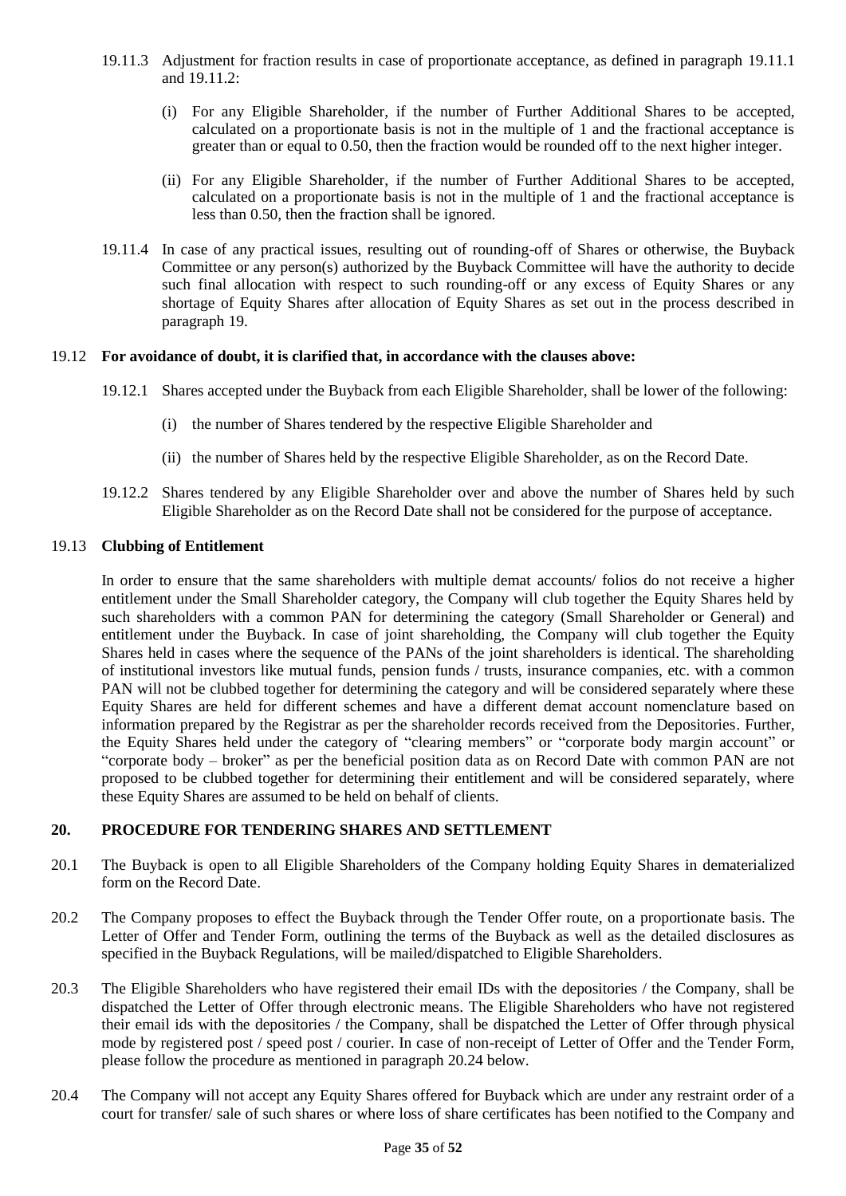- 19.11.3 Adjustment for fraction results in case of proportionate acceptance, as defined in paragraph 19.11.1 and 19.11.2:
	- (i) For any Eligible Shareholder, if the number of Further Additional Shares to be accepted, calculated on a proportionate basis is not in the multiple of 1 and the fractional acceptance is greater than or equal to 0.50, then the fraction would be rounded off to the next higher integer.
	- (ii) For any Eligible Shareholder, if the number of Further Additional Shares to be accepted, calculated on a proportionate basis is not in the multiple of 1 and the fractional acceptance is less than 0.50, then the fraction shall be ignored.
- 19.11.4 In case of any practical issues, resulting out of rounding-off of Shares or otherwise, the Buyback Committee or any person(s) authorized by the Buyback Committee will have the authority to decide such final allocation with respect to such rounding-off or any excess of Equity Shares or any shortage of Equity Shares after allocation of Equity Shares as set out in the process described in paragraph 19.

#### 19.12 **For avoidance of doubt, it is clarified that, in accordance with the clauses above:**

- 19.12.1 Shares accepted under the Buyback from each Eligible Shareholder, shall be lower of the following:
	- (i) the number of Shares tendered by the respective Eligible Shareholder and
	- (ii) the number of Shares held by the respective Eligible Shareholder, as on the Record Date.
- 19.12.2 Shares tendered by any Eligible Shareholder over and above the number of Shares held by such Eligible Shareholder as on the Record Date shall not be considered for the purpose of acceptance.

#### 19.13 **Clubbing of Entitlement**

In order to ensure that the same shareholders with multiple demat accounts/ folios do not receive a higher entitlement under the Small Shareholder category, the Company will club together the Equity Shares held by such shareholders with a common PAN for determining the category (Small Shareholder or General) and entitlement under the Buyback. In case of joint shareholding, the Company will club together the Equity Shares held in cases where the sequence of the PANs of the joint shareholders is identical. The shareholding of institutional investors like mutual funds, pension funds / trusts, insurance companies, etc. with a common PAN will not be clubbed together for determining the category and will be considered separately where these Equity Shares are held for different schemes and have a different demat account nomenclature based on information prepared by the Registrar as per the shareholder records received from the Depositories. Further, the Equity Shares held under the category of "clearing members" or "corporate body margin account" or "corporate body – broker" as per the beneficial position data as on Record Date with common PAN are not proposed to be clubbed together for determining their entitlement and will be considered separately, where these Equity Shares are assumed to be held on behalf of clients.

#### <span id="page-34-0"></span>**20. PROCEDURE FOR TENDERING SHARES AND SETTLEMENT**

- 20.1 The Buyback is open to all Eligible Shareholders of the Company holding Equity Shares in dematerialized form on the Record Date.
- 20.2 The Company proposes to effect the Buyback through the Tender Offer route, on a proportionate basis. The Letter of Offer and Tender Form, outlining the terms of the Buyback as well as the detailed disclosures as specified in the Buyback Regulations, will be mailed/dispatched to Eligible Shareholders.
- 20.3 The Eligible Shareholders who have registered their email IDs with the depositories / the Company, shall be dispatched the Letter of Offer through electronic means. The Eligible Shareholders who have not registered their email ids with the depositories / the Company, shall be dispatched the Letter of Offer through physical mode by registered post / speed post / courier. In case of non-receipt of Letter of Offer and the Tender Form, please follow the procedure as mentioned in paragraph 20.24 below.
- 20.4 The Company will not accept any Equity Shares offered for Buyback which are under any restraint order of a court for transfer/ sale of such shares or where loss of share certificates has been notified to the Company and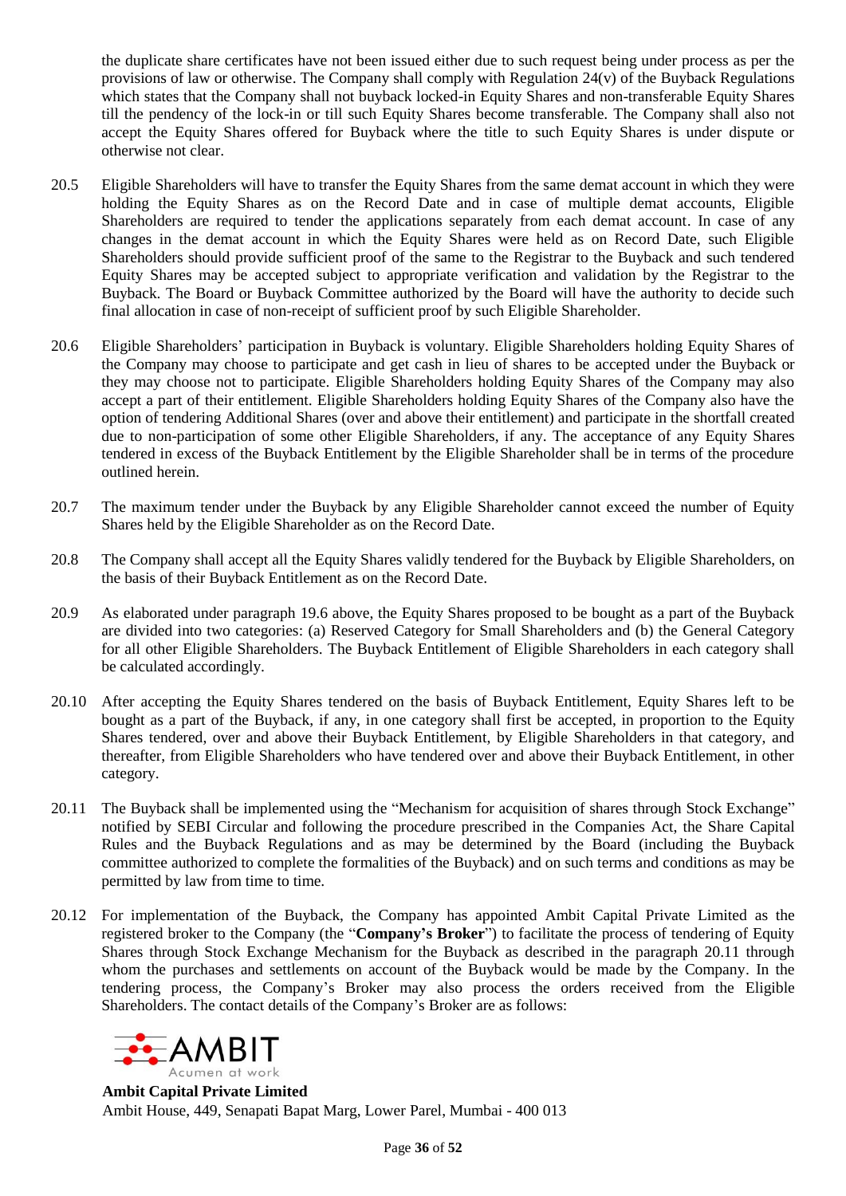the duplicate share certificates have not been issued either due to such request being under process as per the provisions of law or otherwise. The Company shall comply with Regulation 24(v) of the Buyback Regulations which states that the Company shall not buyback locked-in Equity Shares and non-transferable Equity Shares till the pendency of the lock-in or till such Equity Shares become transferable. The Company shall also not accept the Equity Shares offered for Buyback where the title to such Equity Shares is under dispute or otherwise not clear.

- 20.5 Eligible Shareholders will have to transfer the Equity Shares from the same demat account in which they were holding the Equity Shares as on the Record Date and in case of multiple demat accounts, Eligible Shareholders are required to tender the applications separately from each demat account. In case of any changes in the demat account in which the Equity Shares were held as on Record Date, such Eligible Shareholders should provide sufficient proof of the same to the Registrar to the Buyback and such tendered Equity Shares may be accepted subject to appropriate verification and validation by the Registrar to the Buyback. The Board or Buyback Committee authorized by the Board will have the authority to decide such final allocation in case of non-receipt of sufficient proof by such Eligible Shareholder.
- 20.6 Eligible Shareholders' participation in Buyback is voluntary. Eligible Shareholders holding Equity Shares of the Company may choose to participate and get cash in lieu of shares to be accepted under the Buyback or they may choose not to participate. Eligible Shareholders holding Equity Shares of the Company may also accept a part of their entitlement. Eligible Shareholders holding Equity Shares of the Company also have the option of tendering Additional Shares (over and above their entitlement) and participate in the shortfall created due to non-participation of some other Eligible Shareholders, if any. The acceptance of any Equity Shares tendered in excess of the Buyback Entitlement by the Eligible Shareholder shall be in terms of the procedure outlined herein.
- 20.7 The maximum tender under the Buyback by any Eligible Shareholder cannot exceed the number of Equity Shares held by the Eligible Shareholder as on the Record Date.
- 20.8 The Company shall accept all the Equity Shares validly tendered for the Buyback by Eligible Shareholders, on the basis of their Buyback Entitlement as on the Record Date.
- 20.9 As elaborated under paragraph 19.6 above, the Equity Shares proposed to be bought as a part of the Buyback are divided into two categories: (a) Reserved Category for Small Shareholders and (b) the General Category for all other Eligible Shareholders. The Buyback Entitlement of Eligible Shareholders in each category shall be calculated accordingly.
- 20.10 After accepting the Equity Shares tendered on the basis of Buyback Entitlement, Equity Shares left to be bought as a part of the Buyback, if any, in one category shall first be accepted, in proportion to the Equity Shares tendered, over and above their Buyback Entitlement, by Eligible Shareholders in that category, and thereafter, from Eligible Shareholders who have tendered over and above their Buyback Entitlement, in other category.
- 20.11 The Buyback shall be implemented using the "Mechanism for acquisition of shares through Stock Exchange" notified by SEBI Circular and following the procedure prescribed in the Companies Act, the Share Capital Rules and the Buyback Regulations and as may be determined by the Board (including the Buyback committee authorized to complete the formalities of the Buyback) and on such terms and conditions as may be permitted by law from time to time.
- 20.12 For implementation of the Buyback, the Company has appointed Ambit Capital Private Limited as the registered broker to the Company (the "**Company's Broker**") to facilitate the process of tendering of Equity Shares through Stock Exchange Mechanism for the Buyback as described in the paragraph 20.11 through whom the purchases and settlements on account of the Buyback would be made by the Company. In the tendering process, the Company's Broker may also process the orders received from the Eligible Shareholders. The contact details of the Company's Broker are as follows:



**Ambit Capital Private Limited** Ambit House, 449, Senapati Bapat Marg, Lower Parel, Mumbai - 400 013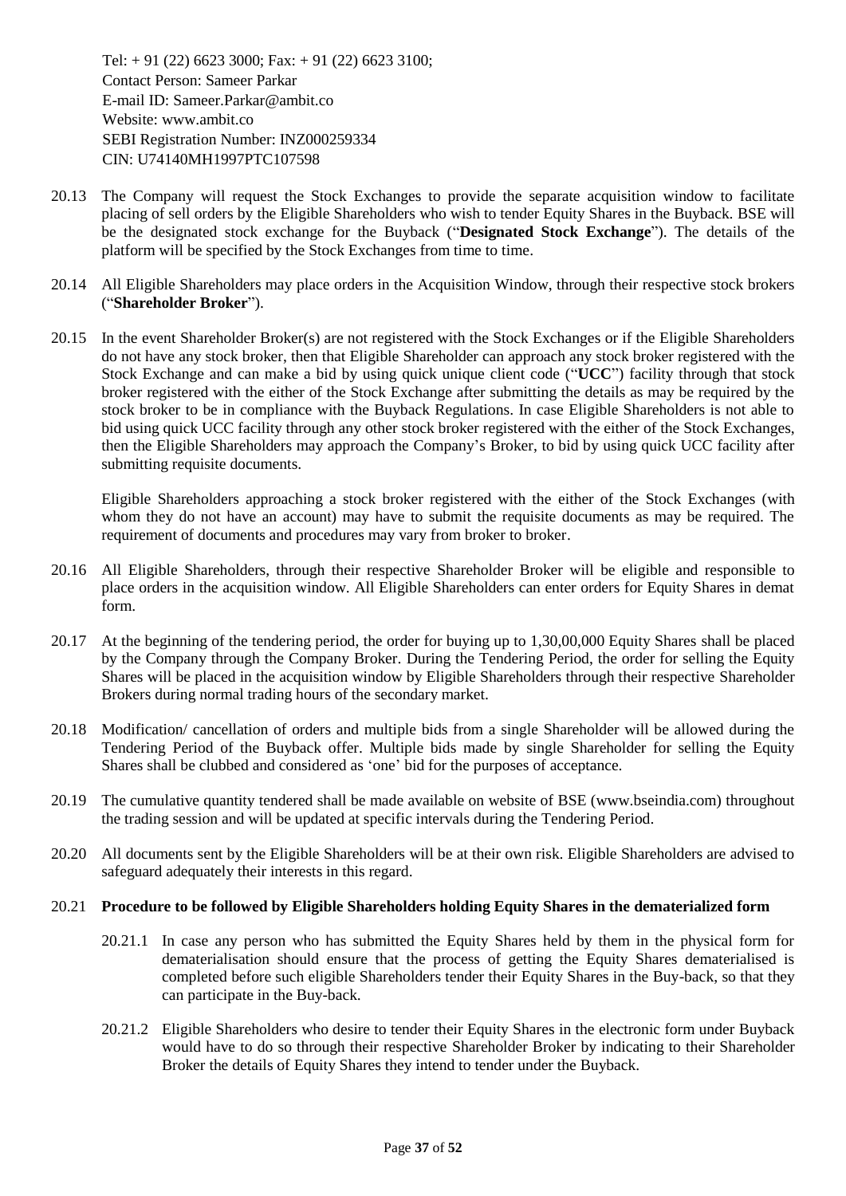Tel:  $+ 91 (22) 6623 3000$ ; Fax:  $+ 91 (22) 6623 3100$ ; Contact Person: Sameer Parkar E-mail ID: Sameer.Parkar@ambit.co Website: www.ambit.co SEBI Registration Number: INZ000259334 CIN: U74140MH1997PTC107598

- 20.13 The Company will request the Stock Exchanges to provide the separate acquisition window to facilitate placing of sell orders by the Eligible Shareholders who wish to tender Equity Shares in the Buyback. BSE will be the designated stock exchange for the Buyback ("**Designated Stock Exchange**"). The details of the platform will be specified by the Stock Exchanges from time to time.
- 20.14 All Eligible Shareholders may place orders in the Acquisition Window, through their respective stock brokers ("**Shareholder Broker**").
- 20.15 In the event Shareholder Broker(s) are not registered with the Stock Exchanges or if the Eligible Shareholders do not have any stock broker, then that Eligible Shareholder can approach any stock broker registered with the Stock Exchange and can make a bid by using quick unique client code ("**UCC**") facility through that stock broker registered with the either of the Stock Exchange after submitting the details as may be required by the stock broker to be in compliance with the Buyback Regulations. In case Eligible Shareholders is not able to bid using quick UCC facility through any other stock broker registered with the either of the Stock Exchanges, then the Eligible Shareholders may approach the Company's Broker, to bid by using quick UCC facility after submitting requisite documents.

Eligible Shareholders approaching a stock broker registered with the either of the Stock Exchanges (with whom they do not have an account) may have to submit the requisite documents as may be required. The requirement of documents and procedures may vary from broker to broker.

- 20.16 All Eligible Shareholders, through their respective Shareholder Broker will be eligible and responsible to place orders in the acquisition window. All Eligible Shareholders can enter orders for Equity Shares in demat form.
- 20.17 At the beginning of the tendering period, the order for buying up to 1,30,00,000 Equity Shares shall be placed by the Company through the Company Broker. During the Tendering Period, the order for selling the Equity Shares will be placed in the acquisition window by Eligible Shareholders through their respective Shareholder Brokers during normal trading hours of the secondary market.
- 20.18 Modification/ cancellation of orders and multiple bids from a single Shareholder will be allowed during the Tendering Period of the Buyback offer. Multiple bids made by single Shareholder for selling the Equity Shares shall be clubbed and considered as 'one' bid for the purposes of acceptance.
- 20.19 The cumulative quantity tendered shall be made available on website of BSE (www.bseindia.com) throughout the trading session and will be updated at specific intervals during the Tendering Period.
- 20.20 All documents sent by the Eligible Shareholders will be at their own risk. Eligible Shareholders are advised to safeguard adequately their interests in this regard.

#### 20.21 **Procedure to be followed by Eligible Shareholders holding Equity Shares in the dematerialized form**

- 20.21.1 In case any person who has submitted the Equity Shares held by them in the physical form for dematerialisation should ensure that the process of getting the Equity Shares dematerialised is completed before such eligible Shareholders tender their Equity Shares in the Buy-back, so that they can participate in the Buy-back.
- 20.21.2 Eligible Shareholders who desire to tender their Equity Shares in the electronic form under Buyback would have to do so through their respective Shareholder Broker by indicating to their Shareholder Broker the details of Equity Shares they intend to tender under the Buyback.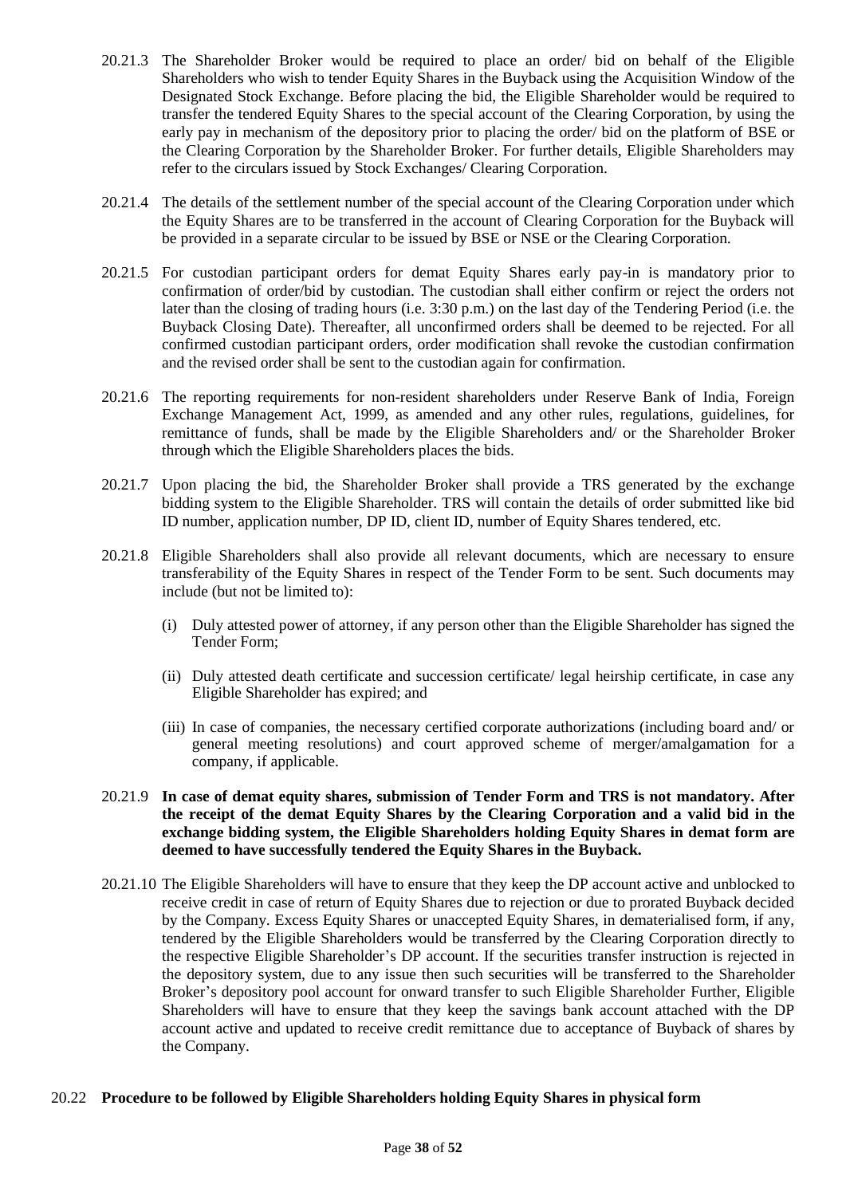- 20.21.3 The Shareholder Broker would be required to place an order/ bid on behalf of the Eligible Shareholders who wish to tender Equity Shares in the Buyback using the Acquisition Window of the Designated Stock Exchange. Before placing the bid, the Eligible Shareholder would be required to transfer the tendered Equity Shares to the special account of the Clearing Corporation, by using the early pay in mechanism of the depository prior to placing the order/ bid on the platform of BSE or the Clearing Corporation by the Shareholder Broker. For further details, Eligible Shareholders may refer to the circulars issued by Stock Exchanges/ Clearing Corporation.
- 20.21.4 The details of the settlement number of the special account of the Clearing Corporation under which the Equity Shares are to be transferred in the account of Clearing Corporation for the Buyback will be provided in a separate circular to be issued by BSE or NSE or the Clearing Corporation.
- 20.21.5 For custodian participant orders for demat Equity Shares early pay-in is mandatory prior to confirmation of order/bid by custodian. The custodian shall either confirm or reject the orders not later than the closing of trading hours (i.e. 3:30 p.m.) on the last day of the Tendering Period (i.e. the Buyback Closing Date). Thereafter, all unconfirmed orders shall be deemed to be rejected. For all confirmed custodian participant orders, order modification shall revoke the custodian confirmation and the revised order shall be sent to the custodian again for confirmation.
- 20.21.6 The reporting requirements for non-resident shareholders under Reserve Bank of India, Foreign Exchange Management Act, 1999, as amended and any other rules, regulations, guidelines, for remittance of funds, shall be made by the Eligible Shareholders and/ or the Shareholder Broker through which the Eligible Shareholders places the bids.
- 20.21.7 Upon placing the bid, the Shareholder Broker shall provide a TRS generated by the exchange bidding system to the Eligible Shareholder. TRS will contain the details of order submitted like bid ID number, application number, DP ID, client ID, number of Equity Shares tendered, etc.
- 20.21.8 Eligible Shareholders shall also provide all relevant documents, which are necessary to ensure transferability of the Equity Shares in respect of the Tender Form to be sent. Such documents may include (but not be limited to):
	- (i) Duly attested power of attorney, if any person other than the Eligible Shareholder has signed the Tender Form;
	- (ii) Duly attested death certificate and succession certificate/ legal heirship certificate, in case any Eligible Shareholder has expired; and
	- (iii) In case of companies, the necessary certified corporate authorizations (including board and/ or general meeting resolutions) and court approved scheme of merger/amalgamation for a company, if applicable.
- 20.21.9 **In case of demat equity shares, submission of Tender Form and TRS is not mandatory. After the receipt of the demat Equity Shares by the Clearing Corporation and a valid bid in the exchange bidding system, the Eligible Shareholders holding Equity Shares in demat form are deemed to have successfully tendered the Equity Shares in the Buyback.**
- 20.21.10 The Eligible Shareholders will have to ensure that they keep the DP account active and unblocked to receive credit in case of return of Equity Shares due to rejection or due to prorated Buyback decided by the Company. Excess Equity Shares or unaccepted Equity Shares, in dematerialised form, if any, tendered by the Eligible Shareholders would be transferred by the Clearing Corporation directly to the respective Eligible Shareholder's DP account. If the securities transfer instruction is rejected in the depository system, due to any issue then such securities will be transferred to the Shareholder Broker's depository pool account for onward transfer to such Eligible Shareholder Further, Eligible Shareholders will have to ensure that they keep the savings bank account attached with the DP account active and updated to receive credit remittance due to acceptance of Buyback of shares by the Company.

### 20.22 **Procedure to be followed by Eligible Shareholders holding Equity Shares in physical form**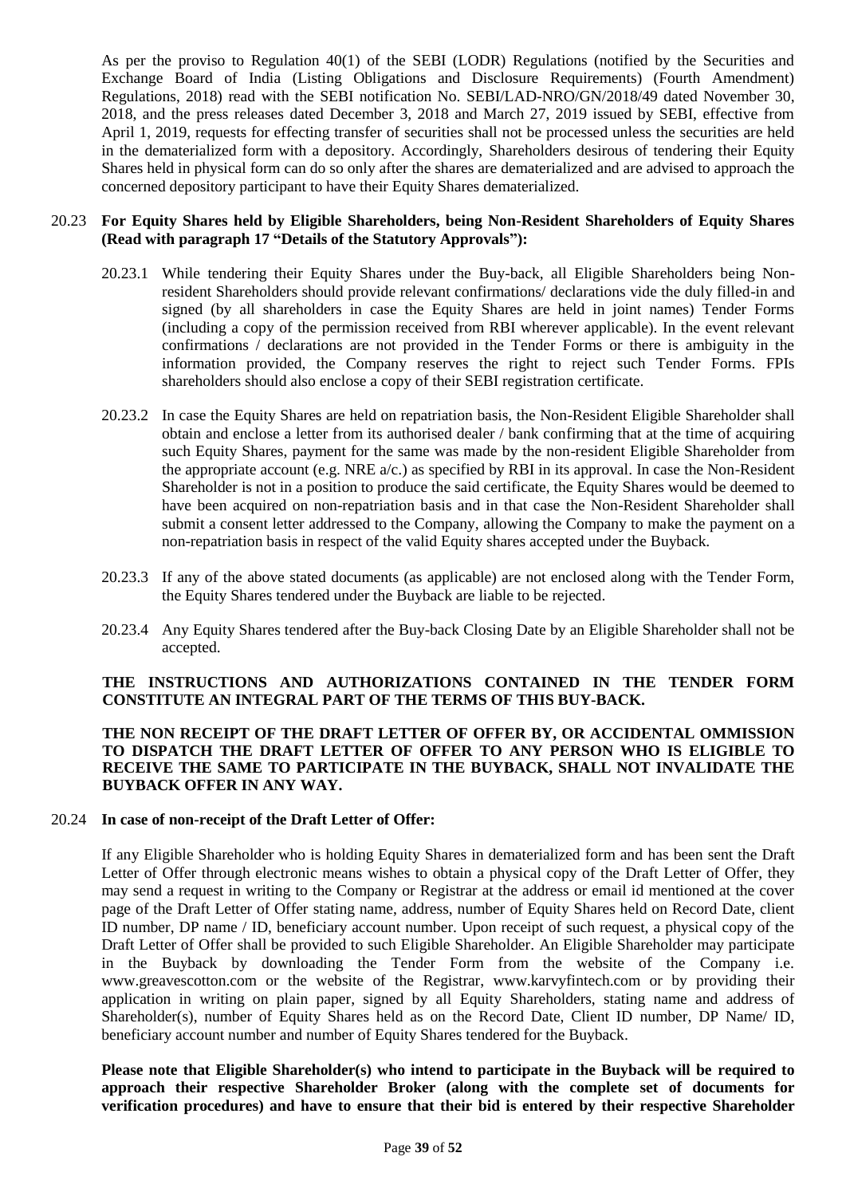As per the proviso to Regulation 40(1) of the SEBI (LODR) Regulations (notified by the Securities and Exchange Board of India (Listing Obligations and Disclosure Requirements) (Fourth Amendment) Regulations, 2018) read with the SEBI notification No. SEBI/LAD-NRO/GN/2018/49 dated November 30, 2018, and the press releases dated December 3, 2018 and March 27, 2019 issued by SEBI, effective from April 1, 2019, requests for effecting transfer of securities shall not be processed unless the securities are held in the dematerialized form with a depository. Accordingly, Shareholders desirous of tendering their Equity Shares held in physical form can do so only after the shares are dematerialized and are advised to approach the concerned depository participant to have their Equity Shares dematerialized.

#### 20.23 **For Equity Shares held by Eligible Shareholders, being Non-Resident Shareholders of Equity Shares (Read with paragraph 17 "Details of the Statutory Approvals"):**

- 20.23.1 While tendering their Equity Shares under the Buy-back, all Eligible Shareholders being Nonresident Shareholders should provide relevant confirmations/ declarations vide the duly filled-in and signed (by all shareholders in case the Equity Shares are held in joint names) Tender Forms (including a copy of the permission received from RBI wherever applicable). In the event relevant confirmations / declarations are not provided in the Tender Forms or there is ambiguity in the information provided, the Company reserves the right to reject such Tender Forms. FPIs shareholders should also enclose a copy of their SEBI registration certificate.
- 20.23.2 In case the Equity Shares are held on repatriation basis, the Non-Resident Eligible Shareholder shall obtain and enclose a letter from its authorised dealer / bank confirming that at the time of acquiring such Equity Shares, payment for the same was made by the non-resident Eligible Shareholder from the appropriate account (e.g. NRE  $a/c$ .) as specified by RBI in its approval. In case the Non-Resident Shareholder is not in a position to produce the said certificate, the Equity Shares would be deemed to have been acquired on non-repatriation basis and in that case the Non-Resident Shareholder shall submit a consent letter addressed to the Company, allowing the Company to make the payment on a non-repatriation basis in respect of the valid Equity shares accepted under the Buyback.
- 20.23.3 If any of the above stated documents (as applicable) are not enclosed along with the Tender Form, the Equity Shares tendered under the Buyback are liable to be rejected.
- 20.23.4 Any Equity Shares tendered after the Buy-back Closing Date by an Eligible Shareholder shall not be accepted.

#### **THE INSTRUCTIONS AND AUTHORIZATIONS CONTAINED IN THE TENDER FORM CONSTITUTE AN INTEGRAL PART OF THE TERMS OF THIS BUY-BACK.**

#### **THE NON RECEIPT OF THE DRAFT LETTER OF OFFER BY, OR ACCIDENTAL OMMISSION TO DISPATCH THE DRAFT LETTER OF OFFER TO ANY PERSON WHO IS ELIGIBLE TO RECEIVE THE SAME TO PARTICIPATE IN THE BUYBACK, SHALL NOT INVALIDATE THE BUYBACK OFFER IN ANY WAY.**

#### 20.24 **In case of non-receipt of the Draft Letter of Offer:**

If any Eligible Shareholder who is holding Equity Shares in dematerialized form and has been sent the Draft Letter of Offer through electronic means wishes to obtain a physical copy of the Draft Letter of Offer, they may send a request in writing to the Company or Registrar at the address or email id mentioned at the cover page of the Draft Letter of Offer stating name, address, number of Equity Shares held on Record Date, client ID number, DP name / ID, beneficiary account number. Upon receipt of such request, a physical copy of the Draft Letter of Offer shall be provided to such Eligible Shareholder. An Eligible Shareholder may participate in the Buyback by downloading the Tender Form from the website of the Company i.e. www.greavescotton.com or the website of the Registrar, www.karvyfintech.com or by providing their application in writing on plain paper, signed by all Equity Shareholders, stating name and address of Shareholder(s), number of Equity Shares held as on the Record Date, Client ID number, DP Name/ ID, beneficiary account number and number of Equity Shares tendered for the Buyback.

**Please note that Eligible Shareholder(s) who intend to participate in the Buyback will be required to approach their respective Shareholder Broker (along with the complete set of documents for verification procedures) and have to ensure that their bid is entered by their respective Shareholder**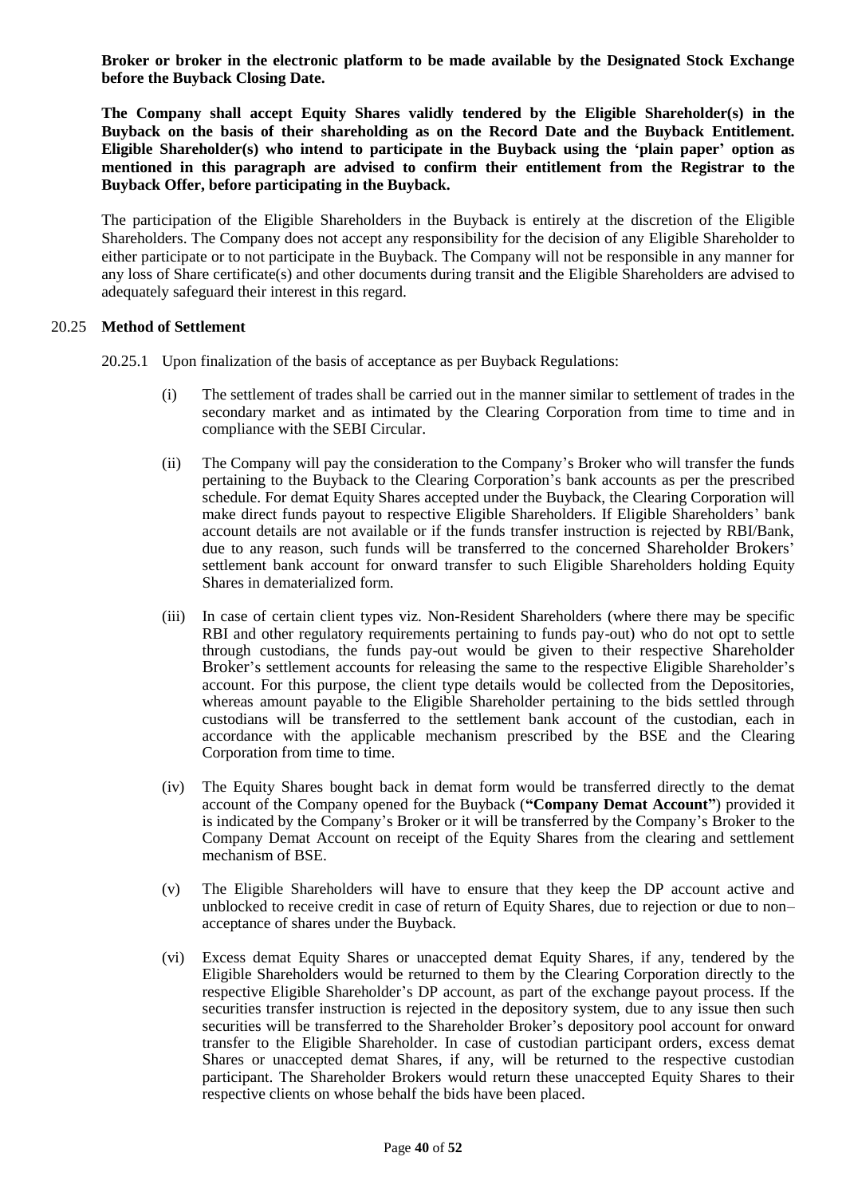**Broker or broker in the electronic platform to be made available by the Designated Stock Exchange before the Buyback Closing Date.**

**The Company shall accept Equity Shares validly tendered by the Eligible Shareholder(s) in the Buyback on the basis of their shareholding as on the Record Date and the Buyback Entitlement. Eligible Shareholder(s) who intend to participate in the Buyback using the 'plain paper' option as mentioned in this paragraph are advised to confirm their entitlement from the Registrar to the Buyback Offer, before participating in the Buyback.**

The participation of the Eligible Shareholders in the Buyback is entirely at the discretion of the Eligible Shareholders. The Company does not accept any responsibility for the decision of any Eligible Shareholder to either participate or to not participate in the Buyback. The Company will not be responsible in any manner for any loss of Share certificate(s) and other documents during transit and the Eligible Shareholders are advised to adequately safeguard their interest in this regard.

#### 20.25 **Method of Settlement**

- 20.25.1 Upon finalization of the basis of acceptance as per Buyback Regulations:
	- (i) The settlement of trades shall be carried out in the manner similar to settlement of trades in the secondary market and as intimated by the Clearing Corporation from time to time and in compliance with the SEBI Circular.
	- (ii) The Company will pay the consideration to the Company's Broker who will transfer the funds pertaining to the Buyback to the Clearing Corporation's bank accounts as per the prescribed schedule. For demat Equity Shares accepted under the Buyback, the Clearing Corporation will make direct funds payout to respective Eligible Shareholders. If Eligible Shareholders' bank account details are not available or if the funds transfer instruction is rejected by RBI/Bank, due to any reason, such funds will be transferred to the concerned Shareholder Brokers' settlement bank account for onward transfer to such Eligible Shareholders holding Equity Shares in dematerialized form.
	- (iii) In case of certain client types viz. Non-Resident Shareholders (where there may be specific RBI and other regulatory requirements pertaining to funds pay-out) who do not opt to settle through custodians, the funds pay-out would be given to their respective Shareholder Broker's settlement accounts for releasing the same to the respective Eligible Shareholder's account. For this purpose, the client type details would be collected from the Depositories, whereas amount payable to the Eligible Shareholder pertaining to the bids settled through custodians will be transferred to the settlement bank account of the custodian, each in accordance with the applicable mechanism prescribed by the BSE and the Clearing Corporation from time to time.
	- (iv) The Equity Shares bought back in demat form would be transferred directly to the demat account of the Company opened for the Buyback (**"Company Demat Account"**) provided it is indicated by the Company's Broker or it will be transferred by the Company's Broker to the Company Demat Account on receipt of the Equity Shares from the clearing and settlement mechanism of BSE.
	- (v) The Eligible Shareholders will have to ensure that they keep the DP account active and unblocked to receive credit in case of return of Equity Shares, due to rejection or due to non– acceptance of shares under the Buyback.
	- (vi) Excess demat Equity Shares or unaccepted demat Equity Shares, if any, tendered by the Eligible Shareholders would be returned to them by the Clearing Corporation directly to the respective Eligible Shareholder's DP account, as part of the exchange payout process. If the securities transfer instruction is rejected in the depository system, due to any issue then such securities will be transferred to the Shareholder Broker's depository pool account for onward transfer to the Eligible Shareholder. In case of custodian participant orders, excess demat Shares or unaccepted demat Shares, if any, will be returned to the respective custodian participant. The Shareholder Brokers would return these unaccepted Equity Shares to their respective clients on whose behalf the bids have been placed.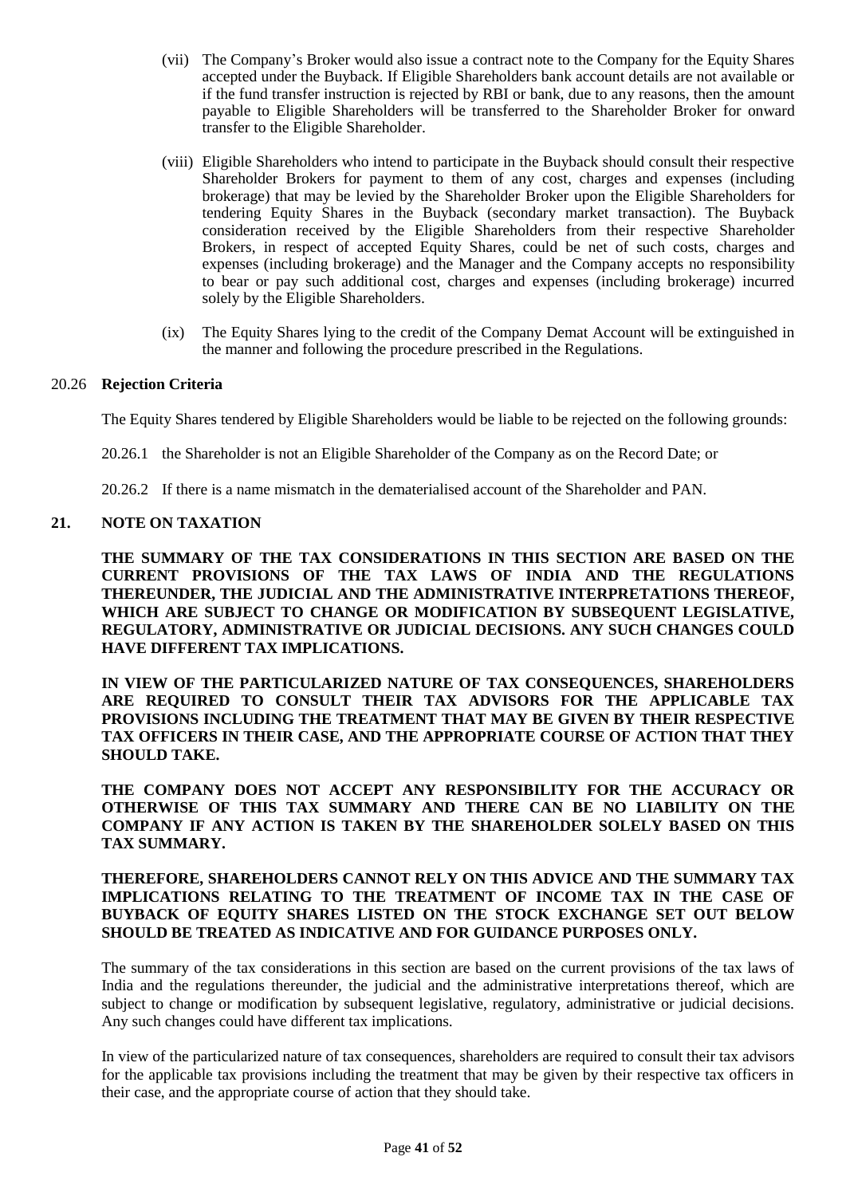- (vii) The Company's Broker would also issue a contract note to the Company for the Equity Shares accepted under the Buyback. If Eligible Shareholders bank account details are not available or if the fund transfer instruction is rejected by RBI or bank, due to any reasons, then the amount payable to Eligible Shareholders will be transferred to the Shareholder Broker for onward transfer to the Eligible Shareholder.
- (viii) Eligible Shareholders who intend to participate in the Buyback should consult their respective Shareholder Brokers for payment to them of any cost, charges and expenses (including brokerage) that may be levied by the Shareholder Broker upon the Eligible Shareholders for tendering Equity Shares in the Buyback (secondary market transaction). The Buyback consideration received by the Eligible Shareholders from their respective Shareholder Brokers, in respect of accepted Equity Shares, could be net of such costs, charges and expenses (including brokerage) and the Manager and the Company accepts no responsibility to bear or pay such additional cost, charges and expenses (including brokerage) incurred solely by the Eligible Shareholders.
- (ix) The Equity Shares lying to the credit of the Company Demat Account will be extinguished in the manner and following the procedure prescribed in the Regulations.

#### 20.26 **Rejection Criteria**

The Equity Shares tendered by Eligible Shareholders would be liable to be rejected on the following grounds:

- 20.26.1 the Shareholder is not an Eligible Shareholder of the Company as on the Record Date; or
- 20.26.2 If there is a name mismatch in the dematerialised account of the Shareholder and PAN.

#### <span id="page-40-0"></span>**21. NOTE ON TAXATION**

**THE SUMMARY OF THE TAX CONSIDERATIONS IN THIS SECTION ARE BASED ON THE CURRENT PROVISIONS OF THE TAX LAWS OF INDIA AND THE REGULATIONS THEREUNDER, THE JUDICIAL AND THE ADMINISTRATIVE INTERPRETATIONS THEREOF, WHICH ARE SUBJECT TO CHANGE OR MODIFICATION BY SUBSEQUENT LEGISLATIVE, REGULATORY, ADMINISTRATIVE OR JUDICIAL DECISIONS. ANY SUCH CHANGES COULD HAVE DIFFERENT TAX IMPLICATIONS.**

**IN VIEW OF THE PARTICULARIZED NATURE OF TAX CONSEQUENCES, SHAREHOLDERS ARE REQUIRED TO CONSULT THEIR TAX ADVISORS FOR THE APPLICABLE TAX PROVISIONS INCLUDING THE TREATMENT THAT MAY BE GIVEN BY THEIR RESPECTIVE TAX OFFICERS IN THEIR CASE, AND THE APPROPRIATE COURSE OF ACTION THAT THEY SHOULD TAKE.**

**THE COMPANY DOES NOT ACCEPT ANY RESPONSIBILITY FOR THE ACCURACY OR OTHERWISE OF THIS TAX SUMMARY AND THERE CAN BE NO LIABILITY ON THE COMPANY IF ANY ACTION IS TAKEN BY THE SHAREHOLDER SOLELY BASED ON THIS TAX SUMMARY.**

### **THEREFORE, SHAREHOLDERS CANNOT RELY ON THIS ADVICE AND THE SUMMARY TAX IMPLICATIONS RELATING TO THE TREATMENT OF INCOME TAX IN THE CASE OF BUYBACK OF EQUITY SHARES LISTED ON THE STOCK EXCHANGE SET OUT BELOW SHOULD BE TREATED AS INDICATIVE AND FOR GUIDANCE PURPOSES ONLY.**

The summary of the tax considerations in this section are based on the current provisions of the tax laws of India and the regulations thereunder, the judicial and the administrative interpretations thereof, which are subject to change or modification by subsequent legislative, regulatory, administrative or judicial decisions. Any such changes could have different tax implications.

In view of the particularized nature of tax consequences, shareholders are required to consult their tax advisors for the applicable tax provisions including the treatment that may be given by their respective tax officers in their case, and the appropriate course of action that they should take.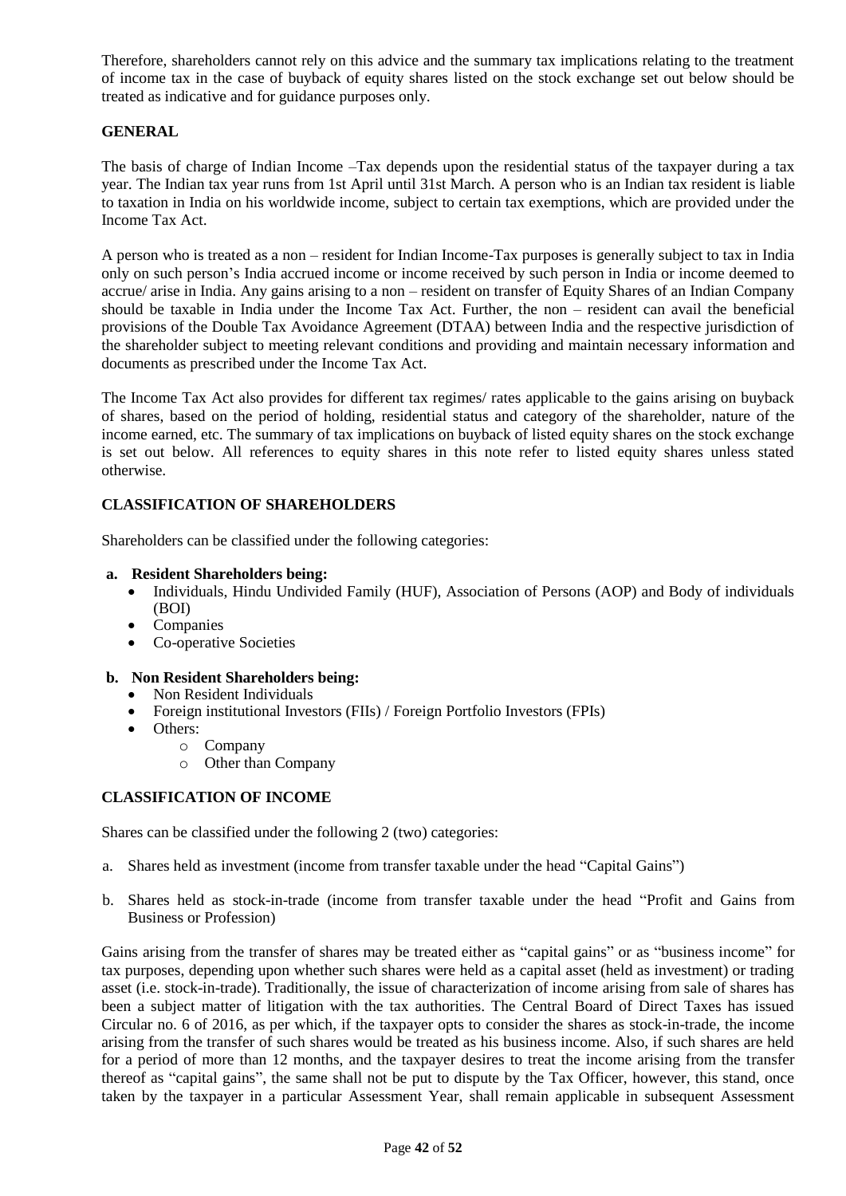Therefore, shareholders cannot rely on this advice and the summary tax implications relating to the treatment of income tax in the case of buyback of equity shares listed on the stock exchange set out below should be treated as indicative and for guidance purposes only.

### **GENERAL**

The basis of charge of Indian Income –Tax depends upon the residential status of the taxpayer during a tax year. The Indian tax year runs from 1st April until 31st March. A person who is an Indian tax resident is liable to taxation in India on his worldwide income, subject to certain tax exemptions, which are provided under the Income Tax Act.

A person who is treated as a non – resident for Indian Income-Tax purposes is generally subject to tax in India only on such person's India accrued income or income received by such person in India or income deemed to accrue/ arise in India. Any gains arising to a non – resident on transfer of Equity Shares of an Indian Company should be taxable in India under the Income Tax Act. Further, the non – resident can avail the beneficial provisions of the Double Tax Avoidance Agreement (DTAA) between India and the respective jurisdiction of the shareholder subject to meeting relevant conditions and providing and maintain necessary information and documents as prescribed under the Income Tax Act.

The Income Tax Act also provides for different tax regimes/ rates applicable to the gains arising on buyback of shares, based on the period of holding, residential status and category of the shareholder, nature of the income earned, etc. The summary of tax implications on buyback of listed equity shares on the stock exchange is set out below. All references to equity shares in this note refer to listed equity shares unless stated otherwise.

### **CLASSIFICATION OF SHAREHOLDERS**

Shareholders can be classified under the following categories:

#### **a. Resident Shareholders being:**

- Individuals, Hindu Undivided Family (HUF), Association of Persons (AOP) and Body of individuals (BOI)
- Companies
- Co-operative Societies

### **b. Non Resident Shareholders being:**

- Non Resident Individuals
- Foreign institutional Investors (FIIs) / Foreign Portfolio Investors (FPIs)
- Others:
	- o Company
	- o Other than Company

#### **CLASSIFICATION OF INCOME**

Shares can be classified under the following 2 (two) categories:

- a. Shares held as investment (income from transfer taxable under the head "Capital Gains")
- b. Shares held as stock-in-trade (income from transfer taxable under the head "Profit and Gains from Business or Profession)

Gains arising from the transfer of shares may be treated either as "capital gains" or as "business income" for tax purposes, depending upon whether such shares were held as a capital asset (held as investment) or trading asset (i.e. stock-in-trade). Traditionally, the issue of characterization of income arising from sale of shares has been a subject matter of litigation with the tax authorities. The Central Board of Direct Taxes has issued Circular no. 6 of 2016, as per which, if the taxpayer opts to consider the shares as stock-in-trade, the income arising from the transfer of such shares would be treated as his business income. Also, if such shares are held for a period of more than 12 months, and the taxpayer desires to treat the income arising from the transfer thereof as "capital gains", the same shall not be put to dispute by the Tax Officer, however, this stand, once taken by the taxpayer in a particular Assessment Year, shall remain applicable in subsequent Assessment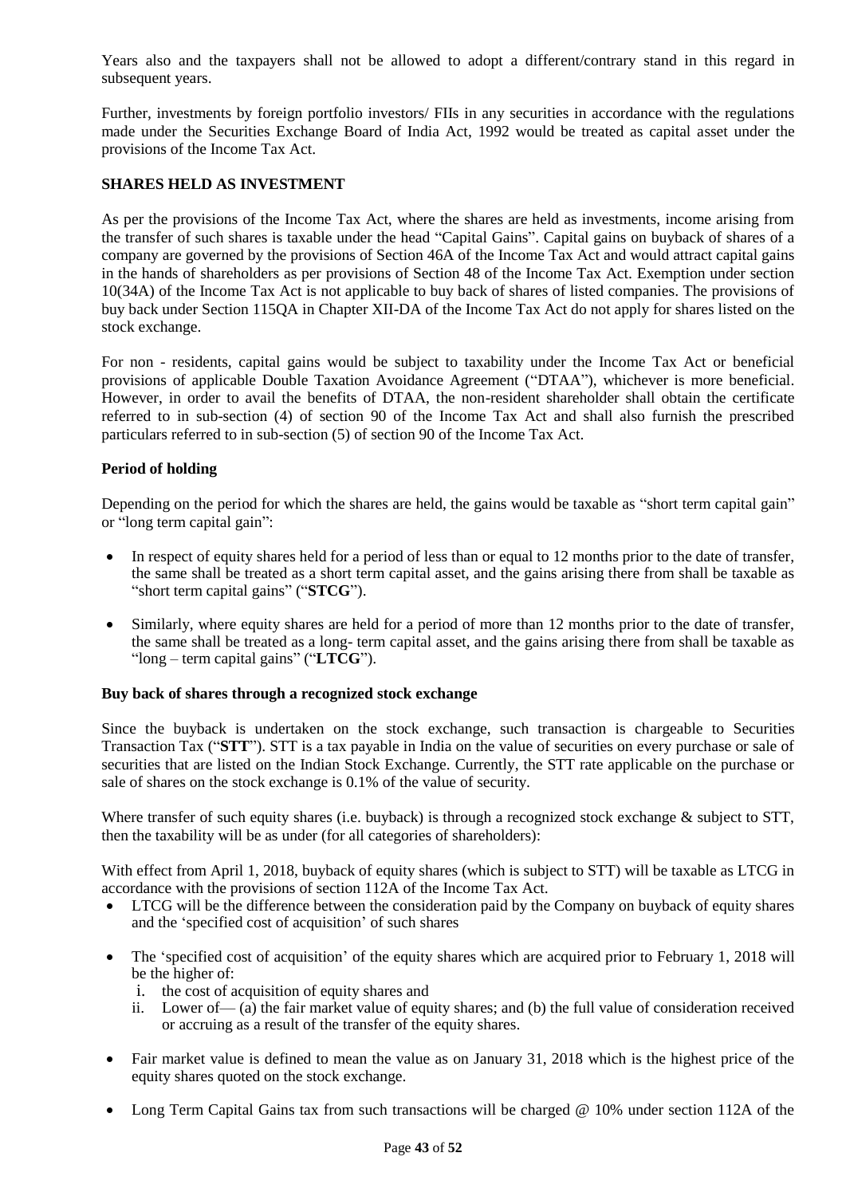Years also and the taxpayers shall not be allowed to adopt a different/contrary stand in this regard in subsequent years.

Further, investments by foreign portfolio investors/ FIIs in any securities in accordance with the regulations made under the Securities Exchange Board of India Act, 1992 would be treated as capital asset under the provisions of the Income Tax Act.

### **SHARES HELD AS INVESTMENT**

As per the provisions of the Income Tax Act, where the shares are held as investments, income arising from the transfer of such shares is taxable under the head "Capital Gains". Capital gains on buyback of shares of a company are governed by the provisions of Section 46A of the Income Tax Act and would attract capital gains in the hands of shareholders as per provisions of Section 48 of the Income Tax Act. Exemption under section 10(34A) of the Income Tax Act is not applicable to buy back of shares of listed companies. The provisions of buy back under Section 115QA in Chapter XII-DA of the Income Tax Act do not apply for shares listed on the stock exchange.

For non - residents, capital gains would be subject to taxability under the Income Tax Act or beneficial provisions of applicable Double Taxation Avoidance Agreement ("DTAA"), whichever is more beneficial. However, in order to avail the benefits of DTAA, the non-resident shareholder shall obtain the certificate referred to in sub-section (4) of section 90 of the Income Tax Act and shall also furnish the prescribed particulars referred to in sub-section (5) of section 90 of the Income Tax Act.

### **Period of holding**

Depending on the period for which the shares are held, the gains would be taxable as "short term capital gain" or "long term capital gain":

- In respect of equity shares held for a period of less than or equal to 12 months prior to the date of transfer, the same shall be treated as a short term capital asset, and the gains arising there from shall be taxable as "short term capital gains" ("**STCG**").
- Similarly, where equity shares are held for a period of more than 12 months prior to the date of transfer, the same shall be treated as a long- term capital asset, and the gains arising there from shall be taxable as "long – term capital gains" ("**LTCG**").

#### **Buy back of shares through a recognized stock exchange**

Since the buyback is undertaken on the stock exchange, such transaction is chargeable to Securities Transaction Tax ("**STT**"). STT is a tax payable in India on the value of securities on every purchase or sale of securities that are listed on the Indian Stock Exchange. Currently, the STT rate applicable on the purchase or sale of shares on the stock exchange is 0.1% of the value of security.

Where transfer of such equity shares (i.e. buyback) is through a recognized stock exchange & subject to STT, then the taxability will be as under (for all categories of shareholders):

With effect from April 1, 2018, buyback of equity shares (which is subject to STT) will be taxable as LTCG in accordance with the provisions of section 112A of the Income Tax Act.

- LTCG will be the difference between the consideration paid by the Company on buyback of equity shares and the 'specified cost of acquisition' of such shares
- The 'specified cost of acquisition' of the equity shares which are acquired prior to February 1, 2018 will be the higher of:
	- i. the cost of acquisition of equity shares and
	- ii. Lower of— (a) the fair market value of equity shares; and (b) the full value of consideration received or accruing as a result of the transfer of the equity shares.
- Fair market value is defined to mean the value as on January 31, 2018 which is the highest price of the equity shares quoted on the stock exchange.
- Long Term Capital Gains tax from such transactions will be charged @ 10% under section 112A of the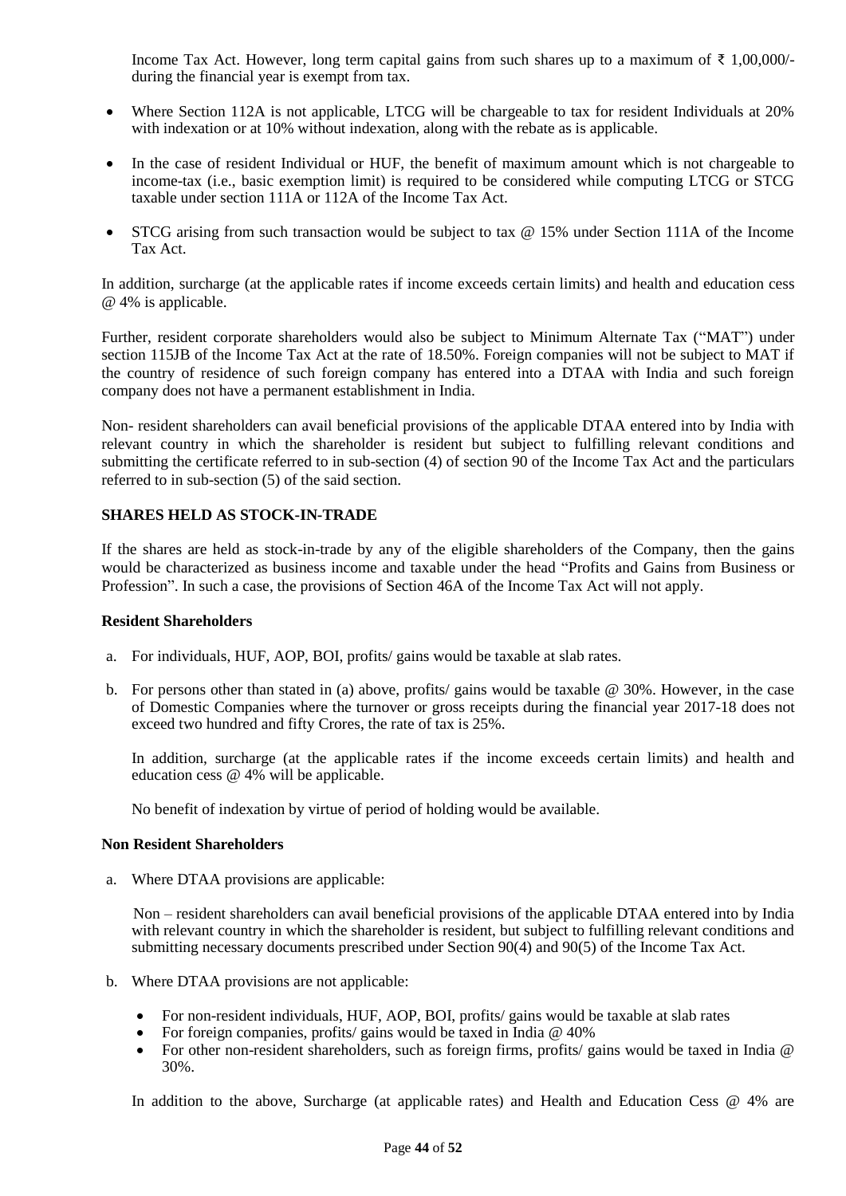Income Tax Act. However, long term capital gains from such shares up to a maximum of  $\bar{\tau}$  1,00,000/during the financial year is exempt from tax.

- Where Section 112A is not applicable, LTCG will be chargeable to tax for resident Individuals at 20% with indexation or at 10% without indexation, along with the rebate as is applicable.
- In the case of resident Individual or HUF, the benefit of maximum amount which is not chargeable to income-tax (i.e., basic exemption limit) is required to be considered while computing LTCG or STCG taxable under section 111A or 112A of the Income Tax Act.
- STCG arising from such transaction would be subject to tax @ 15% under Section 111A of the Income Tax Act.

In addition, surcharge (at the applicable rates if income exceeds certain limits) and health and education cess @ 4% is applicable.

Further, resident corporate shareholders would also be subject to Minimum Alternate Tax ("MAT") under section 115JB of the Income Tax Act at the rate of 18.50%. Foreign companies will not be subject to MAT if the country of residence of such foreign company has entered into a DTAA with India and such foreign company does not have a permanent establishment in India.

Non- resident shareholders can avail beneficial provisions of the applicable DTAA entered into by India with relevant country in which the shareholder is resident but subject to fulfilling relevant conditions and submitting the certificate referred to in sub-section (4) of section 90 of the Income Tax Act and the particulars referred to in sub-section (5) of the said section.

### **SHARES HELD AS STOCK-IN-TRADE**

If the shares are held as stock-in-trade by any of the eligible shareholders of the Company, then the gains would be characterized as business income and taxable under the head "Profits and Gains from Business or Profession". In such a case, the provisions of Section 46A of the Income Tax Act will not apply.

#### **Resident Shareholders**

- a. For individuals, HUF, AOP, BOI, profits/ gains would be taxable at slab rates.
- b. For persons other than stated in (a) above, profits/ gains would be taxable @ 30%. However, in the case of Domestic Companies where the turnover or gross receipts during the financial year 2017-18 does not exceed two hundred and fifty Crores, the rate of tax is 25%.

In addition, surcharge (at the applicable rates if the income exceeds certain limits) and health and education cess @ 4% will be applicable.

No benefit of indexation by virtue of period of holding would be available.

#### **Non Resident Shareholders**

a. Where DTAA provisions are applicable:

Non – resident shareholders can avail beneficial provisions of the applicable DTAA entered into by India with relevant country in which the shareholder is resident, but subject to fulfilling relevant conditions and submitting necessary documents prescribed under Section 90(4) and 90(5) of the Income Tax Act.

- b. Where DTAA provisions are not applicable:
	- For non-resident individuals, HUF, AOP, BOI, profits/ gains would be taxable at slab rates
	- For foreign companies, profits/ gains would be taxed in India @ 40%
	- For other non-resident shareholders, such as foreign firms, profits/ gains would be taxed in India @ 30%.

In addition to the above, Surcharge (at applicable rates) and Health and Education Cess @ 4% are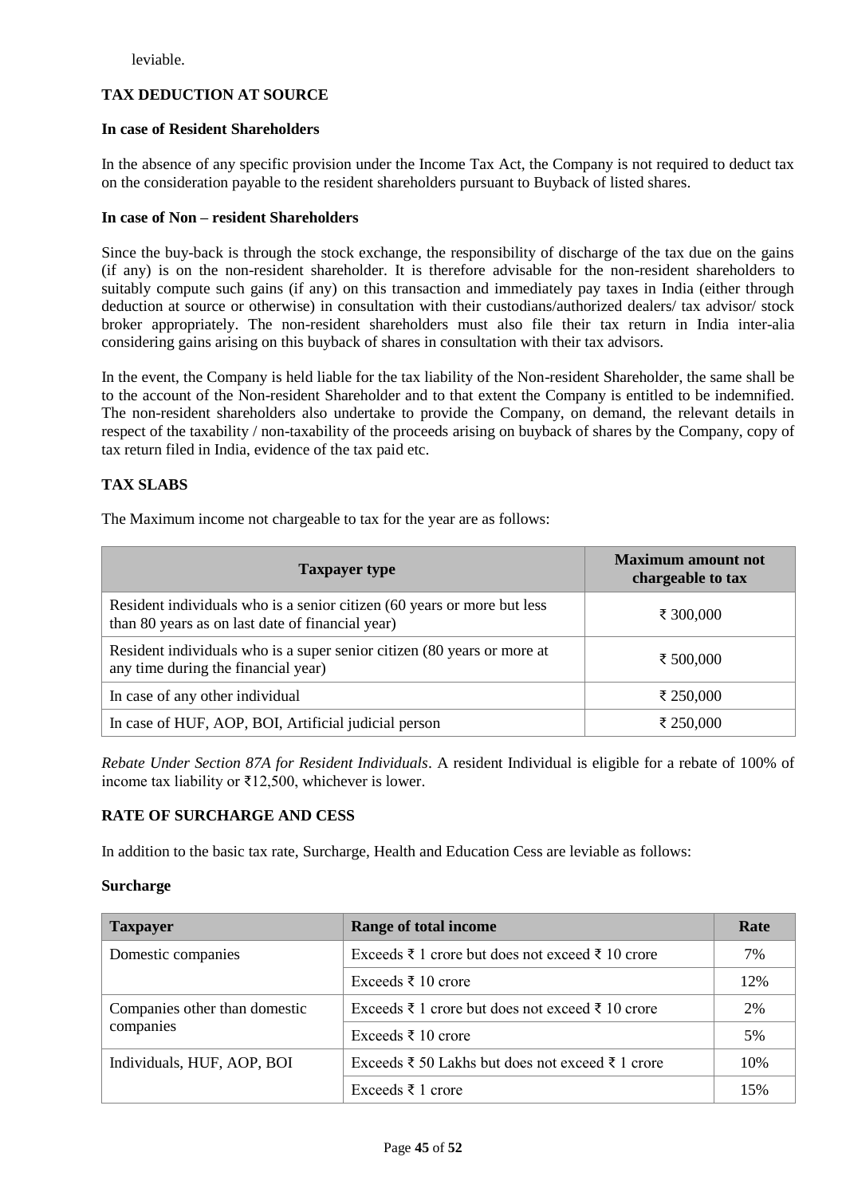leviable.

### **TAX DEDUCTION AT SOURCE**

### **In case of Resident Shareholders**

In the absence of any specific provision under the Income Tax Act, the Company is not required to deduct tax on the consideration payable to the resident shareholders pursuant to Buyback of listed shares.

### **In case of Non – resident Shareholders**

Since the buy-back is through the stock exchange, the responsibility of discharge of the tax due on the gains (if any) is on the non-resident shareholder. It is therefore advisable for the non-resident shareholders to suitably compute such gains (if any) on this transaction and immediately pay taxes in India (either through deduction at source or otherwise) in consultation with their custodians/authorized dealers/ tax advisor/ stock broker appropriately. The non-resident shareholders must also file their tax return in India inter-alia considering gains arising on this buyback of shares in consultation with their tax advisors.

In the event, the Company is held liable for the tax liability of the Non-resident Shareholder, the same shall be to the account of the Non-resident Shareholder and to that extent the Company is entitled to be indemnified. The non-resident shareholders also undertake to provide the Company, on demand, the relevant details in respect of the taxability / non-taxability of the proceeds arising on buyback of shares by the Company, copy of tax return filed in India, evidence of the tax paid etc.

### **TAX SLABS**

The Maximum income not chargeable to tax for the year are as follows:

| <b>Taxpayer type</b>                                                                                                        | <b>Maximum amount not</b><br>chargeable to tax |
|-----------------------------------------------------------------------------------------------------------------------------|------------------------------------------------|
| Resident individuals who is a senior citizen (60 years or more but less<br>than 80 years as on last date of financial year) | ₹ 300,000                                      |
| Resident individuals who is a super senior citizen (80 years or more at<br>any time during the financial year)              | ₹ 500,000                                      |
| In case of any other individual                                                                                             | ₹ 250,000                                      |
| In case of HUF, AOP, BOI, Artificial judicial person                                                                        | ₹ 250,000                                      |

*Rebate Under Section 87A for Resident Individuals*. A resident Individual is eligible for a rebate of 100% of income tax liability or ₹12,500, whichever is lower.

### **RATE OF SURCHARGE AND CESS**

In addition to the basic tax rate, Surcharge, Health and Education Cess are leviable as follows:

#### **Surcharge**

| <b>Taxpayer</b>               | <b>Range of total income</b>                             | Rate |
|-------------------------------|----------------------------------------------------------|------|
| Domestic companies            | Exceeds ₹ 1 crore but does not exceed ₹ 10 crore         | 7%   |
|                               | Exceeds ₹ 10 crore                                       | 12%  |
| Companies other than domestic | Exceeds $\xi$ 1 crore but does not exceed $\xi$ 10 crore | 2%   |
| companies                     | Exceeds ₹ 10 crore                                       | 5%   |
| Individuals, HUF, AOP, BOI    | Exceeds ₹ 50 Lakhs but does not exceed ₹ 1 crore         | 10%  |
|                               | Exceeds ₹ 1 crore                                        | 15%  |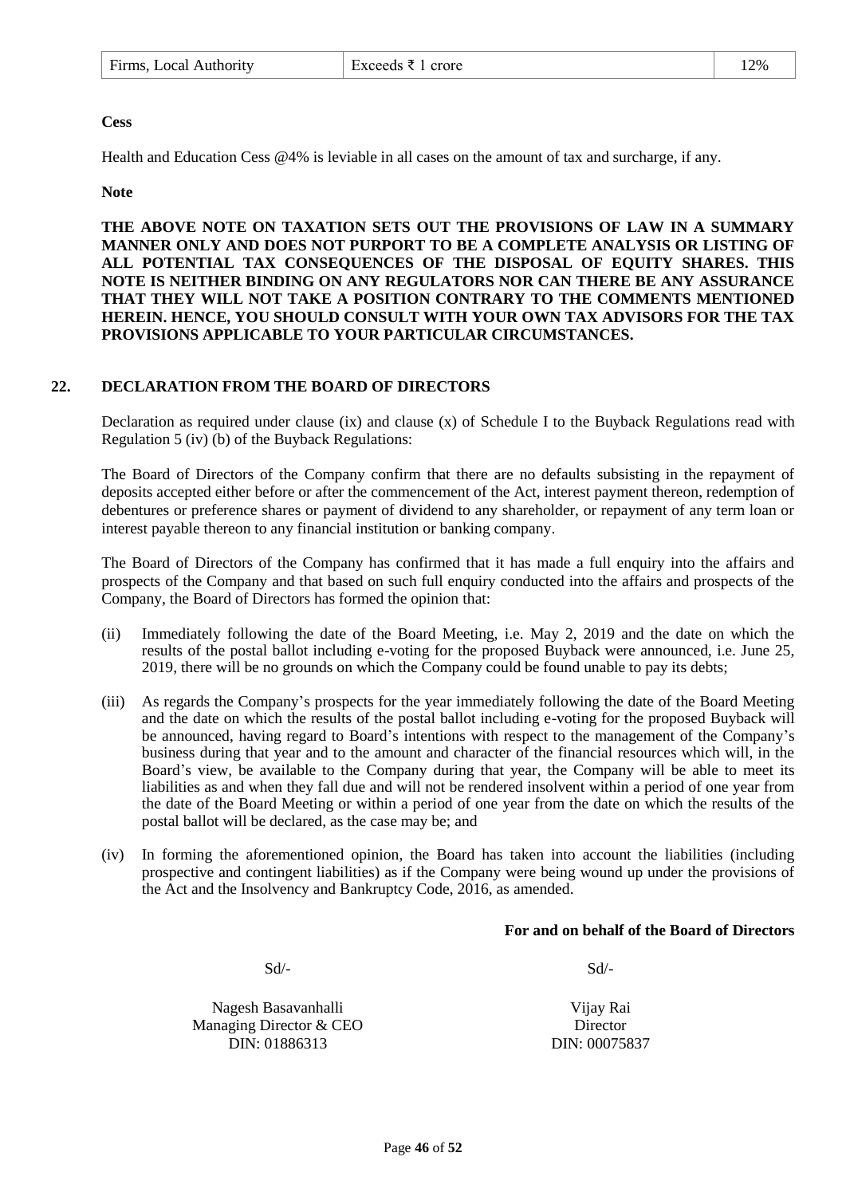### **Cess**

Health and Education Cess @4% is leviable in all cases on the amount of tax and surcharge, if any.

**Note** 

**THE ABOVE NOTE ON TAXATION SETS OUT THE PROVISIONS OF LAW IN A SUMMARY MANNER ONLY AND DOES NOT PURPORT TO BE A COMPLETE ANALYSIS OR LISTING OF ALL POTENTIAL TAX CONSEQUENCES OF THE DISPOSAL OF EQUITY SHARES. THIS NOTE IS NEITHER BINDING ON ANY REGULATORS NOR CAN THERE BE ANY ASSURANCE THAT THEY WILL NOT TAKE A POSITION CONTRARY TO THE COMMENTS MENTIONED HEREIN. HENCE, YOU SHOULD CONSULT WITH YOUR OWN TAX ADVISORS FOR THE TAX PROVISIONS APPLICABLE TO YOUR PARTICULAR CIRCUMSTANCES.**

### <span id="page-45-0"></span>**22. DECLARATION FROM THE BOARD OF DIRECTORS**

Declaration as required under clause (ix) and clause (x) of Schedule I to the Buyback Regulations read with Regulation 5 (iv) (b) of the Buyback Regulations:

The Board of Directors of the Company confirm that there are no defaults subsisting in the repayment of deposits accepted either before or after the commencement of the Act, interest payment thereon, redemption of debentures or preference shares or payment of dividend to any shareholder, or repayment of any term loan or interest payable thereon to any financial institution or banking company.

The Board of Directors of the Company has confirmed that it has made a full enquiry into the affairs and prospects of the Company and that based on such full enquiry conducted into the affairs and prospects of the Company, the Board of Directors has formed the opinion that:

- (ii) Immediately following the date of the Board Meeting, i.e. May 2, 2019 and the date on which the results of the postal ballot including e-voting for the proposed Buyback were announced, i.e. June 25, 2019, there will be no grounds on which the Company could be found unable to pay its debts;
- (iii) As regards the Company's prospects for the year immediately following the date of the Board Meeting and the date on which the results of the postal ballot including e-voting for the proposed Buyback will be announced, having regard to Board's intentions with respect to the management of the Company's business during that year and to the amount and character of the financial resources which will, in the Board's view, be available to the Company during that year, the Company will be able to meet its liabilities as and when they fall due and will not be rendered insolvent within a period of one year from the date of the Board Meeting or within a period of one year from the date on which the results of the postal ballot will be declared, as the case may be; and
- (iv) In forming the aforementioned opinion, the Board has taken into account the liabilities (including prospective and contingent liabilities) as if the Company were being wound up under the provisions of the Act and the Insolvency and Bankruptcy Code, 2016, as amended.

### **For and on behalf of the Board of Directors**

 $Sd$ - $Sd$ -

Nagesh Basavanhalli Managing Director & CEO DIN: 01886313

Vijay Rai Director DIN: 00075837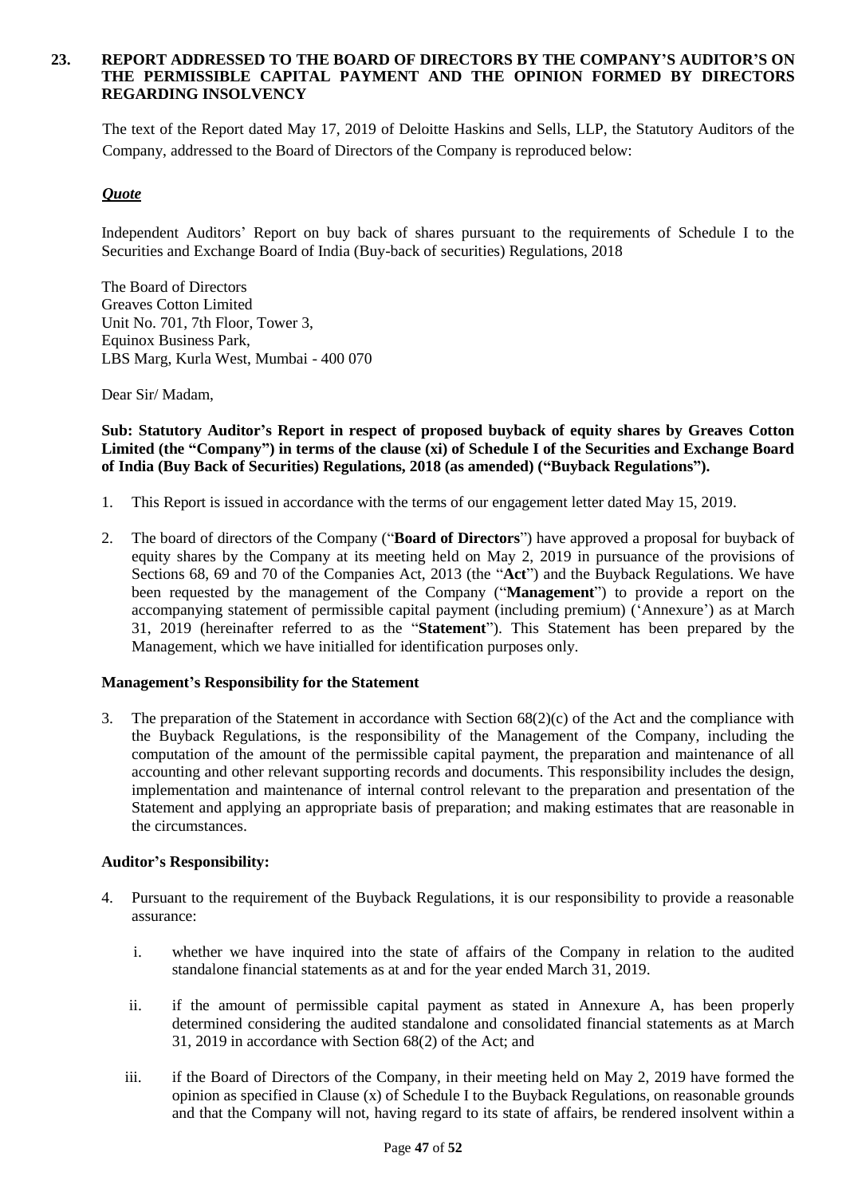#### <span id="page-46-0"></span>**23. REPORT ADDRESSED TO THE BOARD OF DIRECTORS BY THE COMPANY'S AUDITOR'S ON THE PERMISSIBLE CAPITAL PAYMENT AND THE OPINION FORMED BY DIRECTORS REGARDING INSOLVENCY**

The text of the Report dated May 17, 2019 of Deloitte Haskins and Sells, LLP, the Statutory Auditors of the Company, addressed to the Board of Directors of the Company is reproduced below:

### *Quote*

Independent Auditors' Report on buy back of shares pursuant to the requirements of Schedule I to the Securities and Exchange Board of India (Buy-back of securities) Regulations, 2018

The Board of Directors Greaves Cotton Limited Unit No. 701, 7th Floor, Tower 3, Equinox Business Park, LBS Marg, Kurla West, Mumbai - 400 070

Dear Sir/ Madam,

**Sub: Statutory Auditor's Report in respect of proposed buyback of equity shares by Greaves Cotton Limited (the "Company") in terms of the clause (xi) of Schedule I of the Securities and Exchange Board of India (Buy Back of Securities) Regulations, 2018 (as amended) ("Buyback Regulations").** 

- 1. This Report is issued in accordance with the terms of our engagement letter dated May 15, 2019.
- 2. The board of directors of the Company ("**Board of Directors**") have approved a proposal for buyback of equity shares by the Company at its meeting held on May 2, 2019 in pursuance of the provisions of Sections 68, 69 and 70 of the Companies Act, 2013 (the "**Act**") and the Buyback Regulations. We have been requested by the management of the Company ("**Management**") to provide a report on the accompanying statement of permissible capital payment (including premium) ('Annexure') as at March 31, 2019 (hereinafter referred to as the "**Statement**"). This Statement has been prepared by the Management, which we have initialled for identification purposes only.

#### **Management's Responsibility for the Statement**

3. The preparation of the Statement in accordance with Section 68(2)(c) of the Act and the compliance with the Buyback Regulations, is the responsibility of the Management of the Company, including the computation of the amount of the permissible capital payment, the preparation and maintenance of all accounting and other relevant supporting records and documents. This responsibility includes the design, implementation and maintenance of internal control relevant to the preparation and presentation of the Statement and applying an appropriate basis of preparation; and making estimates that are reasonable in the circumstances.

#### **Auditor's Responsibility:**

- 4. Pursuant to the requirement of the Buyback Regulations, it is our responsibility to provide a reasonable assurance:
	- i. whether we have inquired into the state of affairs of the Company in relation to the audited standalone financial statements as at and for the year ended March 31, 2019.
	- ii. if the amount of permissible capital payment as stated in Annexure A, has been properly determined considering the audited standalone and consolidated financial statements as at March 31, 2019 in accordance with Section 68(2) of the Act; and
	- iii. if the Board of Directors of the Company, in their meeting held on May 2, 2019 have formed the opinion as specified in Clause (x) of Schedule I to the Buyback Regulations, on reasonable grounds and that the Company will not, having regard to its state of affairs, be rendered insolvent within a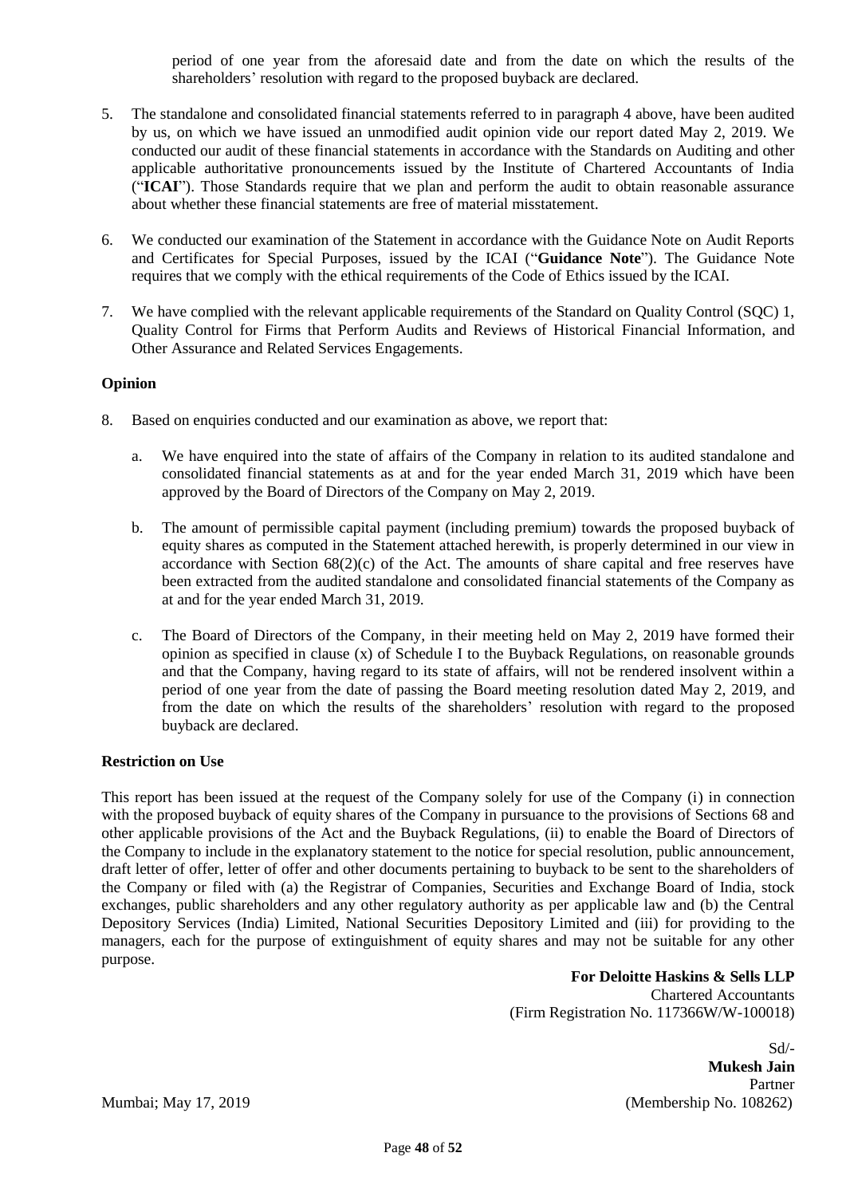period of one year from the aforesaid date and from the date on which the results of the shareholders' resolution with regard to the proposed buyback are declared.

- 5. The standalone and consolidated financial statements referred to in paragraph 4 above, have been audited by us, on which we have issued an unmodified audit opinion vide our report dated May 2, 2019. We conducted our audit of these financial statements in accordance with the Standards on Auditing and other applicable authoritative pronouncements issued by the Institute of Chartered Accountants of India ("**ICAI**"). Those Standards require that we plan and perform the audit to obtain reasonable assurance about whether these financial statements are free of material misstatement.
- 6. We conducted our examination of the Statement in accordance with the Guidance Note on Audit Reports and Certificates for Special Purposes, issued by the ICAI ("**Guidance Note**"). The Guidance Note requires that we comply with the ethical requirements of the Code of Ethics issued by the ICAI.
- 7. We have complied with the relevant applicable requirements of the Standard on Quality Control (SQC) 1, Quality Control for Firms that Perform Audits and Reviews of Historical Financial Information, and Other Assurance and Related Services Engagements.

### **Opinion**

- 8. Based on enquiries conducted and our examination as above, we report that:
	- a. We have enquired into the state of affairs of the Company in relation to its audited standalone and consolidated financial statements as at and for the year ended March 31, 2019 which have been approved by the Board of Directors of the Company on May 2, 2019.
	- b. The amount of permissible capital payment (including premium) towards the proposed buyback of equity shares as computed in the Statement attached herewith, is properly determined in our view in accordance with Section 68(2)(c) of the Act. The amounts of share capital and free reserves have been extracted from the audited standalone and consolidated financial statements of the Company as at and for the year ended March 31, 2019.
	- c. The Board of Directors of the Company, in their meeting held on May 2, 2019 have formed their opinion as specified in clause  $(x)$  of Schedule I to the Buyback Regulations, on reasonable grounds and that the Company, having regard to its state of affairs, will not be rendered insolvent within a period of one year from the date of passing the Board meeting resolution dated May 2, 2019, and from the date on which the results of the shareholders' resolution with regard to the proposed buyback are declared.

#### **Restriction on Use**

This report has been issued at the request of the Company solely for use of the Company (i) in connection with the proposed buyback of equity shares of the Company in pursuance to the provisions of Sections 68 and other applicable provisions of the Act and the Buyback Regulations, (ii) to enable the Board of Directors of the Company to include in the explanatory statement to the notice for special resolution, public announcement, draft letter of offer, letter of offer and other documents pertaining to buyback to be sent to the shareholders of the Company or filed with (a) the Registrar of Companies, Securities and Exchange Board of India, stock exchanges, public shareholders and any other regulatory authority as per applicable law and (b) the Central Depository Services (India) Limited, National Securities Depository Limited and (iii) for providing to the managers, each for the purpose of extinguishment of equity shares and may not be suitable for any other purpose.

**For Deloitte Haskins & Sells LLP**  Chartered Accountants (Firm Registration No. 117366W/W-100018)

 $Sd$ <sup>-</sup> **Mukesh Jain** Partner Mumbai; May 17, 2019 (Membership No. 108262)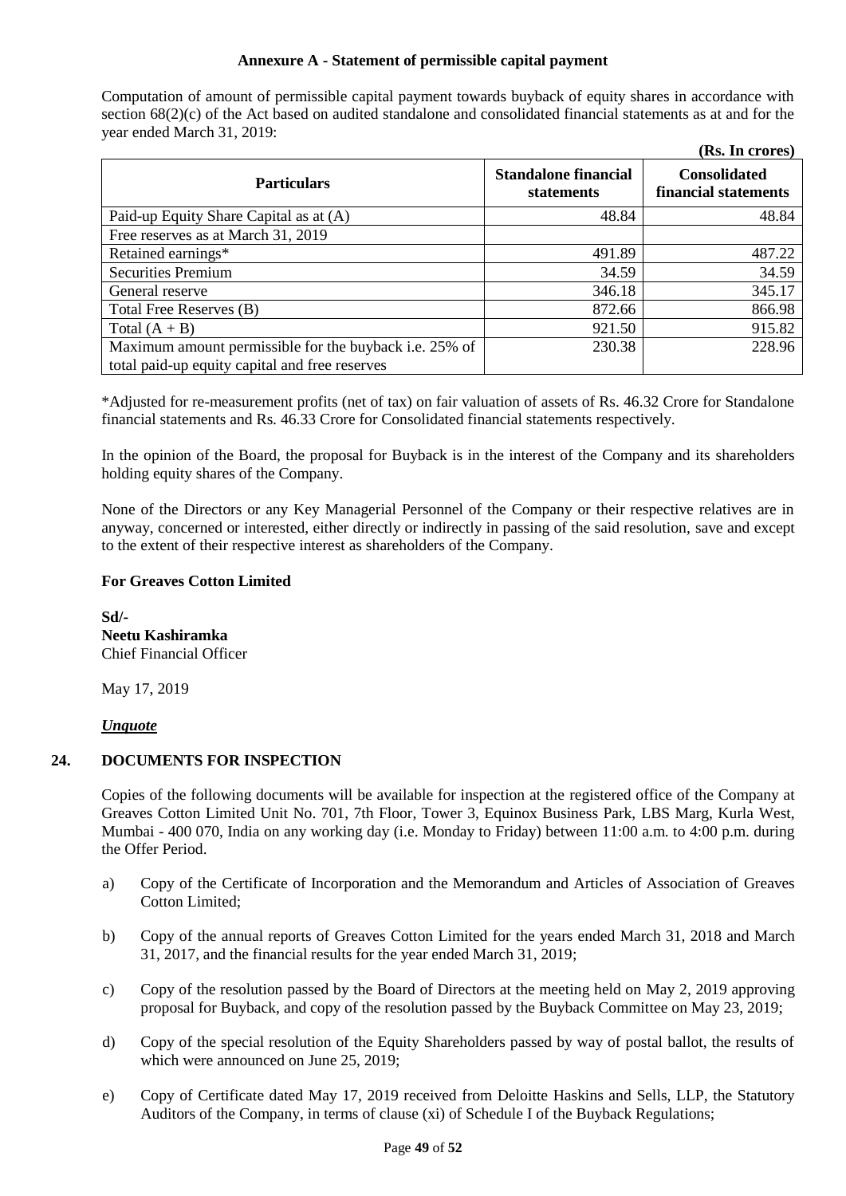### **Annexure A - Statement of permissible capital payment**

Computation of amount of permissible capital payment towards buyback of equity shares in accordance with section  $68(2)(c)$  of the Act based on audited standalone and consolidated financial statements as at and for the year ended March 31, 2019:

|                                                                                                          |                                           | (Rs. In crores)                             |
|----------------------------------------------------------------------------------------------------------|-------------------------------------------|---------------------------------------------|
| <b>Particulars</b>                                                                                       | <b>Standalone financial</b><br>statements | <b>Consolidated</b><br>financial statements |
| Paid-up Equity Share Capital as at (A)                                                                   | 48.84                                     | 48.84                                       |
| Free reserves as at March 31, 2019                                                                       |                                           |                                             |
| Retained earnings*                                                                                       | 491.89                                    | 487.22                                      |
| <b>Securities Premium</b>                                                                                | 34.59                                     | 34.59                                       |
| General reserve                                                                                          | 346.18                                    | 345.17                                      |
| Total Free Reserves (B)                                                                                  | 872.66                                    | 866.98                                      |
| Total $(A + B)$                                                                                          | 921.50                                    | 915.82                                      |
| Maximum amount permissible for the buyback i.e. 25% of<br>total paid-up equity capital and free reserves | 230.38                                    | 228.96                                      |

\*Adjusted for re-measurement profits (net of tax) on fair valuation of assets of Rs. 46.32 Crore for Standalone financial statements and Rs. 46.33 Crore for Consolidated financial statements respectively.

In the opinion of the Board, the proposal for Buyback is in the interest of the Company and its shareholders holding equity shares of the Company.

None of the Directors or any Key Managerial Personnel of the Company or their respective relatives are in anyway, concerned or interested, either directly or indirectly in passing of the said resolution, save and except to the extent of their respective interest as shareholders of the Company.

### **For Greaves Cotton Limited**

**Sd/- Neetu Kashiramka** Chief Financial Officer

May 17, 2019

#### *Unquote*

### <span id="page-48-0"></span>**24. DOCUMENTS FOR INSPECTION**

Copies of the following documents will be available for inspection at the registered office of the Company at Greaves Cotton Limited Unit No. 701, 7th Floor, Tower 3, Equinox Business Park, LBS Marg, Kurla West, Mumbai - 400 070, India on any working day (i.e. Monday to Friday) between 11:00 a.m. to 4:00 p.m. during the Offer Period.

- a) Copy of the Certificate of Incorporation and the Memorandum and Articles of Association of Greaves Cotton Limited;
- b) Copy of the annual reports of Greaves Cotton Limited for the years ended March 31, 2018 and March 31, 2017, and the financial results for the year ended March 31, 2019;
- c) Copy of the resolution passed by the Board of Directors at the meeting held on May 2, 2019 approving proposal for Buyback, and copy of the resolution passed by the Buyback Committee on May 23, 2019;
- d) Copy of the special resolution of the Equity Shareholders passed by way of postal ballot, the results of which were announced on June 25, 2019;
- e) Copy of Certificate dated May 17, 2019 received from Deloitte Haskins and Sells, LLP, the Statutory Auditors of the Company, in terms of clause (xi) of Schedule I of the Buyback Regulations;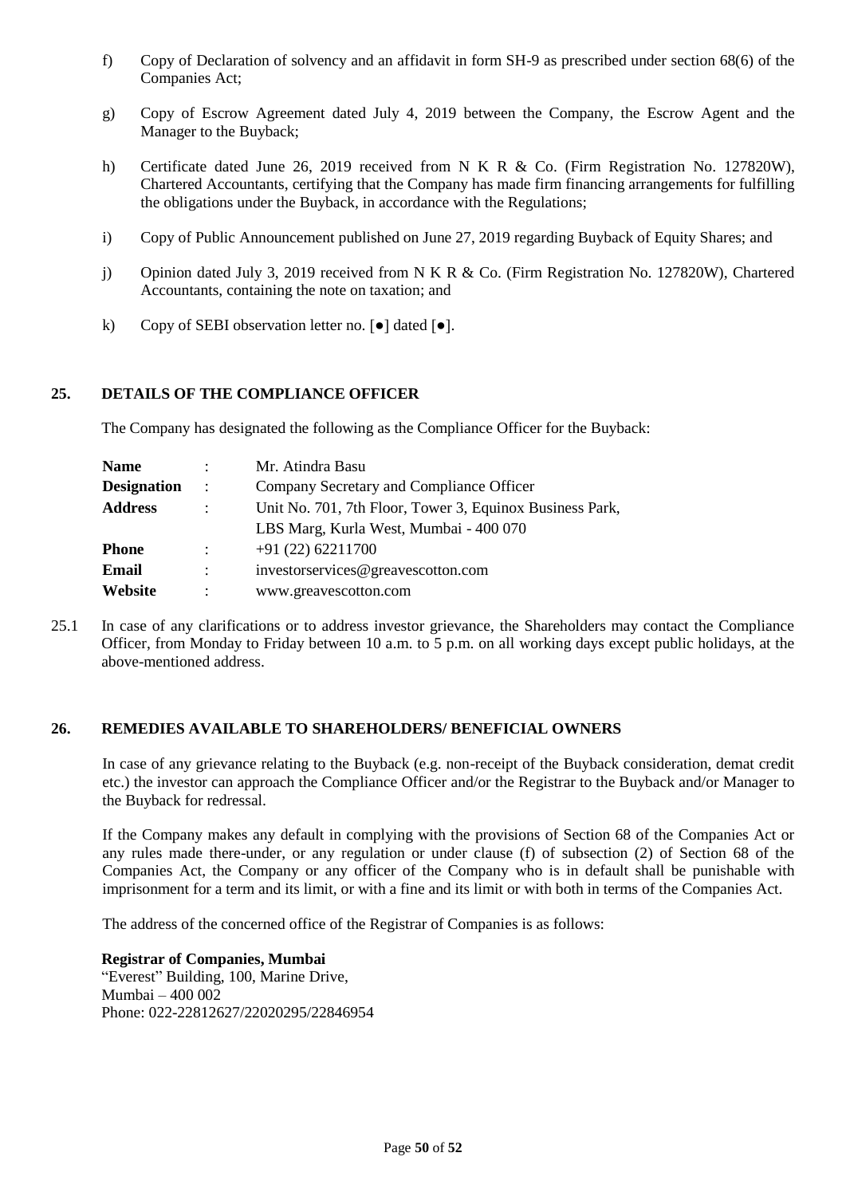- f) Copy of Declaration of solvency and an affidavit in form SH-9 as prescribed under section 68(6) of the Companies Act;
- g) Copy of Escrow Agreement dated July 4, 2019 between the Company, the Escrow Agent and the Manager to the Buyback;
- h) Certificate dated June 26, 2019 received from N K R & Co. (Firm Registration No. 127820W), Chartered Accountants, certifying that the Company has made firm financing arrangements for fulfilling the obligations under the Buyback, in accordance with the Regulations;
- i) Copy of Public Announcement published on June 27, 2019 regarding Buyback of Equity Shares; and
- j) Opinion dated July 3, 2019 received from N K R & Co. (Firm Registration No. 127820W), Chartered Accountants, containing the note on taxation; and
- k) Copy of SEBI observation letter no. [●] dated [●].

### <span id="page-49-0"></span>**25. DETAILS OF THE COMPLIANCE OFFICER**

The Company has designated the following as the Compliance Officer for the Buyback:

| Name               |                           | Mr. Atindra Basu                                         |
|--------------------|---------------------------|----------------------------------------------------------|
| <b>Designation</b> | $\sim$ 100                | Company Secretary and Compliance Officer                 |
| <b>Address</b>     | $\ddot{\phantom{a}}$      | Unit No. 701, 7th Floor, Tower 3, Equinox Business Park, |
|                    |                           | LBS Marg, Kurla West, Mumbai - 400 070                   |
| Phone              | $\mathbb{R}^{\mathbb{Z}}$ | $+91(22)62211700$                                        |
| Email              |                           | investorservices@greavescotton.com                       |
| Website            |                           | www.greavescotton.com                                    |

25.1 In case of any clarifications or to address investor grievance, the Shareholders may contact the Compliance Officer, from Monday to Friday between 10 a.m. to 5 p.m. on all working days except public holidays, at the above-mentioned address.

#### <span id="page-49-1"></span>**26. REMEDIES AVAILABLE TO SHAREHOLDERS/ BENEFICIAL OWNERS**

In case of any grievance relating to the Buyback (e.g. non-receipt of the Buyback consideration, demat credit etc.) the investor can approach the Compliance Officer and/or the Registrar to the Buyback and/or Manager to the Buyback for redressal.

If the Company makes any default in complying with the provisions of Section 68 of the Companies Act or any rules made there-under, or any regulation or under clause (f) of subsection (2) of Section 68 of the Companies Act, the Company or any officer of the Company who is in default shall be punishable with imprisonment for a term and its limit, or with a fine and its limit or with both in terms of the Companies Act.

The address of the concerned office of the Registrar of Companies is as follows:

**Registrar of Companies, Mumbai** "Everest" Building, 100, Marine Drive, Mumbai – 400 002 Phone: 022-22812627/22020295/22846954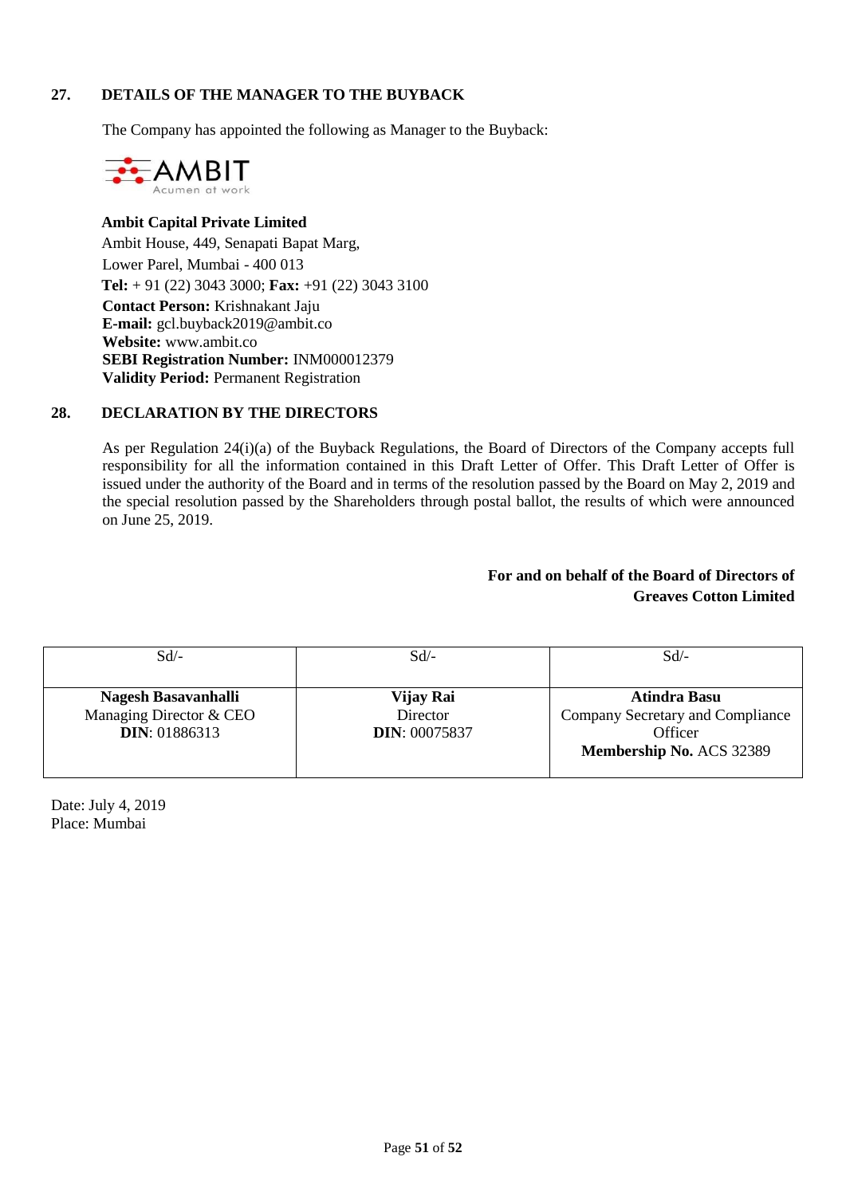### <span id="page-50-0"></span>**27. DETAILS OF THE MANAGER TO THE BUYBACK**

The Company has appointed the following as Manager to the Buyback:



**Ambit Capital Private Limited** Ambit House, 449, Senapati Bapat Marg, Lower Parel, Mumbai - 400 013 **Tel:** + 91 (22) 3043 3000; **Fax:** +91 (22) 3043 3100 **Contact Person:** Krishnakant Jaju **E-mail:** gcl.buyback2019@ambit.co **Website:** www.ambit.co **SEBI Registration Number:** INM000012379 **Validity Period:** Permanent Registration

### <span id="page-50-1"></span>**28. DECLARATION BY THE DIRECTORS**

As per Regulation 24(i)(a) of the Buyback Regulations, the Board of Directors of the Company accepts full responsibility for all the information contained in this Draft Letter of Offer. This Draft Letter of Offer is issued under the authority of the Board and in terms of the resolution passed by the Board on May 2, 2019 and the special resolution passed by the Shareholders through postal ballot, the results of which were announced on June 25, 2019.

# **For and on behalf of the Board of Directors of Greaves Cotton Limited**

| Sd                                                                      | $Sd$ /-                                       | Sd                                                                                      |
|-------------------------------------------------------------------------|-----------------------------------------------|-----------------------------------------------------------------------------------------|
| Nagesh Basavanhalli<br>Managing Director & CEO<br><b>DIN</b> : 01886313 | Vijay Rai<br>Director<br><b>DIN: 00075837</b> | Atindra Basu<br>Company Secretary and Compliance<br>Officer<br>Membership No. ACS 32389 |

Date: July 4, 2019 Place: Mumbai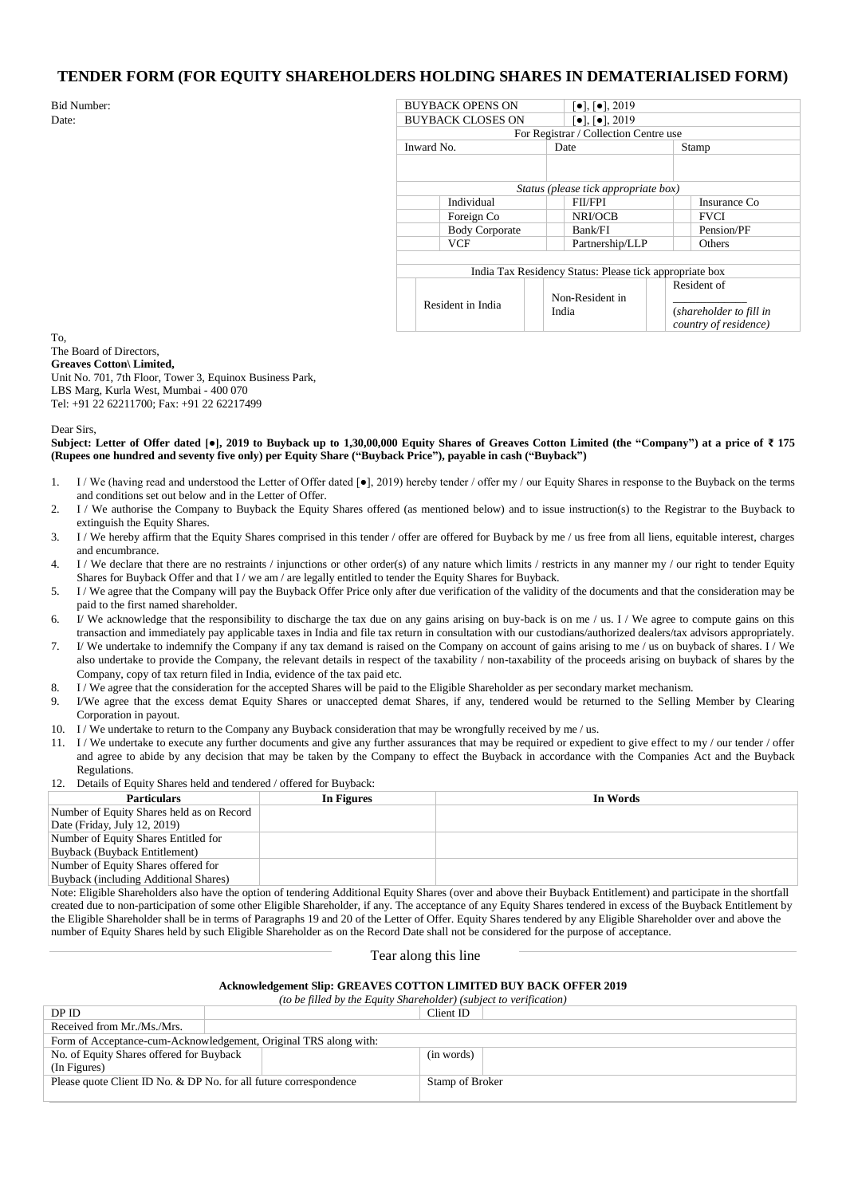#### **TENDER FORM (FOR EQUITY SHAREHOLDERS HOLDING SHARES IN DEMATERIALISED FORM)**

| <b>Bid Number:</b> | <b>BUYBACK OPENS ON</b>                                                                | $\left[ \bullet \right]$ , $\left[ \bullet \right]$ , 2019 |                         |  |  |
|--------------------|----------------------------------------------------------------------------------------|------------------------------------------------------------|-------------------------|--|--|
| Date:              | <b>BUYBACK CLOSES ON</b><br>$\left[ \bullet \right]$ , $\left[ \bullet \right]$ , 2019 |                                                            |                         |  |  |
|                    | For Registrar / Collection Centre use                                                  |                                                            |                         |  |  |
|                    | Inward No.                                                                             | Date                                                       | Stamp                   |  |  |
|                    |                                                                                        |                                                            |                         |  |  |
|                    |                                                                                        |                                                            |                         |  |  |
|                    |                                                                                        | Status (please tick appropriate box)                       |                         |  |  |
|                    | Individual                                                                             | <b>FII/FPI</b>                                             | Insurance Co            |  |  |
|                    | Foreign Co                                                                             | NRI/OCB                                                    | <b>FVCI</b>             |  |  |
|                    | <b>Body Corporate</b>                                                                  | Bank/FI                                                    | Pension/PF              |  |  |
|                    | <b>VCF</b>                                                                             | Partnership/LLP                                            | Others                  |  |  |
|                    |                                                                                        |                                                            |                         |  |  |
|                    | India Tax Residency Status: Please tick appropriate box                                |                                                            |                         |  |  |
|                    |                                                                                        |                                                            | Resident of             |  |  |
|                    | Resident in India                                                                      | Non-Resident in                                            |                         |  |  |
|                    |                                                                                        | India                                                      | (shareholder to fill in |  |  |
|                    |                                                                                        |                                                            | country of residence)   |  |  |

To, The Board of Directors,

**Greaves Cotton\ Limited,**

Unit No. 701, 7th Floor, Tower 3, Equinox Business Park, LBS Marg, Kurla West, Mumbai - 400 070 Tel: +91 22 62211700; Fax: +91 22 62217499

Dear Sirs,

**Subject: Letter of Offer dated [●], 2019 to Buyback up to 1,30,00,000 Equity Shares of Greaves Cotton Limited (the "Company") at a price of ₹ 175 (Rupees one hundred and seventy five only) per Equity Share ("Buyback Price"), payable in cash ("Buyback")**

- 1. I / We (having read and understood the Letter of Offer dated [ $\bullet$ ], 2019) hereby tender / offer my / our Equity Shares in response to the Buyback on the terms and conditions set out below and in the Letter of Offer.
- 2. I / We authorise the Company to Buyback the Equity Shares offered (as mentioned below) and to issue instruction(s) to the Registrar to the Buyback to extinguish the Equity Shares.
- 3. I / We hereby affirm that the Equity Shares comprised in this tender / offer are offered for Buyback by me / us free from all liens, equitable interest, charges and encumbrance.
- 4. I / We declare that there are no restraints / injunctions or other order(s) of any nature which limits / restricts in any manner my / our right to tender Equity Shares for Buyback Offer and that I / we am / are legally entitled to tender the Equity Shares for Buyback.
- 5. I / We agree that the Company will pay the Buyback Offer Price only after due verification of the validity of the documents and that the consideration may be paid to the first named shareholder.
- 6. I/ We acknowledge that the responsibility to discharge the tax due on any gains arising on buy-back is on me / us. I / We agree to compute gains on this transaction and immediately pay applicable taxes in India and file tax return in consultation with our custodians/authorized dealers/tax advisors appropriately.
- 7. I/ We undertake to indemnify the Company if any tax demand is raised on the Company on account of gains arising to me / us on buyback of shares. I / We also undertake to provide the Company, the relevant details in respect of the taxability / non-taxability of the proceeds arising on buyback of shares by the Company, copy of tax return filed in India, evidence of the tax paid etc.
- 8. I / We agree that the consideration for the accepted Shares will be paid to the Eligible Shareholder as per secondary market mechanism.
- 9. I/We agree that the excess demat Equity Shares or unaccepted demat Shares, if any, tendered would be returned to the Selling Member by Clearing Corporation in payout.
- 10. I / We undertake to return to the Company any Buyback consideration that may be wrongfully received by me / us.
- 11. I / We undertake to execute any further documents and give any further assurances that may be required or expedient to give effect to my / our tender / offer and agree to abide by any decision that may be taken by the Company to effect the Buyback in accordance with the Companies Act and the Buyback Regulations.
- 12. Details of Equity Shares held and tendered / offered for Buyback:

| <b>Particulars</b>                        | In Figures | In Words |
|-------------------------------------------|------------|----------|
| Number of Equity Shares held as on Record |            |          |
| Date (Friday, July 12, 2019)              |            |          |
| Number of Equity Shares Entitled for      |            |          |
| Buyback (Buyback Entitlement)             |            |          |
| Number of Equity Shares offered for       |            |          |
| Buyback (including Additional Shares)     |            |          |

Note: Eligible Shareholders also have the option of tendering Additional Equity Shares (over and above their Buyback Entitlement) and participate in the shortfall created due to non-participation of some other Eligible Shareholder, if any. The acceptance of any Equity Shares tendered in excess of the Buyback Entitlement by the Eligible Shareholder shall be in terms of Paragraphs 19 and 20 of the Letter of Offer. Equity Shares tendered by any Eligible Shareholder over and above the number of Equity Shares held by such Eligible Shareholder as on the Record Date shall not be considered for the purpose of acceptance.

Tear along this line

#### **Acknowledgement Slip: GREAVES COTTON LIMITED BUY BACK OFFER 2019**

*(to be filled by the Equity Shareholder) (subject to verification)*

| DP ID                                                             |  | Client ID       |  |
|-------------------------------------------------------------------|--|-----------------|--|
| Received from Mr./Ms./Mrs.                                        |  |                 |  |
| Form of Acceptance-cum-Acknowledgement, Original TRS along with:  |  |                 |  |
| No. of Equity Shares offered for Buyback                          |  | (in words)      |  |
| (In Figures)                                                      |  |                 |  |
| Please quote Client ID No. & DP No. for all future correspondence |  | Stamp of Broker |  |
|                                                                   |  |                 |  |